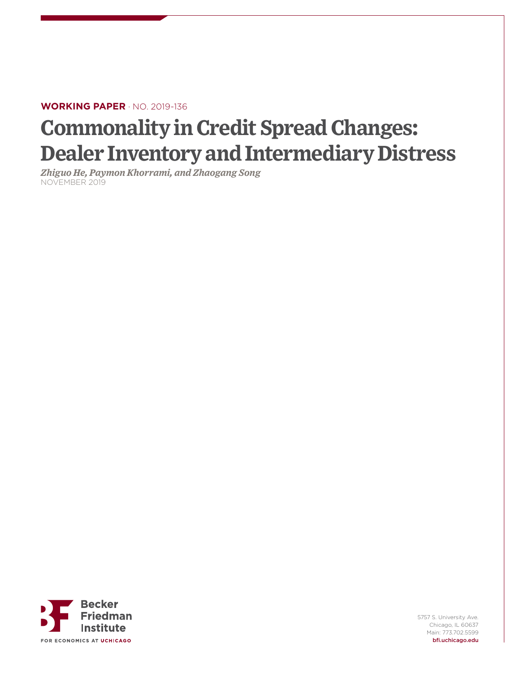# **WORKING PAPER** · NO. 2019-136

# **Commonality in Credit Spread Changes: Dealer Inventory and Intermediary Distress**

*Zhiguo He, Paymon Khorrami, and Zhaogang Song* NOVEMBER 2019



5757 S. University Ave. Chicago, IL 60637 Main: 773.702.5599 bfi.uchicago.edu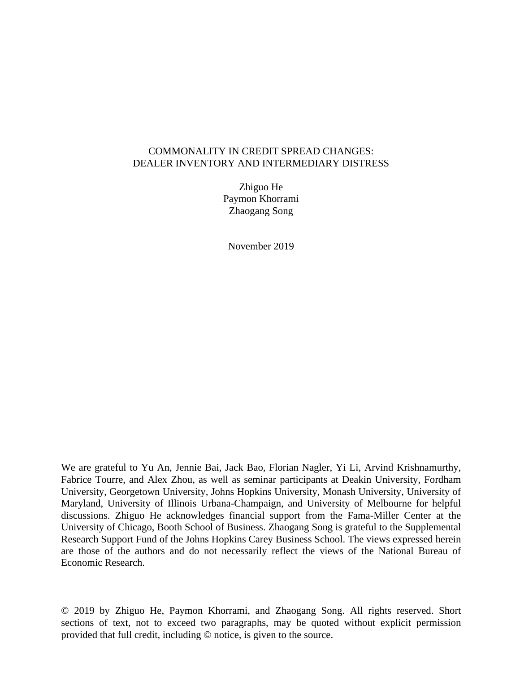### COMMONALITY IN CREDIT SPREAD CHANGES: DEALER INVENTORY AND INTERMEDIARY DISTRESS

Zhiguo He Paymon Khorrami Zhaogang Song

November 2019

We are grateful to Yu An, Jennie Bai, Jack Bao, Florian Nagler, Yi Li, Arvind Krishnamurthy, Fabrice Tourre, and Alex Zhou, as well as seminar participants at Deakin University, Fordham University, Georgetown University, Johns Hopkins University, Monash University, University of Maryland, University of Illinois Urbana-Champaign, and University of Melbourne for helpful discussions. Zhiguo He acknowledges financial support from the Fama-Miller Center at the University of Chicago, Booth School of Business. Zhaogang Song is grateful to the Supplemental Research Support Fund of the Johns Hopkins Carey Business School. The views expressed herein are those of the authors and do not necessarily reflect the views of the National Bureau of Economic Research.

© 2019 by Zhiguo He, Paymon Khorrami, and Zhaogang Song. All rights reserved. Short sections of text, not to exceed two paragraphs, may be quoted without explicit permission provided that full credit, including © notice, is given to the source.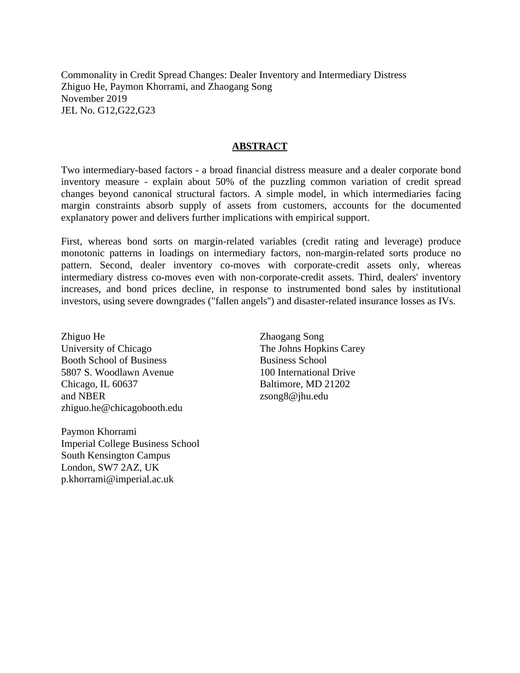Commonality in Credit Spread Changes: Dealer Inventory and Intermediary Distress Zhiguo He, Paymon Khorrami, and Zhaogang Song November 2019 JEL No. G12,G22,G23

## **ABSTRACT**

Two intermediary-based factors - a broad financial distress measure and a dealer corporate bond inventory measure - explain about 50% of the puzzling common variation of credit spread changes beyond canonical structural factors. A simple model, in which intermediaries facing margin constraints absorb supply of assets from customers, accounts for the documented explanatory power and delivers further implications with empirical support.

First, whereas bond sorts on margin-related variables (credit rating and leverage) produce monotonic patterns in loadings on intermediary factors, non-margin-related sorts produce no pattern. Second, dealer inventory co-moves with corporate-credit assets only, whereas intermediary distress co-moves even with non-corporate-credit assets. Third, dealers' inventory increases, and bond prices decline, in response to instrumented bond sales by institutional investors, using severe downgrades ("fallen angels'') and disaster-related insurance losses as IVs.

Zhiguo He University of Chicago Booth School of Business 5807 S. Woodlawn Avenue Chicago, IL 60637 and NBER zhiguo.he@chicagobooth.edu

Paymon Khorrami Imperial College Business School South Kensington Campus London, SW7 2AZ, UK p.khorrami@imperial.ac.uk

Zhaogang Song The Johns Hopkins Carey Business School 100 International Drive Baltimore, MD 21202 zsong8@jhu.edu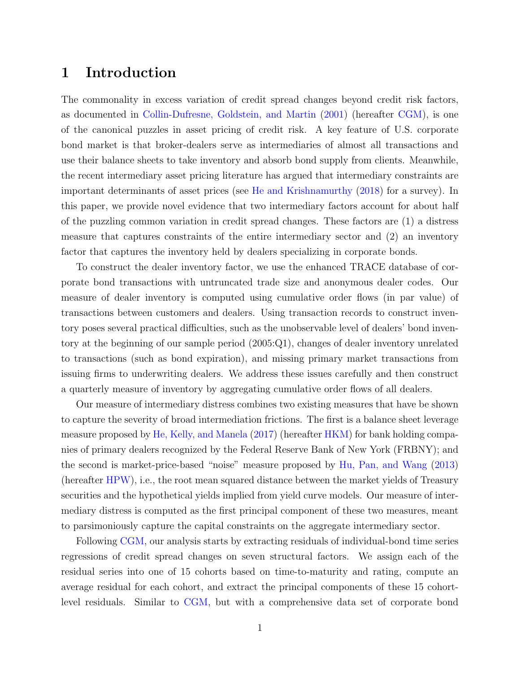# 1 Introduction

The commonality in excess variation of credit spread changes beyond credit risk factors, as documented in [Collin-Dufresne, Goldstein, and Martin](#page-67-0) [\(2001\)](#page-67-0) (hereafter [CGM\)](#page-67-0), is one of the canonical puzzles in asset pricing of credit risk. A key feature of U.S. corporate bond market is that broker-dealers serve as intermediaries of almost all transactions and use their balance sheets to take inventory and absorb bond supply from clients. Meanwhile, the recent intermediary asset pricing literature has argued that intermediary constraints are important determinants of asset prices (see [He and Krishnamurthy](#page-69-0) [\(2018\)](#page-69-0) for a survey). In this paper, we provide novel evidence that two intermediary factors account for about half of the puzzling common variation in credit spread changes. These factors are (1) a distress measure that captures constraints of the entire intermediary sector and (2) an inventory factor that captures the inventory held by dealers specializing in corporate bonds.

To construct the dealer inventory factor, we use the enhanced TRACE database of corporate bond transactions with untruncated trade size and anonymous dealer codes. Our measure of dealer inventory is computed using cumulative order flows (in par value) of transactions between customers and dealers. Using transaction records to construct inventory poses several practical difficulties, such as the unobservable level of dealers' bond inventory at the beginning of our sample period (2005:Q1), changes of dealer inventory unrelated to transactions (such as bond expiration), and missing primary market transactions from issuing firms to underwriting dealers. We address these issues carefully and then construct a quarterly measure of inventory by aggregating cumulative order flows of all dealers.

Our measure of intermediary distress combines two existing measures that have be shown to capture the severity of broad intermediation frictions. The first is a balance sheet leverage measure proposed by [He, Kelly, and Manela](#page-69-1) [\(2017\)](#page-69-1) (hereafter [HKM\)](#page-69-1) for bank holding companies of primary dealers recognized by the Federal Reserve Bank of New York (FRBNY); and the second is market-price-based "noise" measure proposed by [Hu, Pan, and Wang](#page-69-2) [\(2013\)](#page-69-2) (hereafter [HPW\)](#page-69-2), i.e., the root mean squared distance between the market yields of Treasury securities and the hypothetical yields implied from yield curve models. Our measure of intermediary distress is computed as the first principal component of these two measures, meant to parsimoniously capture the capital constraints on the aggregate intermediary sector.

Following [CGM,](#page-67-0) our analysis starts by extracting residuals of individual-bond time series regressions of credit spread changes on seven structural factors. We assign each of the residual series into one of 15 cohorts based on time-to-maturity and rating, compute an average residual for each cohort, and extract the principal components of these 15 cohortlevel residuals. Similar to [CGM,](#page-67-0) but with a comprehensive data set of corporate bond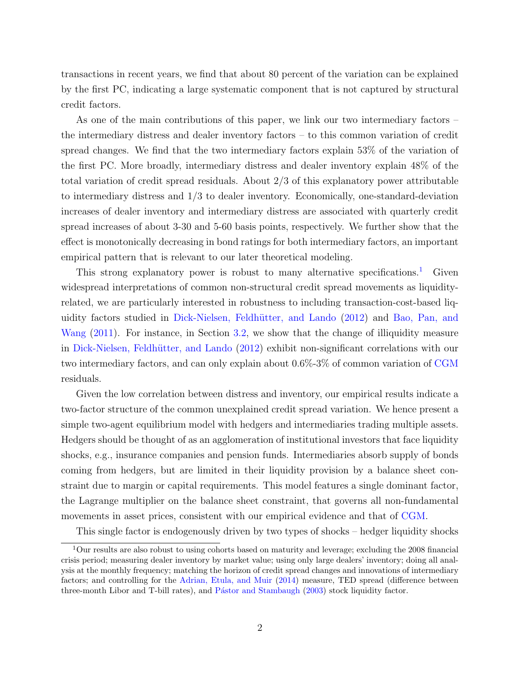transactions in recent years, we find that about 80 percent of the variation can be explained by the first PC, indicating a large systematic component that is not captured by structural credit factors.

As one of the main contributions of this paper, we link our two intermediary factors – the intermediary distress and dealer inventory factors – to this common variation of credit spread changes. We find that the two intermediary factors explain 53% of the variation of the first PC. More broadly, intermediary distress and dealer inventory explain 48% of the total variation of credit spread residuals. About 2/3 of this explanatory power attributable to intermediary distress and 1/3 to dealer inventory. Economically, one-standard-deviation increases of dealer inventory and intermediary distress are associated with quarterly credit spread increases of about 3-30 and 5-60 basis points, respectively. We further show that the effect is monotonically decreasing in bond ratings for both intermediary factors, an important empirical pattern that is relevant to our later theoretical modeling.

This strong explanatory power is robust to many alternative specifications.<sup>[1](#page-4-0)</sup> Given widespread interpretations of common non-structural credit spread movements as liquidityrelated, we are particularly interested in robustness to including transaction-cost-based liq-uidity factors studied in Dick-Nielsen, Feldhütter, and Lando [\(2012\)](#page-68-0) and [Bao, Pan, and](#page-66-0) [Wang](#page-66-0) [\(2011\)](#page-66-0). For instance, in Section [3.2,](#page-22-0) we show that the change of illiquidity measure in Dick-Nielsen, Feldhütter, and Lando [\(2012\)](#page-68-0) exhibit non-significant correlations with our two intermediary factors, and can only explain about 0.6%-3% of common variation of [CGM](#page-67-0) residuals.

Given the low correlation between distress and inventory, our empirical results indicate a two-factor structure of the common unexplained credit spread variation. We hence present a simple two-agent equilibrium model with hedgers and intermediaries trading multiple assets. Hedgers should be thought of as an agglomeration of institutional investors that face liquidity shocks, e.g., insurance companies and pension funds. Intermediaries absorb supply of bonds coming from hedgers, but are limited in their liquidity provision by a balance sheet constraint due to margin or capital requirements. This model features a single dominant factor, the Lagrange multiplier on the balance sheet constraint, that governs all non-fundamental movements in asset prices, consistent with our empirical evidence and that of [CGM.](#page-67-0)

<span id="page-4-0"></span>This single factor is endogenously driven by two types of shocks – hedger liquidity shocks

<sup>1</sup>Our results are also robust to using cohorts based on maturity and leverage; excluding the 2008 financial crisis period; measuring dealer inventory by market value; using only large dealers' inventory; doing all analysis at the monthly frequency; matching the horizon of credit spread changes and innovations of intermediary factors; and controlling for the [Adrian, Etula, and Muir](#page-66-1) [\(2014\)](#page-66-1) measure, TED spread (difference between three-month Libor and T-bill rates), and Pástor and Stambaugh [\(2003\)](#page-70-0) stock liquidity factor.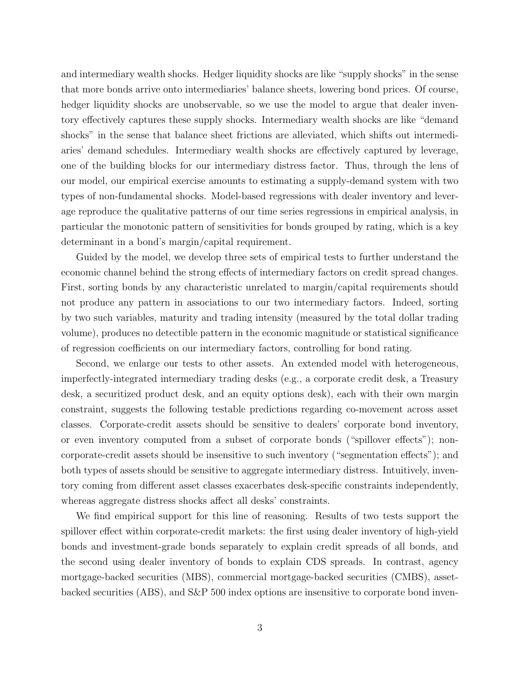and intermediary wealth shocks. Hedger liquidity shocks are like "supply shocks" in the sense that more bonds arrive onto intermediaries' balance sheets, lowering bond prices. Of course, hedger liquidity shocks are unobservable, so we use the model to argue that dealer inventory effectively captures these supply shocks. Intermediary wealth shocks are like "demand shocks" in the sense that balance sheet frictions are alleviated, which shifts out intermediaries' demand schedules. Intermediary wealth shocks are effectively captured by leverage, one of the building blocks for our intermediary distress factor. Thus, through the lens of our model, our empirical exercise amounts to estimating a supply-demand system with two types of non-fundamental shocks. Model-based regressions with dealer inventory and leverage reproduce the qualitative patterns of our time series regressions in empirical analysis, in particular the monotonic pattern of sensitivities for bonds grouped by rating, which is a key determinant in a bond's margin/capital requirement.

Guided by the model, we develop three sets of empirical tests to further understand the economic channel behind the strong effects of intermediary factors on credit spread changes. First, sorting bonds by any characteristic unrelated to margin/capital requirements should not produce any pattern in associations to our two intermediary factors. Indeed, sorting by two such variables, maturity and trading intensity (measured by the total dollar trading volume), produces no detectible pattern in the economic magnitude or statistical significance of regression coefficients on our intermediary factors, controlling for bond rating.

Second, we enlarge our tests to other assets. An extended model with heterogeneous, imperfectly-integrated intermediary trading desks (e.g., a corporate credit desk, a Treasury desk, a securitized product desk, and an equity options desk), each with their own margin constraint, suggests the following testable predictions regarding co-movement across asset classes. Corporate-credit assets should be sensitive to dealers' corporate bond inventory, or even inventory computed from a subset of corporate bonds ("spillover effects"); noncorporate-credit assets should be insensitive to such inventory ("segmentation effects"); and both types of assets should be sensitive to aggregate intermediary distress. Intuitively, inventory coming from different asset classes exacerbates desk-specific constraints independently, whereas aggregate distress shocks affect all desks' constraints.

We find empirical support for this line of reasoning. Results of two tests support the spillover effect within corporate-credit markets: the first using dealer inventory of high-yield bonds and investment-grade bonds separately to explain credit spreads of all bonds, and the second using dealer inventory of bonds to explain CDS spreads. In contrast, agency mortgage-backed securities (MBS), commercial mortgage-backed securities (CMBS), assetbacked securities (ABS), and S&P 500 index options are insensitive to corporate bond inven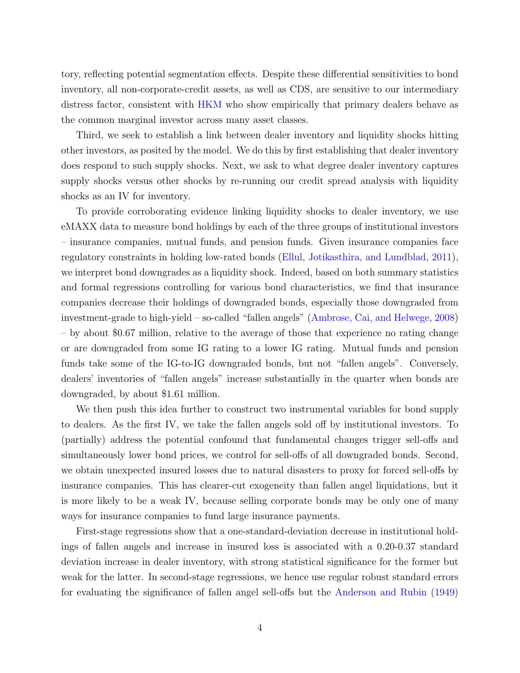tory, reflecting potential segmentation effects. Despite these differential sensitivities to bond inventory, all non-corporate-credit assets, as well as CDS, are sensitive to our intermediary distress factor, consistent with [HKM](#page-69-1) who show empirically that primary dealers behave as the common marginal investor across many asset classes.

Third, we seek to establish a link between dealer inventory and liquidity shocks hitting other investors, as posited by the model. We do this by first establishing that dealer inventory does respond to such supply shocks. Next, we ask to what degree dealer inventory captures supply shocks versus other shocks by re-running our credit spread analysis with liquidity shocks as an IV for inventory.

To provide corroborating evidence linking liquidity shocks to dealer inventory, we use eMAXX data to measure bond holdings by each of the three groups of institutional investors – insurance companies, mutual funds, and pension funds. Given insurance companies face regulatory constraints in holding low-rated bonds [\(Ellul, Jotikasthira, and Lundblad,](#page-68-1) [2011\)](#page-68-1), we interpret bond downgrades as a liquidity shock. Indeed, based on both summary statistics and formal regressions controlling for various bond characteristics, we find that insurance companies decrease their holdings of downgraded bonds, especially those downgraded from investment-grade to high-yield – so-called "fallen angels" [\(Ambrose, Cai, and Helwege,](#page-66-2) [2008\)](#page-66-2) – by about \$0.67 million, relative to the average of those that experience no rating change or are downgraded from some IG rating to a lower IG rating. Mutual funds and pension funds take some of the IG-to-IG downgraded bonds, but not "fallen angels". Conversely, dealers' inventories of "fallen angels" increase substantially in the quarter when bonds are downgraded, by about \$1.61 million.

We then push this idea further to construct two instrumental variables for bond supply to dealers. As the first IV, we take the fallen angels sold off by institutional investors. To (partially) address the potential confound that fundamental changes trigger sell-offs and simultaneously lower bond prices, we control for sell-offs of all downgraded bonds. Second, we obtain unexpected insured losses due to natural disasters to proxy for forced sell-offs by insurance companies. This has clearer-cut exogeneity than fallen angel liquidations, but it is more likely to be a weak IV, because selling corporate bonds may be only one of many ways for insurance companies to fund large insurance payments.

First-stage regressions show that a one-standard-deviation decrease in institutional holdings of fallen angels and increase in insured loss is associated with a 0.20-0.37 standard deviation increase in dealer inventory, with strong statistical significance for the former but weak for the latter. In second-stage regressions, we hence use regular robust standard errors for evaluating the significance of fallen angel sell-offs but the [Anderson and Rubin](#page-66-3) [\(1949\)](#page-66-3)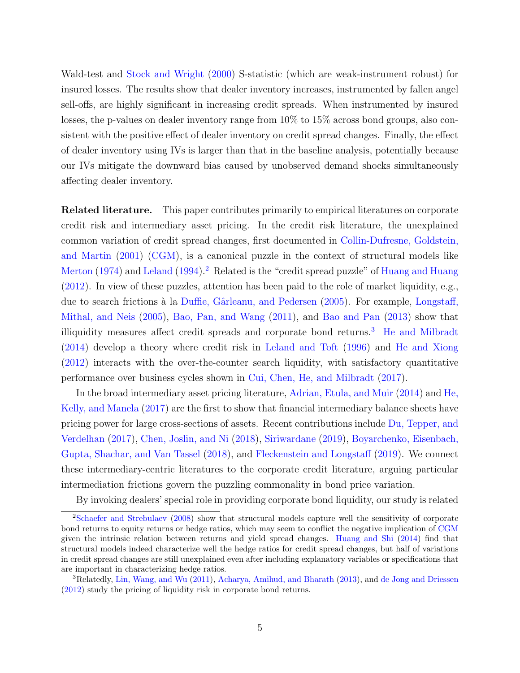Wald-test and [Stock and Wright](#page-71-0) [\(2000\)](#page-71-0) S-statistic (which are weak-instrument robust) for insured losses. The results show that dealer inventory increases, instrumented by fallen angel sell-offs, are highly significant in increasing credit spreads. When instrumented by insured losses, the p-values on dealer inventory range from 10% to 15% across bond groups, also consistent with the positive effect of dealer inventory on credit spread changes. Finally, the effect of dealer inventory using IVs is larger than that in the baseline analysis, potentially because our IVs mitigate the downward bias caused by unobserved demand shocks simultaneously affecting dealer inventory.

Related literature. This paper contributes primarily to empirical literatures on corporate credit risk and intermediary asset pricing. In the credit risk literature, the unexplained common variation of credit spread changes, first documented in [Collin-Dufresne, Goldstein,](#page-67-0) [and Martin](#page-67-0) [\(2001\) \(CGM\)](#page-67-0), is a canonical puzzle in the context of structural models like [Merton](#page-70-1) [\(1974\)](#page-70-1) and [Leland](#page-69-3) [\(1994\)](#page-69-3).<sup>[2](#page-7-0)</sup> Related is the "credit spread puzzle" of [Huang and Huang](#page-69-4) [\(2012\)](#page-69-4). In view of these puzzles, attention has been paid to the role of market liquidity, e.g., due to search frictions à la Duffie, Gârleanu, and Pedersen [\(2005\)](#page-68-2). For example, [Longstaff,](#page-70-2) [Mithal, and Neis](#page-70-2) [\(2005\)](#page-70-2), [Bao, Pan, and Wang](#page-66-0) [\(2011\)](#page-66-0), and [Bao and Pan](#page-66-4) [\(2013\)](#page-66-4) show that illiquidity measures affect credit spreads and corporate bond returns.<sup>[3](#page-7-1)</sup> [He and Milbradt](#page-69-5) [\(2014\)](#page-69-5) develop a theory where credit risk in [Leland and Toft](#page-69-6) [\(1996\)](#page-69-6) and [He and Xiong](#page-69-7) [\(2012\)](#page-69-7) interacts with the over-the-counter search liquidity, with satisfactory quantitative performance over business cycles shown in [Cui, Chen, He, and Milbradt](#page-67-1) [\(2017\)](#page-67-1).

In the broad intermediary asset pricing literature, [Adrian, Etula, and Muir](#page-66-1) [\(2014\)](#page-66-1) and [He,](#page-69-1) [Kelly, and Manela](#page-69-1) [\(2017\)](#page-69-1) are the first to show that financial intermediary balance sheets have pricing power for large cross-sections of assets. Recent contributions include [Du, Tepper, and](#page-68-3) [Verdelhan](#page-68-3) [\(2017\)](#page-68-3), [Chen, Joslin, and Ni](#page-67-2) [\(2018\)](#page-67-2), [Siriwardane](#page-70-3) [\(2019\)](#page-70-3), [Boyarchenko, Eisenbach,](#page-67-3) [Gupta, Shachar, and Van Tassel](#page-67-3) [\(2018\)](#page-67-3), and [Fleckenstein and Longstaff](#page-68-4) [\(2019\)](#page-68-4). We connect these intermediary-centric literatures to the corporate credit literature, arguing particular intermediation frictions govern the puzzling commonality in bond price variation.

<span id="page-7-0"></span>By invoking dealers' special role in providing corporate bond liquidity, our study is related

<sup>&</sup>lt;sup>2</sup>[Schaefer and Strebulaev](#page-70-4) [\(2008\)](#page-70-4) show that structural models capture well the sensitivity of corporate bond returns to equity returns or hedge ratios, which may seem to conflict the negative implication of [CGM](#page-67-0) given the intrinsic relation between returns and yield spread changes. [Huang and Shi](#page-69-8) [\(2014\)](#page-69-8) find that structural models indeed characterize well the hedge ratios for credit spread changes, but half of variations in credit spread changes are still unexplained even after including explanatory variables or specifications that are important in characterizing hedge ratios.

<span id="page-7-1"></span><sup>&</sup>lt;sup>3</sup>Relatedly, [Lin, Wang, and Wu](#page-69-9) [\(2011\)](#page-69-9), [Acharya, Amihud, and Bharath](#page-66-5) [\(2013\)](#page-66-5), and [de Jong and Driessen](#page-67-4) [\(2012\)](#page-67-4) study the pricing of liquidity risk in corporate bond returns.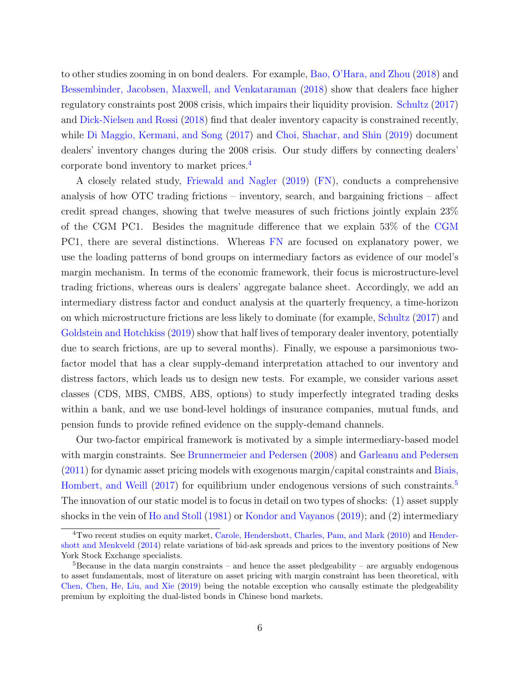to other studies zooming in on bond dealers. For example, [Bao, O'Hara, and Zhou](#page-66-6) [\(2018\)](#page-66-6) and [Bessembinder, Jacobsen, Maxwell, and Venkataraman](#page-66-7) [\(2018\)](#page-66-7) show that dealers face higher regulatory constraints post 2008 crisis, which impairs their liquidity provision. [Schultz](#page-70-5) [\(2017\)](#page-70-5) and [Dick-Nielsen and Rossi](#page-68-5) [\(2018\)](#page-68-5) find that dealer inventory capacity is constrained recently, while [Di Maggio, Kermani, and Song](#page-68-6) [\(2017\)](#page-68-6) and [Choi, Shachar, and Shin](#page-67-5) [\(2019\)](#page-67-5) document dealers' inventory changes during the 2008 crisis. Our study differs by connecting dealers' corporate bond inventory to market prices.[4](#page-8-0)

A closely related study, [Friewald and Nagler](#page-68-7) [\(2019\) \(FN\)](#page-68-7), conducts a comprehensive analysis of how OTC trading frictions – inventory, search, and bargaining frictions – affect credit spread changes, showing that twelve measures of such frictions jointly explain 23% of the CGM PC1. Besides the magnitude difference that we explain 53% of the [CGM](#page-67-0) PC1, there are several distinctions. Whereas [FN](#page-68-7) are focused on explanatory power, we use the loading patterns of bond groups on intermediary factors as evidence of our model's margin mechanism. In terms of the economic framework, their focus is microstructure-level trading frictions, whereas ours is dealers' aggregate balance sheet. Accordingly, we add an intermediary distress factor and conduct analysis at the quarterly frequency, a time-horizon on which microstructure frictions are less likely to dominate (for example, [Schultz](#page-70-5) [\(2017\)](#page-70-5) and [Goldstein and Hotchkiss](#page-68-8) [\(2019\)](#page-68-8) show that half lives of temporary dealer inventory, potentially due to search frictions, are up to several months). Finally, we espouse a parsimonious twofactor model that has a clear supply-demand interpretation attached to our inventory and distress factors, which leads us to design new tests. For example, we consider various asset classes (CDS, MBS, CMBS, ABS, options) to study imperfectly integrated trading desks within a bank, and we use bond-level holdings of insurance companies, mutual funds, and pension funds to provide refined evidence on the supply-demand channels.

Our two-factor empirical framework is motivated by a simple intermediary-based model with margin constraints. See [Brunnermeier and Pedersen](#page-67-6) [\(2008\)](#page-67-6) and [Garleanu and Pedersen](#page-68-9) [\(2011\)](#page-68-9) for dynamic asset pricing models with exogenous margin/capital constraints and [Biais,](#page-66-8) [Hombert, and Weill](#page-66-8) [\(2017\)](#page-66-8) for equilibrium under endogenous versions of such constraints.<sup>[5](#page-8-1)</sup> The innovation of our static model is to focus in detail on two types of shocks: (1) asset supply shocks in the vein of [Ho and Stoll](#page-69-10) [\(1981\)](#page-69-10) or [Kondor and Vayanos](#page-69-11) [\(2019\)](#page-69-11); and (2) intermediary

<span id="page-8-0"></span><sup>&</sup>lt;sup>4</sup>Two recent studies on equity market, [Carole, Hendershott, Charles, Pam, and Mark](#page-67-7) [\(2010\)](#page-67-7) and [Hender](#page-69-12)[shott and Menkveld](#page-69-12) [\(2014\)](#page-69-12) relate variations of bid-ask spreads and prices to the inventory positions of New York Stock Exchange specialists.

<span id="page-8-1"></span> $5B$ ecause in the data margin constraints – and hence the asset pledgeability – are arguably endogenous to asset fundamentals, most of literature on asset pricing with margin constraint has been theoretical, with [Chen, Chen, He, Liu, and Xie](#page-67-8) [\(2019\)](#page-67-8) being the notable exception who causally estimate the pledgeability premium by exploiting the dual-listed bonds in Chinese bond markets.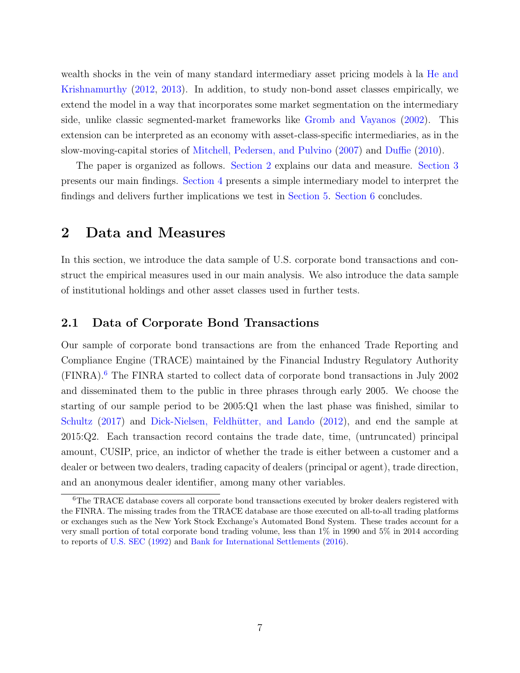wealth shocks in the vein of many standard intermediary asset pricing models à la [He and](#page-69-13) [Krishnamurthy](#page-69-13) [\(2012,](#page-69-13) [2013\)](#page-69-14). In addition, to study non-bond asset classes empirically, we extend the model in a way that incorporates some market segmentation on the intermediary side, unlike classic segmented-market frameworks like [Gromb and Vayanos](#page-68-10) [\(2002\)](#page-68-10). This extension can be interpreted as an economy with asset-class-specific intermediaries, as in the slow-moving-capital stories of [Mitchell, Pedersen, and Pulvino](#page-70-6) [\(2007\)](#page-70-6) and [Duffie](#page-68-11) [\(2010\)](#page-68-11).

The paper is organized as follows. [Section 2](#page-9-0) explains our data and measure. [Section 3](#page-18-0) presents our main findings. [Section 4](#page-24-0) presents a simple intermediary model to interpret the findings and delivers further implications we test in [Section 5.](#page-30-0) [Section 6](#page-39-0) concludes.

# <span id="page-9-0"></span>2 Data and Measures

In this section, we introduce the data sample of U.S. corporate bond transactions and construct the empirical measures used in our main analysis. We also introduce the data sample of institutional holdings and other asset classes used in further tests.

# <span id="page-9-2"></span>2.1 Data of Corporate Bond Transactions

Our sample of corporate bond transactions are from the enhanced Trade Reporting and Compliance Engine (TRACE) maintained by the Financial Industry Regulatory Authority (FINRA).[6](#page-9-1) The FINRA started to collect data of corporate bond transactions in July 2002 and disseminated them to the public in three phrases through early 2005. We choose the starting of our sample period to be 2005:Q1 when the last phase was finished, similar to [Schultz](#page-70-5) [\(2017\)](#page-70-5) and Dick-Nielsen, Feldhütter, and Lando [\(2012\)](#page-68-0), and end the sample at 2015:Q2. Each transaction record contains the trade date, time, (untruncated) principal amount, CUSIP, price, an indictor of whether the trade is either between a customer and a dealer or between two dealers, trading capacity of dealers (principal or agent), trade direction, and an anonymous dealer identifier, among many other variables.

<span id="page-9-1"></span><sup>&</sup>lt;sup>6</sup>The TRACE database covers all corporate bond transactions executed by broker dealers registered with the FINRA. The missing trades from the TRACE database are those executed on all-to-all trading platforms or exchanges such as the New York Stock Exchange's Automated Bond System. These trades account for a very small portion of total corporate bond trading volume, less than 1% in 1990 and 5% in 2014 according to reports of [U.S. SEC](#page-71-1) [\(1992\)](#page-71-1) and [Bank for International Settlements](#page-66-9) [\(2016\)](#page-66-9).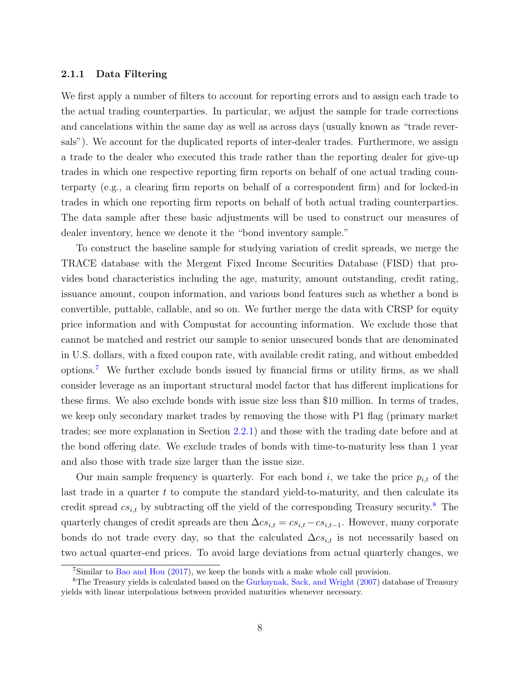#### 2.1.1 Data Filtering

We first apply a number of filters to account for reporting errors and to assign each trade to the actual trading counterparties. In particular, we adjust the sample for trade corrections and cancelations within the same day as well as across days (usually known as "trade reversals"). We account for the duplicated reports of inter-dealer trades. Furthermore, we assign a trade to the dealer who executed this trade rather than the reporting dealer for give-up trades in which one respective reporting firm reports on behalf of one actual trading counterparty (e.g., a clearing firm reports on behalf of a correspondent firm) and for locked-in trades in which one reporting firm reports on behalf of both actual trading counterparties. The data sample after these basic adjustments will be used to construct our measures of dealer inventory, hence we denote it the "bond inventory sample."

To construct the baseline sample for studying variation of credit spreads, we merge the TRACE database with the Mergent Fixed Income Securities Database (FISD) that provides bond characteristics including the age, maturity, amount outstanding, credit rating, issuance amount, coupon information, and various bond features such as whether a bond is convertible, puttable, callable, and so on. We further merge the data with CRSP for equity price information and with Compustat for accounting information. We exclude those that cannot be matched and restrict our sample to senior unsecured bonds that are denominated in U.S. dollars, with a fixed coupon rate, with available credit rating, and without embedded options.[7](#page-10-0) We further exclude bonds issued by financial firms or utility firms, as we shall consider leverage as an important structural model factor that has different implications for these firms. We also exclude bonds with issue size less than \$10 million. In terms of trades, we keep only secondary market trades by removing the those with P1 flag (primary market trades; see more explanation in Section [2.2.1\)](#page-12-0) and those with the trading date before and at the bond offering date. We exclude trades of bonds with time-to-maturity less than 1 year and also those with trade size larger than the issue size.

Our main sample frequency is quarterly. For each bond i, we take the price  $p_{i,t}$  of the last trade in a quarter  $t$  to compute the standard yield-to-maturity, and then calculate its credit spread  $cs_{i,t}$  by subtracting off the yield of the corresponding Treasury security.<sup>[8](#page-10-1)</sup> The quarterly changes of credit spreads are then  $\Delta cs_{i,t} = cs_{i,t} - cs_{i,t-1}$ . However, many corporate bonds do not trade every day, so that the calculated  $\Delta cs_{i,t}$  is not necessarily based on two actual quarter-end prices. To avoid large deviations from actual quarterly changes, we

<span id="page-10-1"></span><span id="page-10-0"></span><sup>7</sup>Similar to [Bao and Hou](#page-66-10) [\(2017\)](#page-66-10), we keep the bonds with a make whole call provision.

<sup>8</sup>The Treasury yields is calculated based on the [Gurkaynak, Sack, and Wright](#page-68-12) [\(2007\)](#page-68-12) database of Treasury yields with linear interpolations between provided maturities whenever necessary.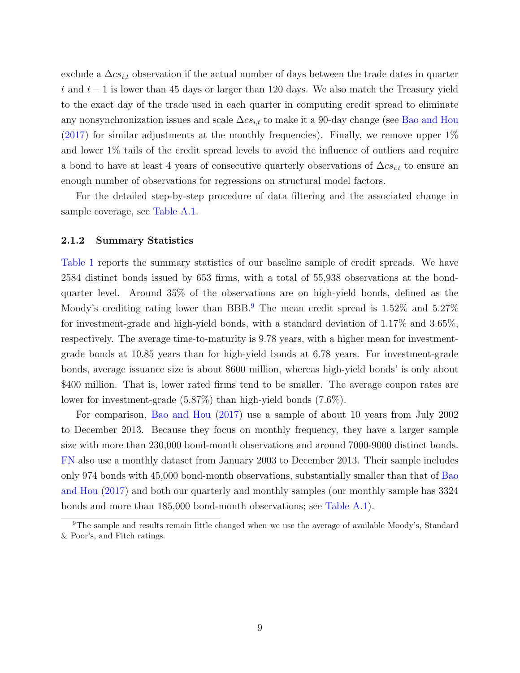exclude a  $\Delta cs_{i,t}$  observation if the actual number of days between the trade dates in quarter t and  $t-1$  is lower than 45 days or larger than 120 days. We also match the Treasury yield to the exact day of the trade used in each quarter in computing credit spread to eliminate any nonsynchronization issues and scale  $\Delta cs_{i,t}$  to make it a 90-day change (see [Bao and Hou](#page-66-10)  $(2017)$  for similar adjustments at the monthly frequencies). Finally, we remove upper  $1\%$ and lower 1% tails of the credit spread levels to avoid the influence of outliers and require a bond to have at least 4 years of consecutive quarterly observations of  $\Delta cs_{i,t}$  to ensure an enough number of observations for regressions on structural model factors.

For the detailed step-by-step procedure of data filtering and the associated change in sample coverage, see [Table A.1.](#page-43-0)

#### <span id="page-11-1"></span>2.1.2 Summary Statistics

[Table 1](#page-43-0) reports the summary statistics of our baseline sample of credit spreads. We have 2584 distinct bonds issued by 653 firms, with a total of 55,938 observations at the bondquarter level. Around 35% of the observations are on high-yield bonds, defined as the Moody's crediting rating lower than BBB.<sup>[9](#page-11-0)</sup> The mean credit spread is  $1.52\%$  and  $5.27\%$ for investment-grade and high-yield bonds, with a standard deviation of 1.17% and 3.65%, respectively. The average time-to-maturity is 9.78 years, with a higher mean for investmentgrade bonds at 10.85 years than for high-yield bonds at 6.78 years. For investment-grade bonds, average issuance size is about \$600 million, whereas high-yield bonds' is only about \$400 million. That is, lower rated firms tend to be smaller. The average coupon rates are lower for investment-grade (5.87%) than high-yield bonds (7.6%).

For comparison, [Bao and Hou](#page-66-10) [\(2017\)](#page-66-10) use a sample of about 10 years from July 2002 to December 2013. Because they focus on monthly frequency, they have a larger sample size with more than 230,000 bond-month observations and around 7000-9000 distinct bonds. [FN](#page-68-7) also use a monthly dataset from January 2003 to December 2013. Their sample includes only 974 bonds with 45,000 bond-month observations, substantially smaller than that of [Bao](#page-66-10) [and Hou](#page-66-10) [\(2017\)](#page-66-10) and both our quarterly and monthly samples (our monthly sample has 3324 bonds and more than 185,000 bond-month observations; see [Table A.1\)](#page-43-0).

<span id="page-11-0"></span> $9$ The sample and results remain little changed when we use the average of available Moody's, Standard & Poor's, and Fitch ratings.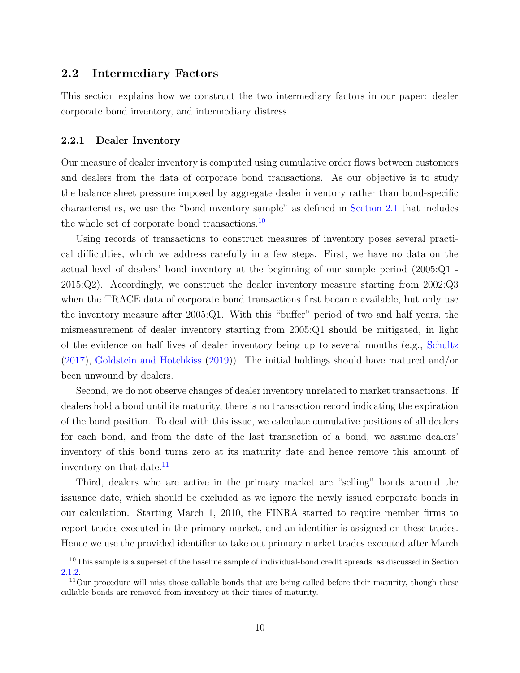# <span id="page-12-3"></span>2.2 Intermediary Factors

This section explains how we construct the two intermediary factors in our paper: dealer corporate bond inventory, and intermediary distress.

#### <span id="page-12-0"></span>2.2.1 Dealer Inventory

Our measure of dealer inventory is computed using cumulative order flows between customers and dealers from the data of corporate bond transactions. As our objective is to study the balance sheet pressure imposed by aggregate dealer inventory rather than bond-specific characteristics, we use the "bond inventory sample" as defined in [Section 2.1](#page-9-2) that includes the whole set of corporate bond transactions.<sup>[10](#page-12-1)</sup>

Using records of transactions to construct measures of inventory poses several practical difficulties, which we address carefully in a few steps. First, we have no data on the actual level of dealers' bond inventory at the beginning of our sample period (2005:Q1 - 2015:Q2). Accordingly, we construct the dealer inventory measure starting from 2002:Q3 when the TRACE data of corporate bond transactions first became available, but only use the inventory measure after 2005:Q1. With this "buffer" period of two and half years, the mismeasurement of dealer inventory starting from 2005:Q1 should be mitigated, in light of the evidence on half lives of dealer inventory being up to several months (e.g., [Schultz](#page-70-5) [\(2017\)](#page-70-5), [Goldstein and Hotchkiss](#page-68-8) [\(2019\)](#page-68-8)). The initial holdings should have matured and/or been unwound by dealers.

Second, we do not observe changes of dealer inventory unrelated to market transactions. If dealers hold a bond until its maturity, there is no transaction record indicating the expiration of the bond position. To deal with this issue, we calculate cumulative positions of all dealers for each bond, and from the date of the last transaction of a bond, we assume dealers' inventory of this bond turns zero at its maturity date and hence remove this amount of inventory on that date.<sup>[11](#page-12-2)</sup>

Third, dealers who are active in the primary market are "selling" bonds around the issuance date, which should be excluded as we ignore the newly issued corporate bonds in our calculation. Starting March 1, 2010, the FINRA started to require member firms to report trades executed in the primary market, and an identifier is assigned on these trades. Hence we use the provided identifier to take out primary market trades executed after March

<span id="page-12-1"></span><sup>&</sup>lt;sup>10</sup>This sample is a superset of the baseline sample of individual-bond credit spreads, as discussed in Section [2.1.2.](#page-11-1)

<span id="page-12-2"></span> $11$ Our procedure will miss those callable bonds that are being called before their maturity, though these callable bonds are removed from inventory at their times of maturity.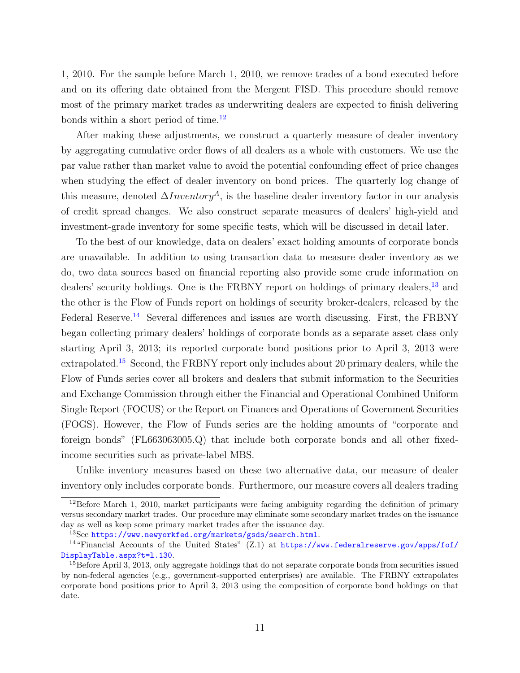1, 2010. For the sample before March 1, 2010, we remove trades of a bond executed before and on its offering date obtained from the Mergent FISD. This procedure should remove most of the primary market trades as underwriting dealers are expected to finish delivering bonds within a short period of time.<sup>[12](#page-13-0)</sup>

After making these adjustments, we construct a quarterly measure of dealer inventory by aggregating cumulative order flows of all dealers as a whole with customers. We use the par value rather than market value to avoid the potential confounding effect of price changes when studying the effect of dealer inventory on bond prices. The quarterly log change of this measure, denoted  $\Delta Inventory^A$ , is the baseline dealer inventory factor in our analysis of credit spread changes. We also construct separate measures of dealers' high-yield and investment-grade inventory for some specific tests, which will be discussed in detail later.

To the best of our knowledge, data on dealers' exact holding amounts of corporate bonds are unavailable. In addition to using transaction data to measure dealer inventory as we do, two data sources based on financial reporting also provide some crude information on dealers' security holdings. One is the FRBNY report on holdings of primary dealers,<sup>[13](#page-13-1)</sup> and the other is the Flow of Funds report on holdings of security broker-dealers, released by the Federal Reserve.<sup>[14](#page-13-2)</sup> Several differences and issues are worth discussing. First, the FRBNY began collecting primary dealers' holdings of corporate bonds as a separate asset class only starting April 3, 2013; its reported corporate bond positions prior to April 3, 2013 were extrapolated.<sup>[15](#page-13-3)</sup> Second, the FRBNY report only includes about 20 primary dealers, while the Flow of Funds series cover all brokers and dealers that submit information to the Securities and Exchange Commission through either the Financial and Operational Combined Uniform Single Report (FOCUS) or the Report on Finances and Operations of Government Securities (FOGS). However, the Flow of Funds series are the holding amounts of "corporate and foreign bonds" (FL663063005.Q) that include both corporate bonds and all other fixedincome securities such as private-label MBS.

Unlike inventory measures based on these two alternative data, our measure of dealer inventory only includes corporate bonds. Furthermore, our measure covers all dealers trading

<span id="page-13-0"></span> $12$ Before March 1, 2010, market participants were facing ambiguity regarding the definition of primary versus secondary market trades. Our procedure may eliminate some secondary market trades on the issuance day as well as keep some primary market trades after the issuance day.

<span id="page-13-2"></span><span id="page-13-1"></span> $^{13}$ See <https://www.newyorkfed.org/markets/gsds/search.html>.

<sup>&</sup>lt;sup>14</sup>"Financial Accounts of the United States" (Z.1) at [https://www.federalreserve.gov/apps/fof/](https://www.federalreserve.gov/apps/fof/DisplayTable.aspx?t=l.130) [DisplayTable.aspx?t=l.130](https://www.federalreserve.gov/apps/fof/DisplayTable.aspx?t=l.130).

<span id="page-13-3"></span><sup>&</sup>lt;sup>15</sup>Before April 3, 2013, only aggregate holdings that do not separate corporate bonds from securities issued by non-federal agencies (e.g., government-supported enterprises) are available. The FRBNY extrapolates corporate bond positions prior to April 3, 2013 using the composition of corporate bond holdings on that date.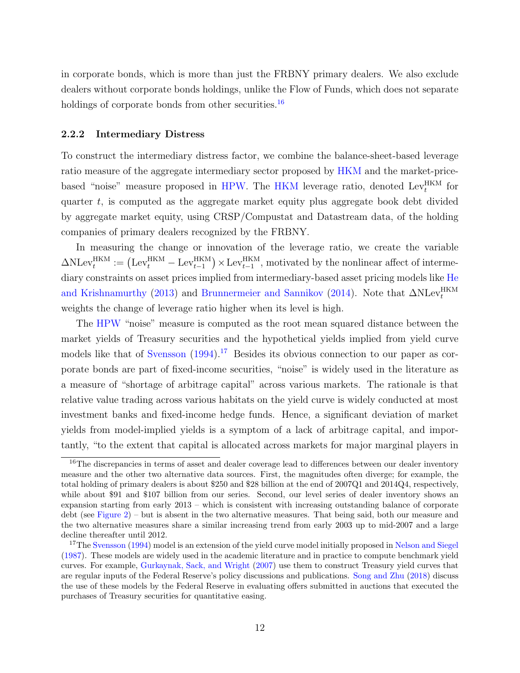in corporate bonds, which is more than just the FRBNY primary dealers. We also exclude dealers without corporate bonds holdings, unlike the Flow of Funds, which does not separate holdings of corporate bonds from other securities.<sup>[16](#page-14-0)</sup>

#### 2.2.2 Intermediary Distress

To construct the intermediary distress factor, we combine the balance-sheet-based leverage ratio measure of the aggregate intermediary sector proposed by [HKM](#page-69-1) and the market-price-based "noise" measure proposed in [HPW.](#page-69-2) The [HKM](#page-69-1) leverage ratio, denoted  $\text{Lev}_t^{\text{HKM}}$  for quarter  $t$ , is computed as the aggregate market equity plus aggregate book debt divided by aggregate market equity, using CRSP/Compustat and Datastream data, of the holding companies of primary dealers recognized by the FRBNY.

In measuring the change or innovation of the leverage ratio, we create the variable  $\Delta \text{NLev}_t^{\text{HKM}} := (\text{Lev}_t^{\text{HKM}} - \text{Lev}_{t-1}^{\text{HKM}}) \times \text{Lev}_{t-1}^{\text{HKM}},$  motivated by the nonlinear affect of intermediary constraints on asset prices implied from intermediary-based asset pricing models like [He](#page-69-14) [and Krishnamurthy](#page-69-14) [\(2013\)](#page-69-14) and [Brunnermeier and Sannikov](#page-67-9) [\(2014\)](#page-67-9). Note that  $\Delta \text{NLev}_t^{\text{HKM}}$ weights the change of leverage ratio higher when its level is high.

The [HPW](#page-69-2) "noise" measure is computed as the root mean squared distance between the market yields of Treasury securities and the hypothetical yields implied from yield curve models like that of [Svensson](#page-71-2)  $(1994)$ .<sup>[17](#page-14-1)</sup> Besides its obvious connection to our paper as corporate bonds are part of fixed-income securities, "noise" is widely used in the literature as a measure of "shortage of arbitrage capital" across various markets. The rationale is that relative value trading across various habitats on the yield curve is widely conducted at most investment banks and fixed-income hedge funds. Hence, a significant deviation of market yields from model-implied yields is a symptom of a lack of arbitrage capital, and importantly, "to the extent that capital is allocated across markets for major marginal players in

<span id="page-14-0"></span><sup>&</sup>lt;sup>16</sup>The discrepancies in terms of asset and dealer coverage lead to differences between our dealer inventory measure and the other two alternative data sources. First, the magnitudes often diverge; for example, the total holding of primary dealers is about \$250 and \$28 billion at the end of 2007Q1 and 2014Q4, respectively, while about \$91 and \$107 billion from our series. Second, our level series of dealer inventory shows an expansion starting from early 2013 – which is consistent with increasing outstanding balance of corporate debt (see [Figure 2\)](#page-42-0) – but is absent in the two alternative measures. That being said, both our measure and the two alternative measures share a similar increasing trend from early 2003 up to mid-2007 and a large decline thereafter until 2012.

<span id="page-14-1"></span><sup>&</sup>lt;sup>17</sup>The [Svensson](#page-71-2) [\(1994\)](#page-71-2) model is an extension of the yield curve model initially proposed in [Nelson and Siegel](#page-70-7) [\(1987\)](#page-70-7). These models are widely used in the academic literature and in practice to compute benchmark yield curves. For example, [Gurkaynak, Sack, and Wright](#page-68-12) [\(2007\)](#page-68-12) use them to construct Treasury yield curves that are regular inputs of the Federal Reserve's policy discussions and publications. [Song and Zhu](#page-70-8) [\(2018\)](#page-70-8) discuss the use of these models by the Federal Reserve in evaluating offers submitted in auctions that executed the purchases of Treasury securities for quantitative easing.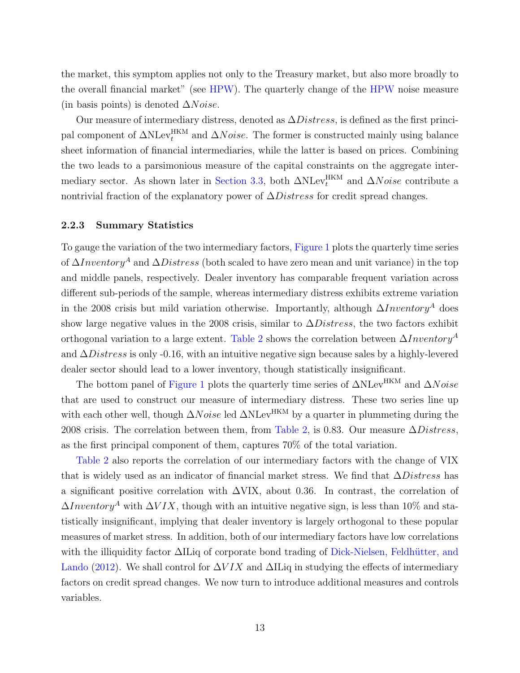the market, this symptom applies not only to the Treasury market, but also more broadly to the overall financial market" (see [HPW\)](#page-69-2). The quarterly change of the [HPW](#page-69-2) noise measure (in basis points) is denoted  $\Delta Noise$ .

Our measure of intermediary distress, denoted as  $\Delta Distress$ , is defined as the first principal component of  $\Delta N \text{Lev}_{t}^{\text{HKM}}$  and  $\Delta Noise$ . The former is constructed mainly using balance sheet information of financial intermediaries, while the latter is based on prices. Combining the two leads to a parsimonious measure of the capital constraints on the aggregate inter-mediary sector. As shown later in [Section 3.3,](#page-23-0) both  $\Delta N \text{Lev}_t^{\text{HKM}}$  and  $\Delta N \text{oise}$  contribute a nontrivial fraction of the explanatory power of  $\Delta Distress$  for credit spread changes.

#### 2.2.3 Summary Statistics

To gauge the variation of the two intermediary factors, [Figure 1](#page-41-0) plots the quarterly time series of  $\Delta Inventory^A$  and  $\Delta Distress$  (both scaled to have zero mean and unit variance) in the top and middle panels, respectively. Dealer inventory has comparable frequent variation across different sub-periods of the sample, whereas intermediary distress exhibits extreme variation in the 2008 crisis but mild variation otherwise. Importantly, although  $\Delta Inventory^A$  does show large negative values in the 2008 crisis, similar to  $\Delta Distress$ , the two factors exhibit orthogonal variation to a large extent. [Table 2](#page-44-0) shows the correlation between  $\Delta Inventory^A$ and  $\Delta Distress$  is only -0.16, with an intuitive negative sign because sales by a highly-levered dealer sector should lead to a lower inventory, though statistically insignificant.

The bottom panel of [Figure 1](#page-41-0) plots the quarterly time series of  $\Delta N \text{Lev}^{\text{HKM}}$  and  $\Delta N \text{oise}$ that are used to construct our measure of intermediary distress. These two series line up with each other well, though  $\Delta Noise$  led  $\Delta N \text{Lev}^{\text{HKM}}$  by a quarter in plummeting during the 2008 crisis. The correlation between them, from [Table 2,](#page-44-0) is 0.83. Our measure  $\Delta Distress$ , as the first principal component of them, captures 70% of the total variation.

[Table 2](#page-44-0) also reports the correlation of our intermediary factors with the change of VIX that is widely used as an indicator of financial market stress. We find that  $\Delta Distress$  has a significant positive correlation with  $\Delta$ VIX, about 0.36. In contrast, the correlation of  $\Delta Inventory^A$  with  $\Delta VIX$ , though with an intuitive negative sign, is less than 10% and statistically insignificant, implying that dealer inventory is largely orthogonal to these popular measures of market stress. In addition, both of our intermediary factors have low correlations with the illiquidity factor  $\Delta$ ILiq of corporate bond trading of Dick-Nielsen, Feldhütter, and [Lando](#page-68-0) [\(2012\)](#page-68-0). We shall control for  $\Delta VIX$  and  $\Delta II$  in studying the effects of intermediary factors on credit spread changes. We now turn to introduce additional measures and controls variables.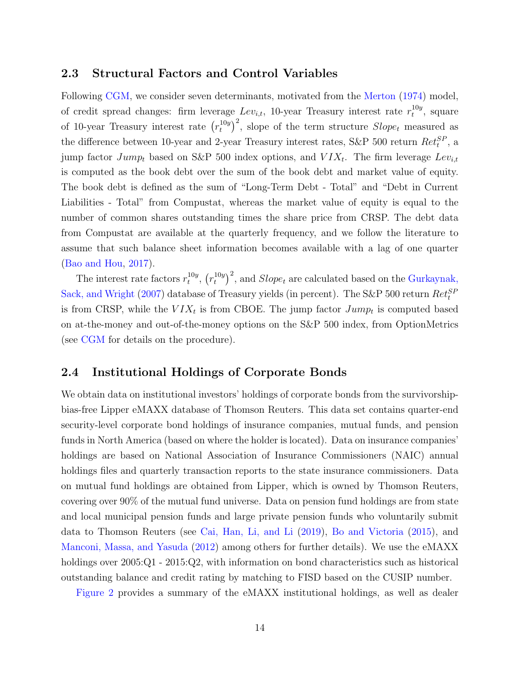# 2.3 Structural Factors and Control Variables

Following [CGM,](#page-67-0) we consider seven determinants, motivated from the [Merton](#page-70-1) [\(1974\)](#page-70-1) model, of credit spread changes: firm leverage  $Lev_{i,t}$ , 10-year Treasury interest rate  $r_t^{10y}$  $t^{10y}$ , square of 10-year Treasury interest rate  $(r_t^{10y})$  $(t_t^{10y})^2$ , slope of the term structure  $Slope_t$  measured as the difference between 10-year and 2-year Treasury interest rates, S&P 500 return  $Ret_t^{SP}$ , a jump factor  $Jump_t$  based on S&P 500 index options, and  $VIX_t$ . The firm leverage  $Lev_{i,t}$ is computed as the book debt over the sum of the book debt and market value of equity. The book debt is defined as the sum of "Long-Term Debt - Total" and "Debt in Current Liabilities - Total" from Compustat, whereas the market value of equity is equal to the number of common shares outstanding times the share price from CRSP. The debt data from Compustat are available at the quarterly frequency, and we follow the literature to assume that such balance sheet information becomes available with a lag of one quarter [\(Bao and Hou,](#page-66-10) [2017\)](#page-66-10).

The interest rate factors  $r_t^{10y}$  $_{t}^{10y}, (r_t^{10y})$  $(t_t^{10y})^2$ , and  $Slope_t$  are calculated based on the [Gurkaynak,](#page-68-12) [Sack, and Wright](#page-68-12) [\(2007\)](#page-68-12) database of Treasury yields (in percent). The S&P 500 return  $Ret_t^{SF}$ is from CRSP, while the  $VIX_t$  is from CBOE. The jump factor  $Jump_t$  is computed based on at-the-money and out-of-the-money options on the S&P 500 index, from OptionMetrics (see [CGM](#page-67-0) for details on the procedure).

# 2.4 Institutional Holdings of Corporate Bonds

We obtain data on institutional investors' holdings of corporate bonds from the survivorshipbias-free Lipper eMAXX database of Thomson Reuters. This data set contains quarter-end security-level corporate bond holdings of insurance companies, mutual funds, and pension funds in North America (based on where the holder is located). Data on insurance companies' holdings are based on National Association of Insurance Commissioners (NAIC) annual holdings files and quarterly transaction reports to the state insurance commissioners. Data on mutual fund holdings are obtained from Lipper, which is owned by Thomson Reuters, covering over 90% of the mutual fund universe. Data on pension fund holdings are from state and local municipal pension funds and large private pension funds who voluntarily submit data to Thomson Reuters (see [Cai, Han, Li, and Li](#page-67-10) [\(2019\)](#page-67-10), [Bo and Victoria](#page-67-11) [\(2015\)](#page-67-11), and [Manconi, Massa, and Yasuda](#page-70-9) [\(2012\)](#page-70-9) among others for further details). We use the eMAXX holdings over  $2005:Q1$  -  $2015:Q2$ , with information on bond characteristics such as historical outstanding balance and credit rating by matching to FISD based on the CUSIP number.

[Figure 2](#page-42-0) provides a summary of the eMAXX institutional holdings, as well as dealer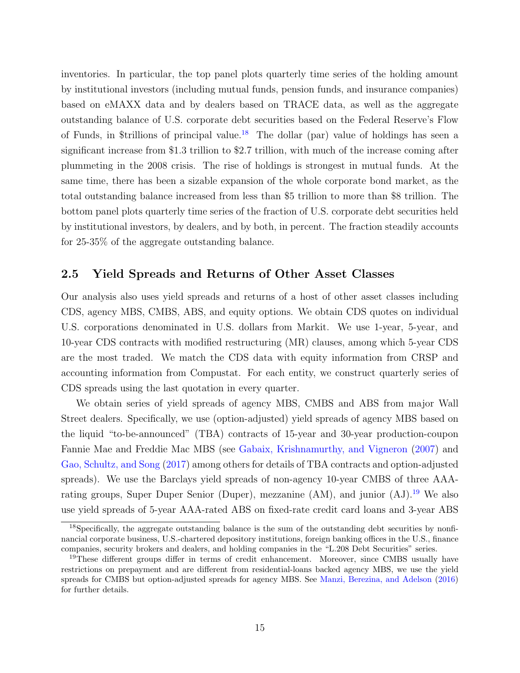inventories. In particular, the top panel plots quarterly time series of the holding amount by institutional investors (including mutual funds, pension funds, and insurance companies) based on eMAXX data and by dealers based on TRACE data, as well as the aggregate outstanding balance of U.S. corporate debt securities based on the Federal Reserve's Flow of Funds, in \$trillions of principal value.[18](#page-17-0) The dollar (par) value of holdings has seen a significant increase from \$1.3 trillion to \$2.7 trillion, with much of the increase coming after plummeting in the 2008 crisis. The rise of holdings is strongest in mutual funds. At the same time, there has been a sizable expansion of the whole corporate bond market, as the total outstanding balance increased from less than \$5 trillion to more than \$8 trillion. The bottom panel plots quarterly time series of the fraction of U.S. corporate debt securities held by institutional investors, by dealers, and by both, in percent. The fraction steadily accounts for 25-35% of the aggregate outstanding balance.

# 2.5 Yield Spreads and Returns of Other Asset Classes

Our analysis also uses yield spreads and returns of a host of other asset classes including CDS, agency MBS, CMBS, ABS, and equity options. We obtain CDS quotes on individual U.S. corporations denominated in U.S. dollars from Markit. We use 1-year, 5-year, and 10-year CDS contracts with modified restructuring (MR) clauses, among which 5-year CDS are the most traded. We match the CDS data with equity information from CRSP and accounting information from Compustat. For each entity, we construct quarterly series of CDS spreads using the last quotation in every quarter.

We obtain series of yield spreads of agency MBS, CMBS and ABS from major Wall Street dealers. Specifically, we use (option-adjusted) yield spreads of agency MBS based on the liquid "to-be-announced" (TBA) contracts of 15-year and 30-year production-coupon Fannie Mae and Freddie Mac MBS (see [Gabaix, Krishnamurthy, and Vigneron](#page-68-13) [\(2007\)](#page-68-13) and [Gao, Schultz, and Song](#page-68-14) [\(2017\)](#page-68-14) among others for details of TBA contracts and option-adjusted spreads). We use the Barclays yield spreads of non-agency 10-year CMBS of three AAArating groups, Super Duper Senior (Duper), mezzanine  $(AM)$ , and junior  $(AJ)$ .<sup>[19](#page-17-1)</sup> We also use yield spreads of 5-year AAA-rated ABS on fixed-rate credit card loans and 3-year ABS

<span id="page-17-0"></span><sup>&</sup>lt;sup>18</sup>Specifically, the aggregate outstanding balance is the sum of the outstanding debt securities by nonfinancial corporate business, U.S.-chartered depository institutions, foreign banking offices in the U.S., finance companies, security brokers and dealers, and holding companies in the "L.208 Debt Securities" series.

<span id="page-17-1"></span><sup>&</sup>lt;sup>19</sup>These different groups differ in terms of credit enhancement. Moreover, since CMBS usually have restrictions on prepayment and are different from residential-loans backed agency MBS, we use the yield spreads for CMBS but option-adjusted spreads for agency MBS. See [Manzi, Berezina, and Adelson](#page-70-10) [\(2016\)](#page-70-10) for further details.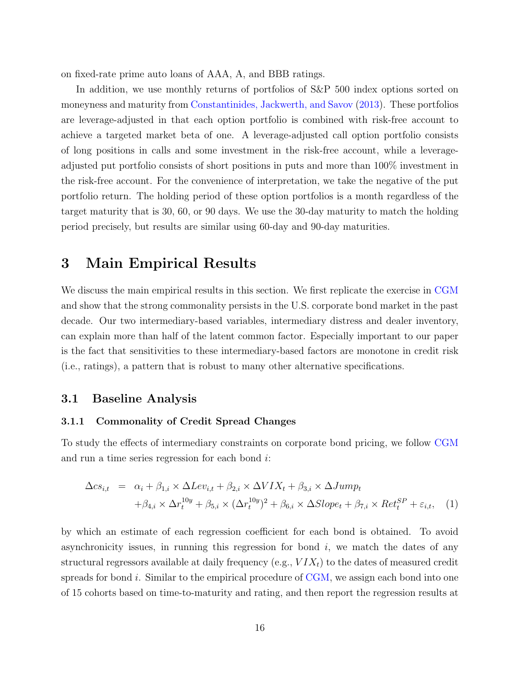on fixed-rate prime auto loans of AAA, A, and BBB ratings.

In addition, we use monthly returns of portfolios of S&P 500 index options sorted on moneyness and maturity from [Constantinides, Jackwerth, and Savov](#page-67-12) [\(2013\)](#page-67-12). These portfolios are leverage-adjusted in that each option portfolio is combined with risk-free account to achieve a targeted market beta of one. A leverage-adjusted call option portfolio consists of long positions in calls and some investment in the risk-free account, while a leverageadjusted put portfolio consists of short positions in puts and more than 100% investment in the risk-free account. For the convenience of interpretation, we take the negative of the put portfolio return. The holding period of these option portfolios is a month regardless of the target maturity that is 30, 60, or 90 days. We use the 30-day maturity to match the holding period precisely, but results are similar using 60-day and 90-day maturities.

# <span id="page-18-0"></span>3 Main Empirical Results

We discuss the main empirical results in this section. We first replicate the exercise in [CGM](#page-67-0) and show that the strong commonality persists in the U.S. corporate bond market in the past decade. Our two intermediary-based variables, intermediary distress and dealer inventory, can explain more than half of the latent common factor. Especially important to our paper is the fact that sensitivities to these intermediary-based factors are monotone in credit risk (i.e., ratings), a pattern that is robust to many other alternative specifications.

# 3.1 Baseline Analysis

#### <span id="page-18-2"></span>3.1.1 Commonality of Credit Spread Changes

To study the effects of intermediary constraints on corporate bond pricing, we follow [CGM](#page-67-0) and run a time series regression for each bond i:

<span id="page-18-1"></span>
$$
\Delta cs_{i,t} = \alpha_i + \beta_{1,i} \times \Delta Lev_{i,t} + \beta_{2,i} \times \Delta VIX_t + \beta_{3,i} \times \Delta Jump_t
$$
  
+
$$
\beta_{4,i} \times \Delta r_t^{10y} + \beta_{5,i} \times (\Delta r_t^{10y})^2 + \beta_{6,i} \times \Delta Slope_t + \beta_{7,i} \times Ret_t^{SP} + \varepsilon_{i,t}, \quad (1)
$$

by which an estimate of each regression coefficient for each bond is obtained. To avoid asynchronicity issues, in running this regression for bond  $i$ , we match the dates of any structural regressors available at daily frequency (e.g.,  $VIX<sub>t</sub>$ ) to the dates of measured credit spreads for bond  $i$ . Similar to the empirical procedure of [CGM,](#page-67-0) we assign each bond into one of 15 cohorts based on time-to-maturity and rating, and then report the regression results at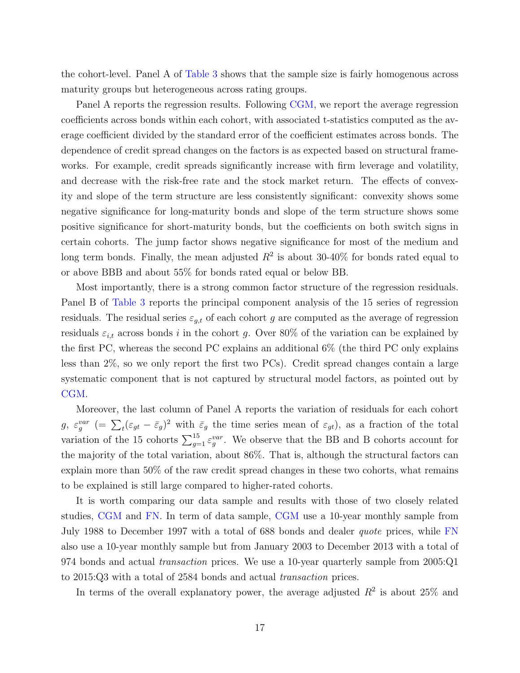the cohort-level. Panel A of [Table 3](#page-45-0) shows that the sample size is fairly homogenous across maturity groups but heterogeneous across rating groups.

Panel A reports the regression results. Following [CGM,](#page-67-0) we report the average regression coefficients across bonds within each cohort, with associated t-statistics computed as the average coefficient divided by the standard error of the coefficient estimates across bonds. The dependence of credit spread changes on the factors is as expected based on structural frameworks. For example, credit spreads significantly increase with firm leverage and volatility, and decrease with the risk-free rate and the stock market return. The effects of convexity and slope of the term structure are less consistently significant: convexity shows some negative significance for long-maturity bonds and slope of the term structure shows some positive significance for short-maturity bonds, but the coefficients on both switch signs in certain cohorts. The jump factor shows negative significance for most of the medium and long term bonds. Finally, the mean adjusted  $R^2$  is about 30-40% for bonds rated equal to or above BBB and about 55% for bonds rated equal or below BB.

Most importantly, there is a strong common factor structure of the regression residuals. Panel B of [Table 3](#page-45-0) reports the principal component analysis of the 15 series of regression residuals. The residual series  $\varepsilon_{g,t}$  of each cohort g are computed as the average of regression residuals  $\varepsilon_{i,t}$  across bonds i in the cohort g. Over 80% of the variation can be explained by the first PC, whereas the second PC explains an additional 6% (the third PC only explains less than 2%, so we only report the first two PCs). Credit spread changes contain a large systematic component that is not captured by structural model factors, as pointed out by [CGM.](#page-67-0)

Moreover, the last column of Panel A reports the variation of residuals for each cohort  $g, \ \varepsilon_g^{var}$  (=  $\sum_t (\varepsilon_{gt} - \bar{\varepsilon}_g)^2$  with  $\bar{\varepsilon}_g$  the time series mean of  $\varepsilon_{gt}$ ), as a fraction of the total variation of the 15 cohorts  $\sum_{g=1}^{15} \varepsilon_g^{var}$ . We observe that the BB and B cohorts account for the majority of the total variation, about 86%. That is, although the structural factors can explain more than 50% of the raw credit spread changes in these two cohorts, what remains to be explained is still large compared to higher-rated cohorts.

It is worth comparing our data sample and results with those of two closely related studies, [CGM](#page-67-0) and [FN.](#page-68-7) In term of data sample, [CGM](#page-67-0) use a 10-year monthly sample from July 1988 to December 1997 with a total of 688 bonds and dealer quote prices, while [FN](#page-68-7) also use a 10-year monthly sample but from January 2003 to December 2013 with a total of 974 bonds and actual transaction prices. We use a 10-year quarterly sample from 2005:Q1 to 2015:Q3 with a total of 2584 bonds and actual transaction prices.

In terms of the overall explanatory power, the average adjusted  $R^2$  is about 25% and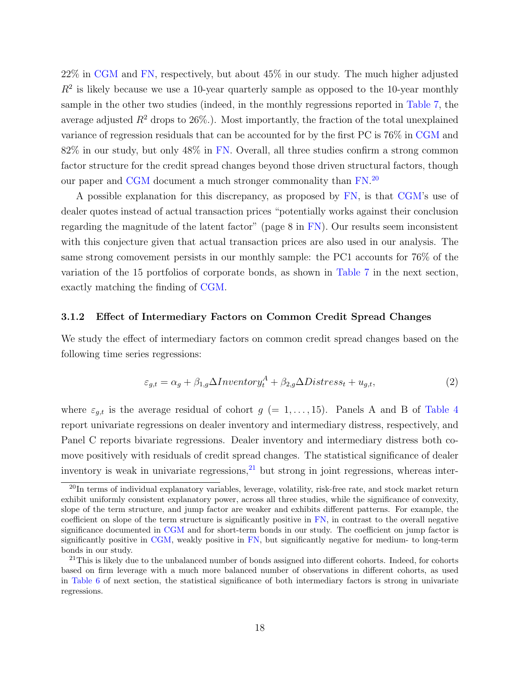22% in [CGM](#page-67-0) and [FN,](#page-68-7) respectively, but about 45% in our study. The much higher adjusted  $R<sup>2</sup>$  is likely because we use a 10-year quarterly sample as opposed to the 10-year monthly sample in the other two studies (indeed, in the monthly regressions reported in [Table 7,](#page-49-0) the average adjusted  $R^2$  drops to  $26\%$ .). Most importantly, the fraction of the total unexplained variance of regression residuals that can be accounted for by the first PC is 76% in [CGM](#page-67-0) and 82% in our study, but only 48% in [FN.](#page-68-7) Overall, all three studies confirm a strong common factor structure for the credit spread changes beyond those driven structural factors, though our paper and [CGM](#page-67-0) document a much stronger commonality than  $FN$ <sup>[20](#page-20-0)</sup>

A possible explanation for this discrepancy, as proposed by [FN,](#page-68-7) is that [CGM'](#page-67-0)s use of dealer quotes instead of actual transaction prices "potentially works against their conclusion regarding the magnitude of the latent factor" (page 8 in [FN\)](#page-68-7). Our results seem inconsistent with this conjecture given that actual transaction prices are also used in our analysis. The same strong comovement persists in our monthly sample: the PC1 accounts for 76% of the variation of the 15 portfolios of corporate bonds, as shown in [Table 7](#page-49-0) in the next section, exactly matching the finding of [CGM.](#page-67-0)

#### 3.1.2 Effect of Intermediary Factors on Common Credit Spread Changes

We study the effect of intermediary factors on common credit spread changes based on the following time series regressions:

$$
\varepsilon_{g,t} = \alpha_g + \beta_{1,g} \Delta Inventory_t^A + \beta_{2,g} \Delta Disters_t + u_{g,t},\tag{2}
$$

where  $\varepsilon_{g,t}$  is the average residual of cohort  $g (= 1, \ldots, 15)$ . Panels A and B of [Table 4](#page-46-0) report univariate regressions on dealer inventory and intermediary distress, respectively, and Panel C reports bivariate regressions. Dealer inventory and intermediary distress both comove positively with residuals of credit spread changes. The statistical significance of dealer inventory is weak in univariate regressions,  $^{21}$  $^{21}$  $^{21}$  but strong in joint regressions, whereas inter-

<span id="page-20-0"></span><sup>20</sup>In terms of individual explanatory variables, leverage, volatility, risk-free rate, and stock market return exhibit uniformly consistent explanatory power, across all three studies, while the significance of convexity, slope of the term structure, and jump factor are weaker and exhibits different patterns. For example, the coefficient on slope of the term structure is significantly positive in [FN,](#page-68-7) in contrast to the overall negative significance documented in [CGM](#page-67-0) and for short-term bonds in our study. The coefficient on jump factor is significantly positive in [CGM,](#page-67-0) weakly positive in [FN,](#page-68-7) but significantly negative for medium- to long-term bonds in our study.

<span id="page-20-1"></span><sup>&</sup>lt;sup>21</sup>This is likely due to the unbalanced number of bonds assigned into different cohorts. Indeed, for cohorts based on firm leverage with a much more balanced number of observations in different cohorts, as used in [Table 6](#page-48-0) of next section, the statistical significance of both intermediary factors is strong in univariate regressions.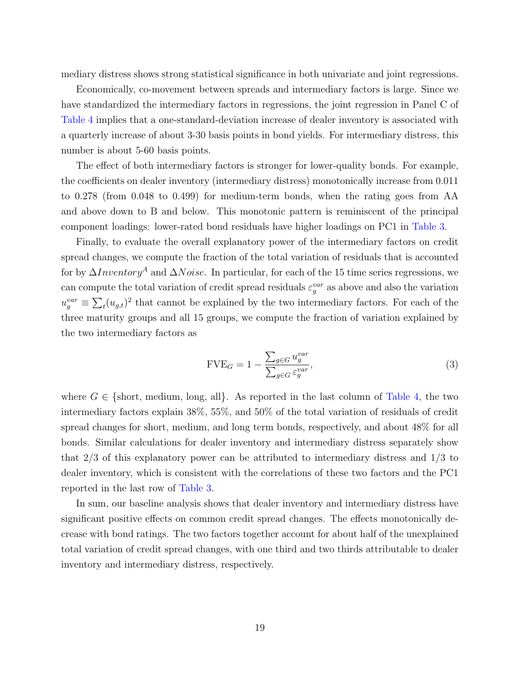mediary distress shows strong statistical significance in both univariate and joint regressions.

Economically, co-movement between spreads and intermediary factors is large. Since we have standardized the intermediary factors in regressions, the joint regression in Panel C of [Table 4](#page-46-0) implies that a one-standard-deviation increase of dealer inventory is associated with a quarterly increase of about 3-30 basis points in bond yields. For intermediary distress, this number is about 5-60 basis points.

The effect of both intermediary factors is stronger for lower-quality bonds. For example, the coefficients on dealer inventory (intermediary distress) monotonically increase from 0.011 to 0.278 (from 0.048 to 0.499) for medium-term bonds, when the rating goes from AA and above down to B and below. This monotonic pattern is reminiscent of the principal component loadings: lower-rated bond residuals have higher loadings on PC1 in [Table 3.](#page-45-0)

Finally, to evaluate the overall explanatory power of the intermediary factors on credit spread changes, we compute the fraction of the total variation of residuals that is accounted for by  $\Delta Inventory^A$  and  $\Delta Noise$ . In particular, for each of the 15 time series regressions, we can compute the total variation of credit spread residuals  $\varepsilon_g^{var}$  as above and also the variation  $u_g^{var} \equiv \sum_t (u_{g,t})^2$  that cannot be explained by the two intermediary factors. For each of the three maturity groups and all 15 groups, we compute the fraction of variation explained by the two intermediary factors as

$$
\text{FVE}_G = 1 - \frac{\sum_{g \in G} u_g^{var}}{\sum_{g \in G} \varepsilon_g^{var}},\tag{3}
$$

where  $G \in \{\text{short, medium, long, all}\}\.$  As reported in the last column of [Table 4,](#page-46-0) the two intermediary factors explain 38%, 55%, and 50% of the total variation of residuals of credit spread changes for short, medium, and long term bonds, respectively, and about 48% for all bonds. Similar calculations for dealer inventory and intermediary distress separately show that 2/3 of this explanatory power can be attributed to intermediary distress and 1/3 to dealer inventory, which is consistent with the correlations of these two factors and the PC1 reported in the last row of [Table 3.](#page-45-0)

In sum, our baseline analysis shows that dealer inventory and intermediary distress have significant positive effects on common credit spread changes. The effects monotonically decrease with bond ratings. The two factors together account for about half of the unexplained total variation of credit spread changes, with one third and two thirds attributable to dealer inventory and intermediary distress, respectively.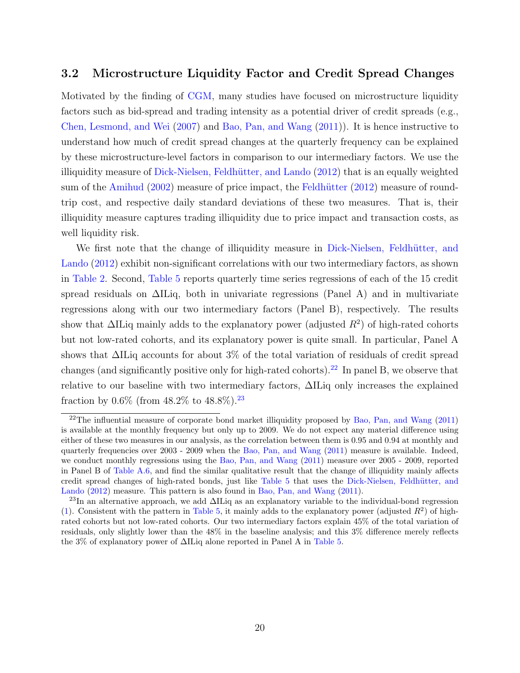# <span id="page-22-0"></span>3.2 Microstructure Liquidity Factor and Credit Spread Changes

Motivated by the finding of [CGM,](#page-67-0) many studies have focused on microstructure liquidity factors such as bid-spread and trading intensity as a potential driver of credit spreads (e.g., [Chen, Lesmond, and Wei](#page-67-13) [\(2007\)](#page-67-13) and [Bao, Pan, and Wang](#page-66-0) [\(2011\)](#page-66-0)). It is hence instructive to understand how much of credit spread changes at the quarterly frequency can be explained by these microstructure-level factors in comparison to our intermediary factors. We use the illiquidity measure of Dick-Nielsen, Feldhütter, and Lando [\(2012\)](#page-68-0) that is an equally weighted sum of the [Amihud](#page-66-11)  $(2002)$  measure of price impact, the Feldhütter  $(2012)$  measure of roundtrip cost, and respective daily standard deviations of these two measures. That is, their illiquidity measure captures trading illiquidity due to price impact and transaction costs, as well liquidity risk.

We first note that the change of illiquidity measure in Dick-Nielsen, Feldhütter, and [Lando](#page-68-0) [\(2012\)](#page-68-0) exhibit non-significant correlations with our two intermediary factors, as shown in [Table 2.](#page-44-0) Second, [Table 5](#page-47-0) reports quarterly time series regressions of each of the 15 credit spread residuals on ∆ILiq, both in univariate regressions (Panel A) and in multivariate regressions along with our two intermediary factors (Panel B), respectively. The results show that  $\Delta$ ILiq mainly adds to the explanatory power (adjusted  $R^2$ ) of high-rated cohorts but not low-rated cohorts, and its explanatory power is quite small. In particular, Panel A shows that ∆ILiq accounts for about 3% of the total variation of residuals of credit spread changes (and significantly positive only for high-rated cohorts).<sup>[22](#page-22-1)</sup> In panel B, we observe that relative to our baseline with two intermediary factors, ∆ILiq only increases the explained fraction by  $0.6\%$  (from  $48.2\%$  to  $48.8\%$ ).<sup>[23](#page-22-2)</sup>

<span id="page-22-1"></span><sup>&</sup>lt;sup>22</sup>The influential measure of corporate bond market illiquidity proposed by [Bao, Pan, and Wang](#page-66-0)  $(2011)$ is available at the monthly frequency but only up to 2009. We do not expect any material difference using either of these two measures in our analysis, as the correlation between them is 0.95 and 0.94 at monthly and quarterly frequencies over 2003 - 2009 when the [Bao, Pan, and Wang](#page-66-0) [\(2011\)](#page-66-0) measure is available. Indeed, we conduct monthly regressions using the [Bao, Pan, and Wang](#page-66-0) [\(2011\)](#page-66-0) measure over 2005 - 2009, reported in Panel B of [Table A.6,](#page-48-0) and find the similar qualitative result that the change of illiquidity mainly affects credit spread changes of high-rated bonds, just like [Table 5](#page-47-0) that uses the Dick-Nielsen, Feldhütter, and [Lando](#page-68-0) [\(2012\)](#page-68-0) measure. This pattern is also found in [Bao, Pan, and Wang](#page-66-0) [\(2011\)](#page-66-0).

<span id="page-22-2"></span><sup>&</sup>lt;sup>23</sup>In an alternative approach, we add  $\Delta \text{II}$  as an explanatory variable to the individual-bond regression [\(1\)](#page-18-1). Consistent with the pattern in [Table 5,](#page-47-0) it mainly adds to the explanatory power (adjusted  $R^2$ ) of highrated cohorts but not low-rated cohorts. Our two intermediary factors explain 45% of the total variation of residuals, only slightly lower than the 48% in the baseline analysis; and this 3% difference merely reflects the 3% of explanatory power of ∆ILiq alone reported in Panel A in [Table 5.](#page-47-0)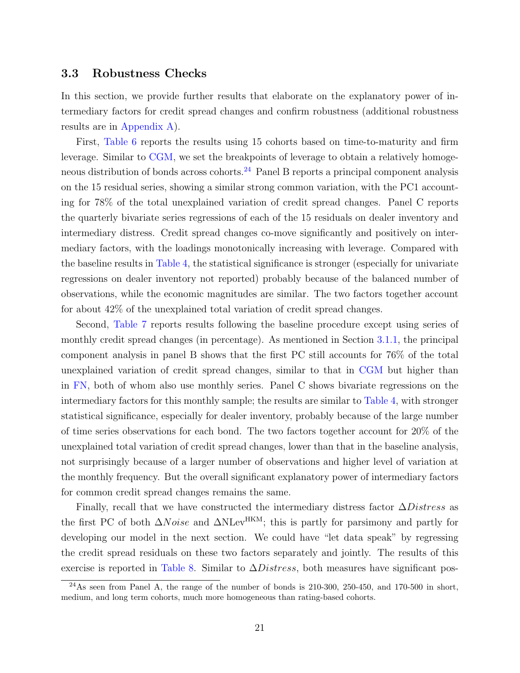## <span id="page-23-0"></span>3.3 Robustness Checks

In this section, we provide further results that elaborate on the explanatory power of intermediary factors for credit spread changes and confirm robustness (additional robustness results are in [Appendix A\)](#page-60-0).

First, [Table 6](#page-48-0) reports the results using 15 cohorts based on time-to-maturity and firm leverage. Similar to [CGM,](#page-67-0) we set the breakpoints of leverage to obtain a relatively homogeneous distribution of bonds across cohorts.[24](#page-23-1) Panel B reports a principal component analysis on the 15 residual series, showing a similar strong common variation, with the PC1 accounting for 78% of the total unexplained variation of credit spread changes. Panel C reports the quarterly bivariate series regressions of each of the 15 residuals on dealer inventory and intermediary distress. Credit spread changes co-move significantly and positively on intermediary factors, with the loadings monotonically increasing with leverage. Compared with the baseline results in [Table 4,](#page-46-0) the statistical significance is stronger (especially for univariate regressions on dealer inventory not reported) probably because of the balanced number of observations, while the economic magnitudes are similar. The two factors together account for about 42% of the unexplained total variation of credit spread changes.

Second, [Table 7](#page-49-0) reports results following the baseline procedure except using series of monthly credit spread changes (in percentage). As mentioned in Section [3.1.1,](#page-18-2) the principal component analysis in panel B shows that the first PC still accounts for 76% of the total unexplained variation of credit spread changes, similar to that in [CGM](#page-67-0) but higher than in [FN,](#page-68-7) both of whom also use monthly series. Panel C shows bivariate regressions on the intermediary factors for this monthly sample; the results are similar to [Table 4,](#page-46-0) with stronger statistical significance, especially for dealer inventory, probably because of the large number of time series observations for each bond. The two factors together account for 20% of the unexplained total variation of credit spread changes, lower than that in the baseline analysis, not surprisingly because of a larger number of observations and higher level of variation at the monthly frequency. But the overall significant explanatory power of intermediary factors for common credit spread changes remains the same.

Finally, recall that we have constructed the intermediary distress factor  $\Delta Distress$  as the first PC of both  $\Delta Noise$  and  $\Delta N \text{Lev}^{\text{HKM}}$ ; this is partly for parsimony and partly for developing our model in the next section. We could have "let data speak" by regressing the credit spread residuals on these two factors separately and jointly. The results of this exercise is reported in [Table 8.](#page-50-0) Similar to  $\Delta Distress$ , both measures have significant pos-

<span id="page-23-1"></span> $^{24}$ As seen from Panel A, the range of the number of bonds is 210-300, 250-450, and 170-500 in short, medium, and long term cohorts, much more homogeneous than rating-based cohorts.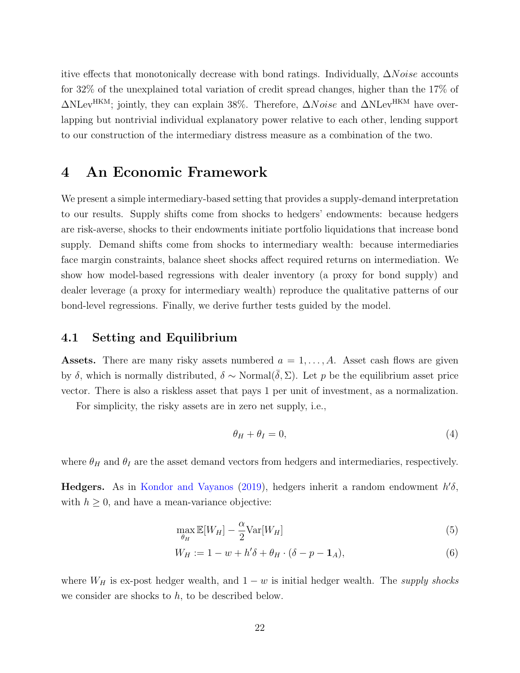itive effects that monotonically decrease with bond ratings. Individually,  $\Delta Noise$  accounts for 32% of the unexplained total variation of credit spread changes, higher than the 17% of  $\Delta$ NLev<sup>HKM</sup>; jointly, they can explain 38%. Therefore,  $\Delta Noise$  and  $\Delta$ NLev<sup>HKM</sup> have overlapping but nontrivial individual explanatory power relative to each other, lending support to our construction of the intermediary distress measure as a combination of the two.

# <span id="page-24-0"></span>4 An Economic Framework

We present a simple intermediary-based setting that provides a supply-demand interpretation to our results. Supply shifts come from shocks to hedgers' endowments: because hedgers are risk-averse, shocks to their endowments initiate portfolio liquidations that increase bond supply. Demand shifts come from shocks to intermediary wealth: because intermediaries face margin constraints, balance sheet shocks affect required returns on intermediation. We show how model-based regressions with dealer inventory (a proxy for bond supply) and dealer leverage (a proxy for intermediary wealth) reproduce the qualitative patterns of our bond-level regressions. Finally, we derive further tests guided by the model.

## 4.1 Setting and Equilibrium

**Assets.** There are many risky assets numbered  $a = 1, \ldots, A$ . Asset cash flows are given by δ, which is normally distributed,  $\delta \sim \text{Normal}(\bar{\delta}, \Sigma)$ . Let p be the equilibrium asset price vector. There is also a riskless asset that pays 1 per unit of investment, as a normalization.

For simplicity, the risky assets are in zero net supply, i.e.,

<span id="page-24-1"></span>
$$
\theta_H + \theta_I = 0,\t\t(4)
$$

where  $\theta_H$  and  $\theta_I$  are the asset demand vectors from hedgers and intermediaries, respectively.

Hedgers. As in [Kondor and Vayanos](#page-69-11) [\(2019\)](#page-69-11), hedgers inherit a random endowment  $h' \delta$ , with  $h \geq 0$ , and have a mean-variance objective:

$$
\max_{\theta_H} \mathbb{E}[W_H] - \frac{\alpha}{2} \text{Var}[W_H] \tag{5}
$$

$$
W_H := 1 - w + h'\delta + \theta_H \cdot (\delta - p - \mathbf{1}_A),\tag{6}
$$

where  $W_H$  is ex-post hedger wealth, and  $1 - w$  is initial hedger wealth. The supply shocks we consider are shocks to  $h$ , to be described below.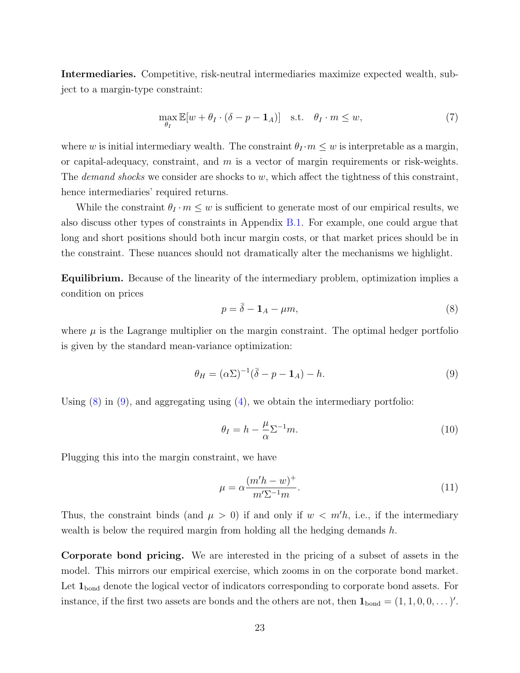Intermediaries. Competitive, risk-neutral intermediaries maximize expected wealth, subject to a margin-type constraint:

<span id="page-25-2"></span>
$$
\max_{\theta_I} \mathbb{E}[w + \theta_I \cdot (\delta - p - \mathbf{1}_A)] \quad \text{s.t.} \quad \theta_I \cdot m \le w,\tag{7}
$$

where w is initial intermediary wealth. The constraint  $\theta_I \cdot m \leq w$  is interpretable as a margin, or capital-adequacy, constraint, and  $m$  is a vector of margin requirements or risk-weights. The *demand shocks* we consider are shocks to  $w$ , which affect the tightness of this constraint, hence intermediaries' required returns.

While the constraint  $\theta_I \cdot m \leq w$  is sufficient to generate most of our empirical results, we also discuss other types of constraints in Appendix [B.1.](#page-62-0) For example, one could argue that long and short positions should both incur margin costs, or that market prices should be in the constraint. These nuances should not dramatically alter the mechanisms we highlight.

Equilibrium. Because of the linearity of the intermediary problem, optimization implies a condition on prices

<span id="page-25-1"></span><span id="page-25-0"></span>
$$
p = \bar{\delta} - \mathbf{1}_A - \mu m,\tag{8}
$$

where  $\mu$  is the Lagrange multiplier on the margin constraint. The optimal hedger portfolio is given by the standard mean-variance optimization:

$$
\theta_H = (\alpha \Sigma)^{-1} (\bar{\delta} - p - \mathbf{1}_A) - h. \tag{9}
$$

Using  $(8)$  in  $(9)$ , and aggregating using  $(4)$ , we obtain the intermediary portfolio:

$$
\theta_I = h - \frac{\mu}{\alpha} \Sigma^{-1} m. \tag{10}
$$

Plugging this into the margin constraint, we have

$$
\mu = \alpha \frac{(m'h - w)^+}{m'\Sigma^{-1}m}.\tag{11}
$$

Thus, the constraint binds (and  $\mu > 0$ ) if and only if  $w < m'h$ , i.e., if the intermediary wealth is below the required margin from holding all the hedging demands  $h$ .

Corporate bond pricing. We are interested in the pricing of a subset of assets in the model. This mirrors our empirical exercise, which zooms in on the corporate bond market. Let  $\mathbf{1}_{\text{bond}}$  denote the logical vector of indicators corresponding to corporate bond assets. For instance, if the first two assets are bonds and the others are not, then  $\mathbf{1}_{bond} = (1, 1, 0, 0, \dots)'.$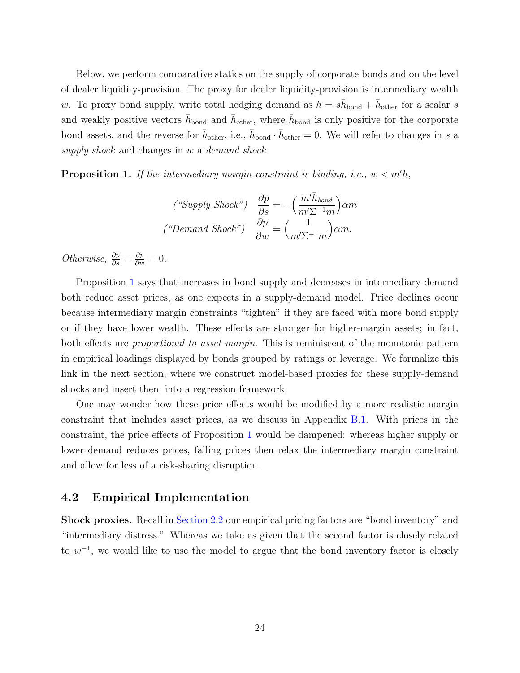Below, we perform comparative statics on the supply of corporate bonds and on the level of dealer liquidity-provision. The proxy for dealer liquidity-provision is intermediary wealth w. To proxy bond supply, write total hedging demand as  $h = s\bar{h}_{\text{bond}} + \bar{h}_{\text{other}}$  for a scalar s and weakly positive vectors  $\bar{h}_{\text{bond}}$  and  $\bar{h}_{\text{other}}$ , where  $\bar{h}_{\text{bond}}$  is only positive for the corporate bond assets, and the reverse for  $\bar{h}_{other}$ , i.e.,  $\bar{h}_{bond} \cdot \bar{h}_{other} = 0$ . We will refer to changes in s a supply shock and changes in w a demand shock.

<span id="page-26-0"></span>**Proposition 1.** If the intermediary margin constraint is binding, i.e.,  $w < m'h$ ,

$$
\begin{aligned}\n\left(^{\text{``Supply}} \ \text{Shock''}\right) \quad & \frac{\partial p}{\partial s} = -\left(\frac{m'\bar{h}_{bond}}{m'\Sigma^{-1}m}\right)\alpha m \\
\left(^{\text{``Demand}} \ \text{Shock''}\right) \quad & \frac{\partial p}{\partial w} = \left(\frac{1}{m'\Sigma^{-1}m}\right)\alpha m.\n\end{aligned}
$$

Otherwise,  $\frac{\partial p}{\partial s} = \frac{\partial p}{\partial w} = 0$ .

Proposition [1](#page-26-0) says that increases in bond supply and decreases in intermediary demand both reduce asset prices, as one expects in a supply-demand model. Price declines occur because intermediary margin constraints "tighten" if they are faced with more bond supply or if they have lower wealth. These effects are stronger for higher-margin assets; in fact, both effects are *proportional to asset margin*. This is reminiscent of the monotonic pattern in empirical loadings displayed by bonds grouped by ratings or leverage. We formalize this link in the next section, where we construct model-based proxies for these supply-demand shocks and insert them into a regression framework.

One may wonder how these price effects would be modified by a more realistic margin constraint that includes asset prices, as we discuss in Appendix [B.1.](#page-62-0) With prices in the constraint, the price effects of Proposition [1](#page-26-0) would be dampened: whereas higher supply or lower demand reduces prices, falling prices then relax the intermediary margin constraint and allow for less of a risk-sharing disruption.

# 4.2 Empirical Implementation

Shock proxies. Recall in [Section 2.2](#page-12-3) our empirical pricing factors are "bond inventory" and "intermediary distress." Whereas we take as given that the second factor is closely related to  $w^{-1}$ , we would like to use the model to argue that the bond inventory factor is closely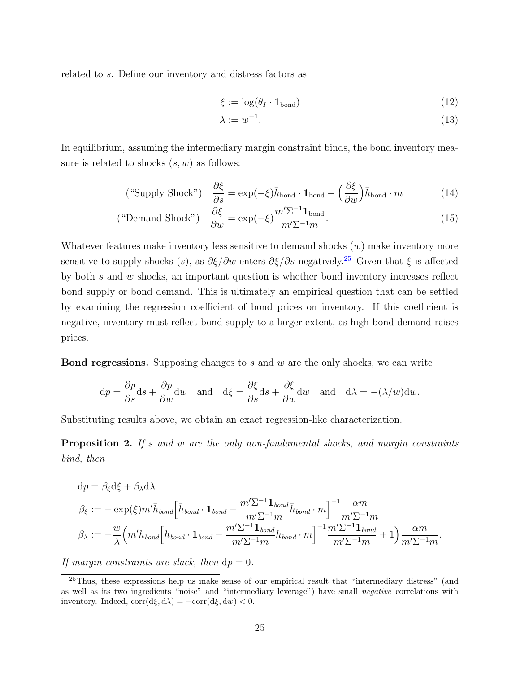related to s. Define our inventory and distress factors as

$$
\xi := \log(\theta_I \cdot \mathbf{1}_{\text{bond}}) \tag{12}
$$

<span id="page-27-2"></span>
$$
\lambda := w^{-1}.\tag{13}
$$

In equilibrium, assuming the intermediary margin constraint binds, the bond inventory measure is related to shocks  $(s, w)$  as follows:

("Supply Shock") 
$$
\frac{\partial \xi}{\partial s} = \exp(-\xi)\bar{h}_{\text{bond}} \cdot \mathbf{1}_{\text{bond}} - \left(\frac{\partial \xi}{\partial w}\right)\bar{h}_{\text{bond}} \cdot m
$$
 (14)

("Demand Shock") 
$$
\frac{\partial \xi}{\partial w} = \exp(-\xi) \frac{m' \Sigma^{-1} \mathbf{1}_{\text{bond}}}{m' \Sigma^{-1} m}.
$$
 (15)

Whatever features make inventory less sensitive to demand shocks  $(w)$  make inventory more sensitive to supply shocks (s), as  $\partial \xi/\partial w$  enters  $\partial \xi/\partial s$  negatively.<sup>[25](#page-27-0)</sup> Given that  $\xi$  is affected by both s and w shocks, an important question is whether bond inventory increases reflect bond supply or bond demand. This is ultimately an empirical question that can be settled by examining the regression coefficient of bond prices on inventory. If this coefficient is negative, inventory must reflect bond supply to a larger extent, as high bond demand raises prices.

Bond regressions. Supposing changes to s and w are the only shocks, we can write

$$
dp = \frac{\partial p}{\partial s} ds + \frac{\partial p}{\partial w} dw \quad \text{and} \quad d\xi = \frac{\partial \xi}{\partial s} ds + \frac{\partial \xi}{\partial w} dw \quad \text{and} \quad d\lambda = -(\lambda/w) dw.
$$

Substituting results above, we obtain an exact regression-like characterization.

<span id="page-27-1"></span>Proposition 2. If s and w are the only non-fundamental shocks, and margin constraints bind, then

$$
dp = \beta_{\xi} d\xi + \beta_{\lambda} d\lambda
$$
  
\n
$$
\beta_{\xi} := -\exp(\xi) m' \bar{h}_{bond} \Big[ \bar{h}_{bond} \cdot \mathbf{1}_{bond} - \frac{m' \Sigma^{-1} \mathbf{1}_{bond}}{m' \Sigma^{-1} m} \bar{h}_{bond} \cdot m \Big]^{-1} \frac{\alpha m}{m' \Sigma^{-1} m}
$$
  
\n
$$
\beta_{\lambda} := -\frac{w}{\lambda} \Big( m' \bar{h}_{bond} \Big[ \bar{h}_{bond} \cdot \mathbf{1}_{bond} - \frac{m' \Sigma^{-1} \mathbf{1}_{bond}}{m' \Sigma^{-1} m} \bar{h}_{bond} \cdot m \Big]^{-1} \frac{m' \Sigma^{-1} \mathbf{1}_{bond}}{m' \Sigma^{-1} m} + 1 \Big) \frac{\alpha m}{m' \Sigma^{-1} m}.
$$

If margin constraints are slack, then  $dp = 0$ .

<span id="page-27-0"></span> $^{25}$ Thus, these expressions help us make sense of our empirical result that "intermediary distress" (and as well as its two ingredients "noise" and "intermediary leverage") have small negative correlations with inventory. Indeed,  $corr(d\xi, d\lambda) = -corr(d\xi, dw) < 0$ .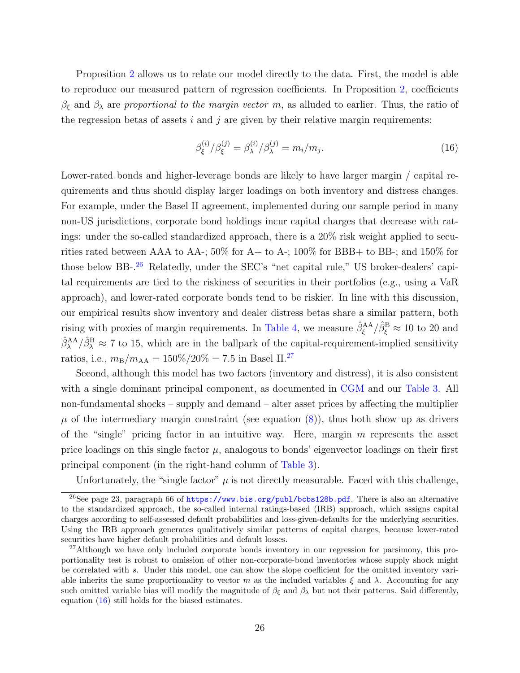Proposition [2](#page-27-1) allows us to relate our model directly to the data. First, the model is able to reproduce our measured pattern of regression coefficients. In Proposition [2,](#page-27-1) coefficients  $\beta_{\xi}$  and  $\beta_{\lambda}$  are proportional to the margin vector m, as alluded to earlier. Thus, the ratio of the regression betas of assets  $i$  and  $j$  are given by their relative margin requirements:

<span id="page-28-2"></span>
$$
\beta_{\xi}^{(i)}/\beta_{\xi}^{(j)} = \beta_{\lambda}^{(i)}/\beta_{\lambda}^{(j)} = m_i/m_j.
$$
\n(16)

Lower-rated bonds and higher-leverage bonds are likely to have larger margin / capital requirements and thus should display larger loadings on both inventory and distress changes. For example, under the Basel II agreement, implemented during our sample period in many non-US jurisdictions, corporate bond holdings incur capital charges that decrease with ratings: under the so-called standardized approach, there is a 20% risk weight applied to securities rated between AAA to AA-;  $50\%$  for A+ to A-;  $100\%$  for BBB+ to BB-; and  $150\%$  for those below BB-.<sup>[26](#page-28-0)</sup> Relatedly, under the SEC's "net capital rule," US broker-dealers' capital requirements are tied to the riskiness of securities in their portfolios (e.g., using a VaR approach), and lower-rated corporate bonds tend to be riskier. In line with this discussion, our empirical results show inventory and dealer distress betas share a similar pattern, both rising with proxies of margin requirements. In [Table 4,](#page-46-0) we measure  $\hat{\beta}^{\text{AA}}_{\xi}/\hat{\beta}^{\text{B}}_{\xi} \approx 10$  to 20 and  $\hat{\beta}_{\lambda}^{AA}/\hat{\beta}_{\lambda}^{B} \approx 7$  to 15, which are in the ballpark of the capital-requirement-implied sensitivity ratios, i.e.,  $m_{\rm B}/m_{\rm AA} = 150\%/20\% = 7.5$  in Basel II.<sup>[27](#page-28-1)</sup>

Second, although this model has two factors (inventory and distress), it is also consistent with a single dominant principal component, as documented in [CGM](#page-67-0) and our [Table 3.](#page-45-0) All non-fundamental shocks – supply and demand – alter asset prices by affecting the multiplier  $\mu$  of the intermediary margin constraint (see equation [\(8\)](#page-25-0)), thus both show up as drivers of the "single" pricing factor in an intuitive way. Here, margin m represents the asset price loadings on this single factor  $\mu$ , analogous to bonds' eigenvector loadings on their first principal component (in the right-hand column of [Table 3\)](#page-45-0).

<span id="page-28-0"></span>Unfortunately, the "single factor"  $\mu$  is not directly measurable. Faced with this challenge,

<sup>&</sup>lt;sup>26</sup>See page 23, paragraph 66 of <https://www.bis.org/publ/bcbs128b.pdf>. There is also an alternative to the standardized approach, the so-called internal ratings-based (IRB) approach, which assigns capital charges according to self-assessed default probabilities and loss-given-defaults for the underlying securities. Using the IRB approach generates qualitatively similar patterns of capital charges, because lower-rated securities have higher default probabilities and default losses.

<span id="page-28-1"></span><sup>&</sup>lt;sup>27</sup>Although we have only included corporate bonds inventory in our regression for parsimony, this proportionality test is robust to omission of other non-corporate-bond inventories whose supply shock might be correlated with s. Under this model, one can show the slope coefficient for the omitted inventory variable inherits the same proportionality to vector m as the included variables  $\xi$  and  $\lambda$ . Accounting for any such omitted variable bias will modify the magnitude of  $\beta_{\xi}$  and  $\beta_{\lambda}$  but not their patterns. Said differently, equation [\(16\)](#page-28-2) still holds for the biased estimates.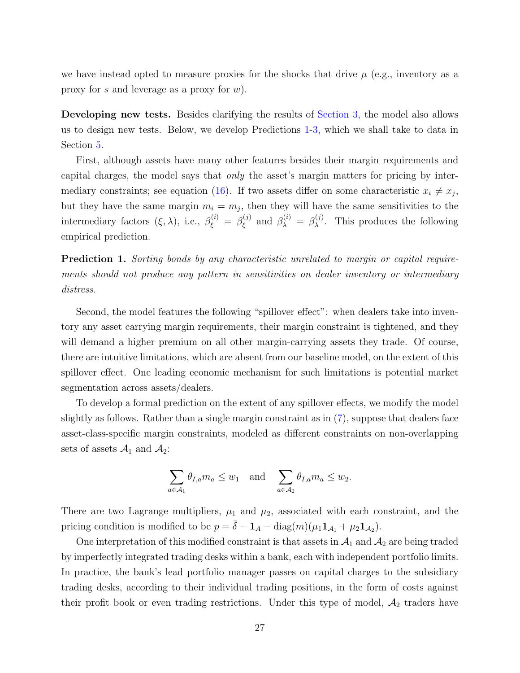we have instead opted to measure proxies for the shocks that drive  $\mu$  (e.g., inventory as a proxy for s and leverage as a proxy for  $w$ ).

Developing new tests. Besides clarifying the results of [Section 3,](#page-18-0) the model also allows us to design new tests. Below, we develop Predictions [1-](#page-29-0)[3,](#page-30-1) which we shall take to data in Section [5.](#page-30-0)

First, although assets have many other features besides their margin requirements and capital charges, the model says that only the asset's margin matters for pricing by inter-mediary constraints; see equation [\(16\)](#page-28-2). If two assets differ on some characteristic  $x_i \neq x_j$ , but they have the same margin  $m_i = m_j$ , then they will have the same sensitivities to the intermediary factors  $(\xi, \lambda)$ , i.e.,  $\beta_{\xi}^{(i)} = \beta_{\xi}^{(j)}$  $\beta_{\lambda}^{(j)}$  and  $\beta_{\lambda}^{(i)} = \beta_{\lambda}^{(j)}$  $\lambda^{(0)}$ . This produces the following empirical prediction.

<span id="page-29-0"></span>Prediction 1. Sorting bonds by any characteristic unrelated to margin or capital requirements should not produce any pattern in sensitivities on dealer inventory or intermediary distress.

Second, the model features the following "spillover effect": when dealers take into inventory any asset carrying margin requirements, their margin constraint is tightened, and they will demand a higher premium on all other margin-carrying assets they trade. Of course, there are intuitive limitations, which are absent from our baseline model, on the extent of this spillover effect. One leading economic mechanism for such limitations is potential market segmentation across assets/dealers.

To develop a formal prediction on the extent of any spillover effects, we modify the model slightly as follows. Rather than a single margin constraint as in [\(7\)](#page-25-2), suppose that dealers face asset-class-specific margin constraints, modeled as different constraints on non-overlapping sets of assets  $\mathcal{A}_1$  and  $\mathcal{A}_2$ :

$$
\sum_{a \in \mathcal{A}_1} \theta_{I,a} m_a \le w_1 \quad \text{and} \quad \sum_{a \in \mathcal{A}_2} \theta_{I,a} m_a \le w_2.
$$

There are two Lagrange multipliers,  $\mu_1$  and  $\mu_2$ , associated with each constraint, and the pricing condition is modified to be  $p = \bar{\delta} - \mathbf{1}_A - \text{diag}(m)(\mu_1 \mathbf{1}_{A_1} + \mu_2 \mathbf{1}_{A_2}).$ 

One interpretation of this modified constraint is that assets in  $\mathcal{A}_1$  and  $\mathcal{A}_2$  are being traded by imperfectly integrated trading desks within a bank, each with independent portfolio limits. In practice, the bank's lead portfolio manager passes on capital charges to the subsidiary trading desks, according to their individual trading positions, in the form of costs against their profit book or even trading restrictions. Under this type of model,  $A_2$  traders have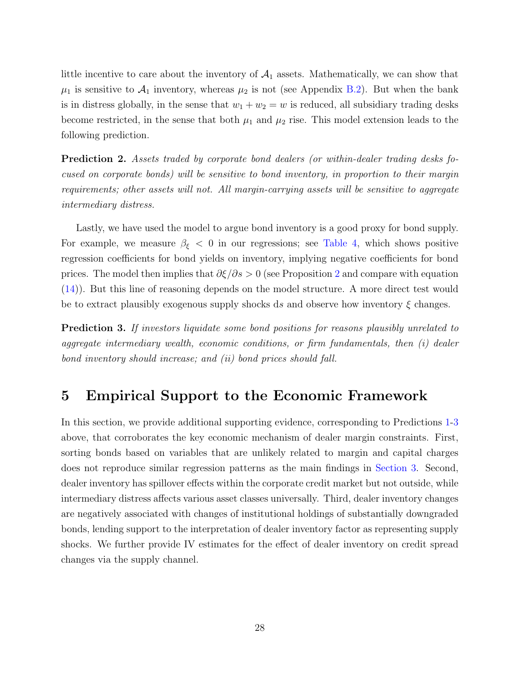little incentive to care about the inventory of  $A_1$  assets. Mathematically, we can show that  $\mu_1$  is sensitive to  $\mathcal{A}_1$  inventory, whereas  $\mu_2$  is not (see Appendix [B.2\)](#page-62-1). But when the bank is in distress globally, in the sense that  $w_1 + w_2 = w$  is reduced, all subsidiary trading desks become restricted, in the sense that both  $\mu_1$  and  $\mu_2$  rise. This model extension leads to the following prediction.

<span id="page-30-2"></span>Prediction 2. Assets traded by corporate bond dealers (or within-dealer trading desks focused on corporate bonds) will be sensitive to bond inventory, in proportion to their margin requirements; other assets will not. All margin-carrying assets will be sensitive to aggregate intermediary distress.

Lastly, we have used the model to argue bond inventory is a good proxy for bond supply. For example, we measure  $\beta_{\xi}$  < 0 in our regressions; see [Table 4,](#page-46-0) which shows positive regression coefficients for bond yields on inventory, implying negative coefficients for bond prices. The model then implies that  $\partial \xi/\partial s > 0$  (see Proposition [2](#page-27-1) and compare with equation [\(14\)](#page-27-2)). But this line of reasoning depends on the model structure. A more direct test would be to extract plausibly exogenous supply shocks ds and observe how inventory  $\xi$  changes.

<span id="page-30-1"></span>Prediction 3. If investors liquidate some bond positions for reasons plausibly unrelated to aggregate intermediary wealth, economic conditions, or firm fundamentals, then (i) dealer bond inventory should increase; and (ii) bond prices should fall.

# <span id="page-30-0"></span>5 Empirical Support to the Economic Framework

In this section, we provide additional supporting evidence, corresponding to Predictions [1](#page-29-0)[-3](#page-30-1) above, that corroborates the key economic mechanism of dealer margin constraints. First, sorting bonds based on variables that are unlikely related to margin and capital charges does not reproduce similar regression patterns as the main findings in [Section 3.](#page-18-0) Second, dealer inventory has spillover effects within the corporate credit market but not outside, while intermediary distress affects various asset classes universally. Third, dealer inventory changes are negatively associated with changes of institutional holdings of substantially downgraded bonds, lending support to the interpretation of dealer inventory factor as representing supply shocks. We further provide IV estimates for the effect of dealer inventory on credit spread changes via the supply channel.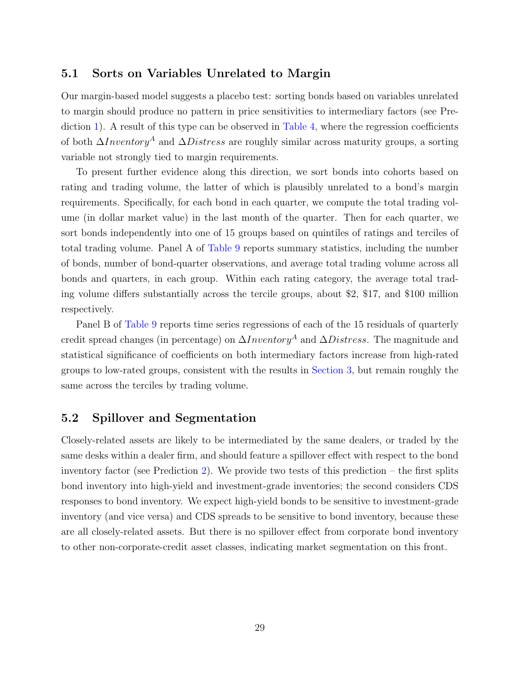# 5.1 Sorts on Variables Unrelated to Margin

Our margin-based model suggests a placebo test: sorting bonds based on variables unrelated to margin should produce no pattern in price sensitivities to intermediary factors (see Pre-diction [1\)](#page-29-0). A result of this type can be observed in [Table 4,](#page-46-0) where the regression coefficients of both  $\Delta Inventory^A$  and  $\Delta Distress$  are roughly similar across maturity groups, a sorting variable not strongly tied to margin requirements.

To present further evidence along this direction, we sort bonds into cohorts based on rating and trading volume, the latter of which is plausibly unrelated to a bond's margin requirements. Specifically, for each bond in each quarter, we compute the total trading volume (in dollar market value) in the last month of the quarter. Then for each quarter, we sort bonds independently into one of 15 groups based on quintiles of ratings and terciles of total trading volume. Panel A of [Table 9](#page-51-0) reports summary statistics, including the number of bonds, number of bond-quarter observations, and average total trading volume across all bonds and quarters, in each group. Within each rating category, the average total trading volume differs substantially across the tercile groups, about \$2, \$17, and \$100 million respectively.

Panel B of [Table 9](#page-51-0) reports time series regressions of each of the 15 residuals of quarterly credit spread changes (in percentage) on  $\Delta Inventory^A$  and  $\Delta Distress$ . The magnitude and statistical significance of coefficients on both intermediary factors increase from high-rated groups to low-rated groups, consistent with the results in [Section 3,](#page-18-0) but remain roughly the same across the terciles by trading volume.

# 5.2 Spillover and Segmentation

Closely-related assets are likely to be intermediated by the same dealers, or traded by the same desks within a dealer firm, and should feature a spillover effect with respect to the bond inventory factor (see Prediction [2\)](#page-30-2). We provide two tests of this prediction – the first splits bond inventory into high-yield and investment-grade inventories; the second considers CDS responses to bond inventory. We expect high-yield bonds to be sensitive to investment-grade inventory (and vice versa) and CDS spreads to be sensitive to bond inventory, because these are all closely-related assets. But there is no spillover effect from corporate bond inventory to other non-corporate-credit asset classes, indicating market segmentation on this front.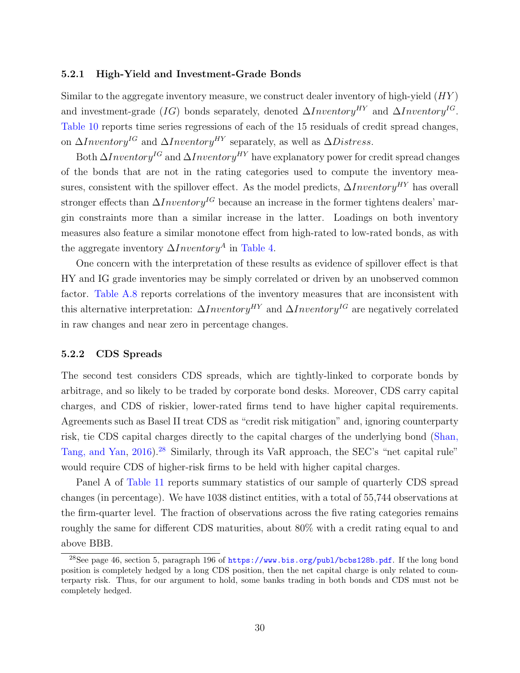#### 5.2.1 High-Yield and Investment-Grade Bonds

Similar to the aggregate inventory measure, we construct dealer inventory of high-yield  $(HY)$ and investment-grade (IG) bonds separately, denoted  $\Delta Inventory^{HY}$  and  $\Delta Inventory^{IG}$ . [Table 10](#page-52-0) reports time series regressions of each of the 15 residuals of credit spread changes, on  $\Delta Inventory^{IG}$  and  $\Delta Inventory^{HY}$  separately, as well as  $\Delta Distress$ .

Both  $\Delta Inventory^{IG}$  and  $\Delta Inventory^{HY}$  have explanatory power for credit spread changes of the bonds that are not in the rating categories used to compute the inventory measures, consistent with the spillover effect. As the model predicts,  $\Delta Inventory^{HY}$  has overall stronger effects than  $\Delta Inventory^{IG}$  because an increase in the former tightens dealers' margin constraints more than a similar increase in the latter. Loadings on both inventory measures also feature a similar monotone effect from high-rated to low-rated bonds, as with the aggregate inventory  $\Delta Inventory^A$  in [Table 4.](#page-46-0)

One concern with the interpretation of these results as evidence of spillover effect is that HY and IG grade inventories may be simply correlated or driven by an unobserved common factor. [Table A.8](#page-50-0) reports correlations of the inventory measures that are inconsistent with this alternative interpretation:  $\Delta Inventory^{HY}$  and  $\Delta Inventory^{IG}$  are negatively correlated in raw changes and near zero in percentage changes.

#### 5.2.2 CDS Spreads

The second test considers CDS spreads, which are tightly-linked to corporate bonds by arbitrage, and so likely to be traded by corporate bond desks. Moreover, CDS carry capital charges, and CDS of riskier, lower-rated firms tend to have higher capital requirements. Agreements such as Basel II treat CDS as "credit risk mitigation" and, ignoring counterparty risk, tie CDS capital charges directly to the capital charges of the underlying bond [\(Shan,](#page-70-11) [Tang, and Yan,](#page-70-11) [2016\)](#page-70-11).<sup>[28](#page-32-0)</sup> Similarly, through its VaR approach, the SEC's "net capital rule" would require CDS of higher-risk firms to be held with higher capital charges.

Panel A of [Table 11](#page-53-0) reports summary statistics of our sample of quarterly CDS spread changes (in percentage). We have 1038 distinct entities, with a total of 55,744 observations at the firm-quarter level. The fraction of observations across the five rating categories remains roughly the same for different CDS maturities, about 80% with a credit rating equal to and above BBB.

<span id="page-32-0"></span><sup>&</sup>lt;sup>28</sup>See page 46, section 5, paragraph 196 of <https://www.bis.org/publ/bcbs128b.pdf>. If the long bond position is completely hedged by a long CDS position, then the net capital charge is only related to counterparty risk. Thus, for our argument to hold, some banks trading in both bonds and CDS must not be completely hedged.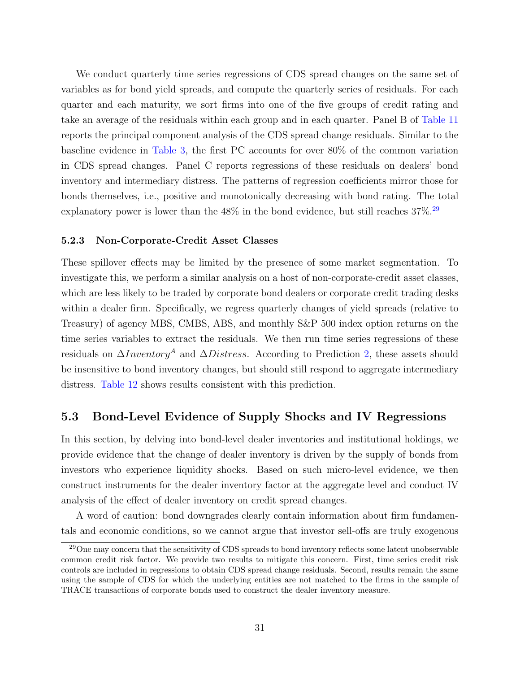We conduct quarterly time series regressions of CDS spread changes on the same set of variables as for bond yield spreads, and compute the quarterly series of residuals. For each quarter and each maturity, we sort firms into one of the five groups of credit rating and take an average of the residuals within each group and in each quarter. Panel B of [Table 11](#page-53-0) reports the principal component analysis of the CDS spread change residuals. Similar to the baseline evidence in [Table 3,](#page-45-0) the first PC accounts for over 80% of the common variation in CDS spread changes. Panel C reports regressions of these residuals on dealers' bond inventory and intermediary distress. The patterns of regression coefficients mirror those for bonds themselves, i.e., positive and monotonically decreasing with bond rating. The total explanatory power is lower than the  $48\%$  in the bond evidence, but still reaches  $37\%$ .<sup>[29](#page-33-0)</sup>

#### 5.2.3 Non-Corporate-Credit Asset Classes

These spillover effects may be limited by the presence of some market segmentation. To investigate this, we perform a similar analysis on a host of non-corporate-credit asset classes, which are less likely to be traded by corporate bond dealers or corporate credit trading desks within a dealer firm. Specifically, we regress quarterly changes of yield spreads (relative to Treasury) of agency MBS, CMBS, ABS, and monthly S&P 500 index option returns on the time series variables to extract the residuals. We then run time series regressions of these residuals on  $\Delta Inventory^A$  and  $\Delta Distress$ . According to Prediction [2,](#page-30-2) these assets should be insensitive to bond inventory changes, but should still respond to aggregate intermediary distress. [Table 12](#page-54-0) shows results consistent with this prediction.

# 5.3 Bond-Level Evidence of Supply Shocks and IV Regressions

In this section, by delving into bond-level dealer inventories and institutional holdings, we provide evidence that the change of dealer inventory is driven by the supply of bonds from investors who experience liquidity shocks. Based on such micro-level evidence, we then construct instruments for the dealer inventory factor at the aggregate level and conduct IV analysis of the effect of dealer inventory on credit spread changes.

A word of caution: bond downgrades clearly contain information about firm fundamentals and economic conditions, so we cannot argue that investor sell-offs are truly exogenous

<span id="page-33-0"></span><sup>&</sup>lt;sup>29</sup>One may concern that the sensitivity of CDS spreads to bond inventory reflects some latent unobservable common credit risk factor. We provide two results to mitigate this concern. First, time series credit risk controls are included in regressions to obtain CDS spread change residuals. Second, results remain the same using the sample of CDS for which the underlying entities are not matched to the firms in the sample of TRACE transactions of corporate bonds used to construct the dealer inventory measure.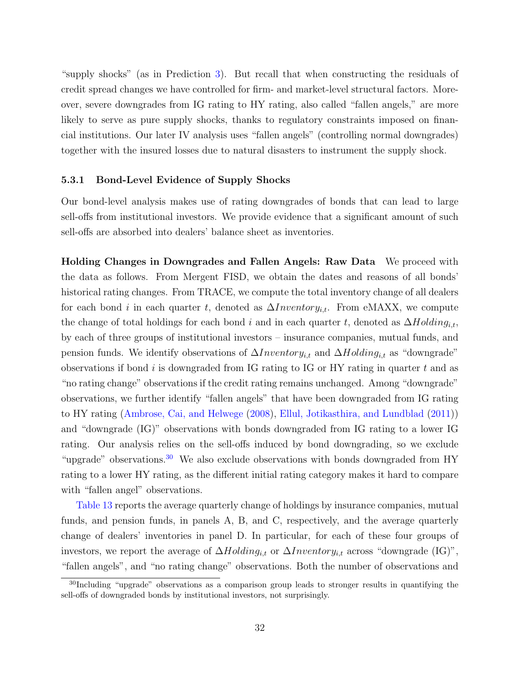"supply shocks" (as in Prediction [3\)](#page-30-1). But recall that when constructing the residuals of credit spread changes we have controlled for firm- and market-level structural factors. Moreover, severe downgrades from IG rating to HY rating, also called "fallen angels," are more likely to serve as pure supply shocks, thanks to regulatory constraints imposed on financial institutions. Our later IV analysis uses "fallen angels" (controlling normal downgrades) together with the insured losses due to natural disasters to instrument the supply shock.

#### 5.3.1 Bond-Level Evidence of Supply Shocks

Our bond-level analysis makes use of rating downgrades of bonds that can lead to large sell-offs from institutional investors. We provide evidence that a significant amount of such sell-offs are absorbed into dealers' balance sheet as inventories.

Holding Changes in Downgrades and Fallen Angels: Raw Data We proceed with the data as follows. From Mergent FISD, we obtain the dates and reasons of all bonds' historical rating changes. From TRACE, we compute the total inventory change of all dealers for each bond i in each quarter t, denoted as  $\Delta Inventory_{i,t}$ . From eMAXX, we compute the change of total holdings for each bond i and in each quarter t, denoted as  $\Delta Holding_{i,t}$ , by each of three groups of institutional investors – insurance companies, mutual funds, and pension funds. We identify observations of  $\Delta Inventory_{i,t}$  and  $\Delta Holding_{i,t}$  as "downgrade" observations if bond  $i$  is downgraded from IG rating to IG or HY rating in quarter  $t$  and as "no rating change" observations if the credit rating remains unchanged. Among "downgrade" observations, we further identify "fallen angels" that have been downgraded from IG rating to HY rating [\(Ambrose, Cai, and Helwege](#page-66-2) [\(2008\)](#page-66-2), [Ellul, Jotikasthira, and Lundblad](#page-68-1) [\(2011\)](#page-68-1)) and "downgrade (IG)" observations with bonds downgraded from IG rating to a lower IG rating. Our analysis relies on the sell-offs induced by bond downgrading, so we exclude "upgrade" observations.<sup>[30](#page-34-0)</sup> We also exclude observations with bonds downgraded from HY rating to a lower HY rating, as the different initial rating category makes it hard to compare with "fallen angel" observations.

[Table 13](#page-55-0) reports the average quarterly change of holdings by insurance companies, mutual funds, and pension funds, in panels A, B, and C, respectively, and the average quarterly change of dealers' inventories in panel D. In particular, for each of these four groups of investors, we report the average of  $\Delta Holding_{i,t}$  or  $\Delta Inventory_{i,t}$  across "downgrade (IG)", "fallen angels", and "no rating change" observations. Both the number of observations and

<span id="page-34-0"></span><sup>30</sup>Including "upgrade" observations as a comparison group leads to stronger results in quantifying the sell-offs of downgraded bonds by institutional investors, not surprisingly.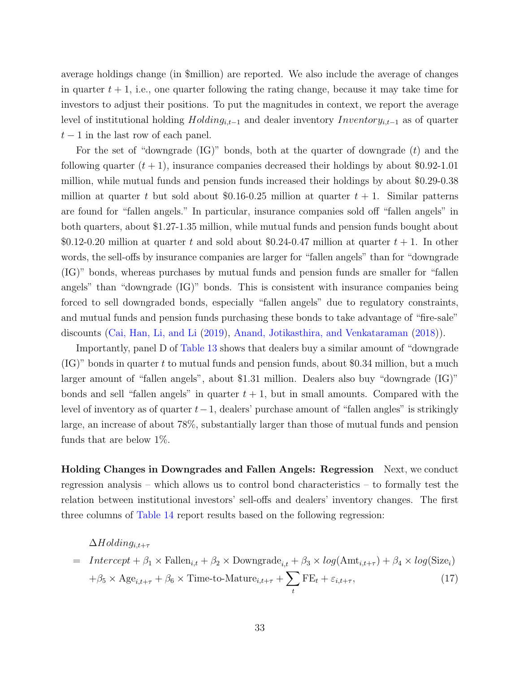average holdings change (in \$million) are reported. We also include the average of changes in quarter  $t + 1$ , i.e., one quarter following the rating change, because it may take time for investors to adjust their positions. To put the magnitudes in context, we report the average level of institutional holding  $Holding_{i,t-1}$  and dealer inventory  $Inventory_{i,t-1}$  as of quarter  $t-1$  in the last row of each panel.

For the set of "downgrade  $(\text{IG})$ " bonds, both at the quarter of downgrade  $(t)$  and the following quarter  $(t + 1)$ , insurance companies decreased their holdings by about \$0.92-1.01 million, while mutual funds and pension funds increased their holdings by about \$0.29-0.38 million at quarter t but sold about \$0.16-0.25 million at quarter  $t + 1$ . Similar patterns are found for "fallen angels." In particular, insurance companies sold off "fallen angels" in both quarters, about \$1.27-1.35 million, while mutual funds and pension funds bought about \$0.12-0.20 million at quarter t and sold about \$0.24-0.47 million at quarter  $t + 1$ . In other words, the sell-offs by insurance companies are larger for "fallen angels" than for "downgrade (IG)" bonds, whereas purchases by mutual funds and pension funds are smaller for "fallen angels" than "downgrade (IG)" bonds. This is consistent with insurance companies being forced to sell downgraded bonds, especially "fallen angels" due to regulatory constraints, and mutual funds and pension funds purchasing these bonds to take advantage of "fire-sale" discounts [\(Cai, Han, Li, and Li](#page-67-10) [\(2019\)](#page-67-10), [Anand, Jotikasthira, and Venkataraman](#page-66-12) [\(2018\)](#page-66-12)).

Importantly, panel D of [Table 13](#page-55-0) shows that dealers buy a similar amount of "downgrade  $(G)$ " bonds in quarter t to mutual funds and pension funds, about \$0.34 million, but a much larger amount of "fallen angels", about \$1.31 million. Dealers also buy "downgrade (IG)" bonds and sell "fallen angels" in quarter  $t + 1$ , but in small amounts. Compared with the level of inventory as of quarter  $t-1$ , dealers' purchase amount of "fallen angles" is strikingly large, an increase of about 78%, substantially larger than those of mutual funds and pension funds that are below 1%.

Holding Changes in Downgrades and Fallen Angels: Regression Next, we conduct regression analysis – which allows us to control bond characteristics – to formally test the relation between institutional investors' sell-offs and dealers' inventory changes. The first three columns of [Table 14](#page-56-0) report results based on the following regression:

# $\Delta H$ olding<sub>it+τ</sub>

$$
= Intercept + \beta_1 \times \text{Fallen}_{i,t} + \beta_2 \times \text{Downgrade}_{i,t} + \beta_3 \times \log(\text{Amt}_{i,t+\tau}) + \beta_4 \times \log(\text{Size}_i)
$$

$$
+ \beta_5 \times \text{Age}_{i,t+\tau} + \beta_6 \times \text{Time-to-Mature}_{i,t+\tau} + \sum_t \text{FE}_t + \varepsilon_{i,t+\tau},
$$
(17)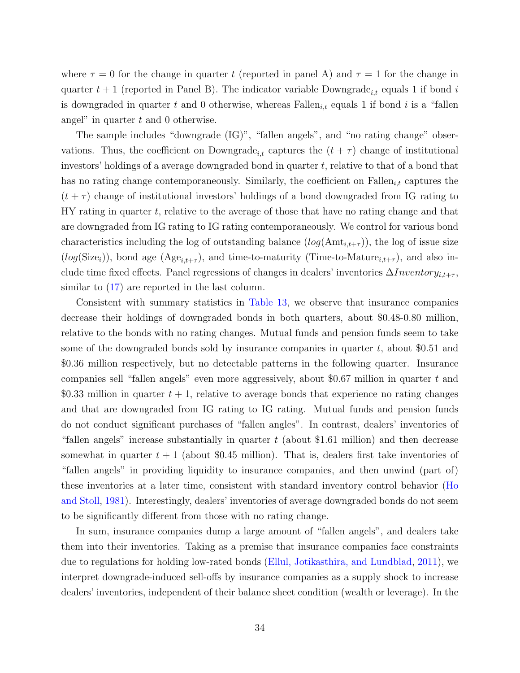where  $\tau = 0$  for the change in quarter t (reported in panel A) and  $\tau = 1$  for the change in quarter  $t + 1$  (reported in Panel B). The indicator variable Downgrade<sub>i,t</sub> equals 1 if bond i is downgraded in quarter t and 0 otherwise, whereas Fallen<sub>i,t</sub> equals 1 if bond i is a "fallen angel" in quarter  $t$  and  $0$  otherwise.

The sample includes "downgrade (IG)", "fallen angels", and "no rating change" observations. Thus, the coefficient on Downgrade<sub>i,t</sub> captures the  $(t + \tau)$  change of institutional investors' holdings of a average downgraded bond in quarter  $t$ , relative to that of a bond that has no rating change contemporaneously. Similarly, the coefficient on  $\text{Fallen}_{i,t}$  captures the  $(t + \tau)$  change of institutional investors' holdings of a bond downgraded from IG rating to HY rating in quarter t, relative to the average of those that have no rating change and that are downgraded from IG rating to IG rating contemporaneously. We control for various bond characteristics including the log of outstanding balance  $(log(\text{Amt}_{i,t+\tau}))$ , the log of issue size  $(log(Size<sub>i</sub>)),$  bond age  $(Age<sub>i,t+\tau</sub>),$  and time-to-maturity (Time-to-Mature<sub>i,t+ $\tau$ </sub>), and also include time fixed effects. Panel regressions of changes in dealers' inventories  $\Delta Inventory_{i,t+\tau}$ , similar to  $(17)$  are reported in the last column.

Consistent with summary statistics in [Table 13,](#page-55-0) we observe that insurance companies decrease their holdings of downgraded bonds in both quarters, about \$0.48-0.80 million, relative to the bonds with no rating changes. Mutual funds and pension funds seem to take some of the downgraded bonds sold by insurance companies in quarter  $t$ , about \$0.51 and \$0.36 million respectively, but no detectable patterns in the following quarter. Insurance companies sell "fallen angels" even more aggressively, about \$0.67 million in quarter t and \$0.33 million in quarter  $t + 1$ , relative to average bonds that experience no rating changes and that are downgraded from IG rating to IG rating. Mutual funds and pension funds do not conduct significant purchases of "fallen angles". In contrast, dealers' inventories of "fallen angels" increase substantially in quarter  $t$  (about \$1.61 million) and then decrease somewhat in quarter  $t + 1$  (about \$0.45 million). That is, dealers first take inventories of "fallen angels" in providing liquidity to insurance companies, and then unwind (part of) these inventories at a later time, consistent with standard inventory control behavior [\(Ho](#page-69-0) [and Stoll,](#page-69-0) [1981\)](#page-69-0). Interestingly, dealers' inventories of average downgraded bonds do not seem to be significantly different from those with no rating change.

In sum, insurance companies dump a large amount of "fallen angels", and dealers take them into their inventories. Taking as a premise that insurance companies face constraints due to regulations for holding low-rated bonds [\(Ellul, Jotikasthira, and Lundblad,](#page-68-0) [2011\)](#page-68-0), we interpret downgrade-induced sell-offs by insurance companies as a supply shock to increase dealers' inventories, independent of their balance sheet condition (wealth or leverage). In the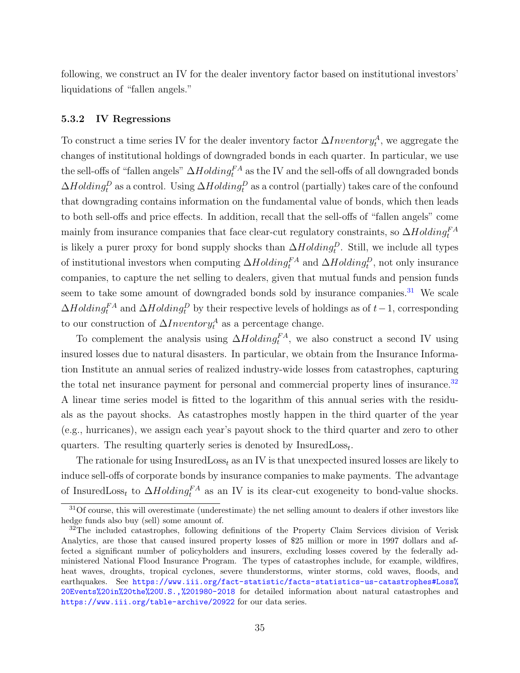following, we construct an IV for the dealer inventory factor based on institutional investors' liquidations of "fallen angels."

### 5.3.2 IV Regressions

To construct a time series IV for the dealer inventory factor  $\Delta Inventory_t^A$ , we aggregate the changes of institutional holdings of downgraded bonds in each quarter. In particular, we use the sell-offs of "fallen angels"  $\Delta Holding_f^{FA}$  as the IV and the sell-offs of all downgraded bonds  $\Delta Holding_t^D$  as a control. Using  $\Delta Holding_t^D$  as a control (partially) takes care of the confound that downgrading contains information on the fundamental value of bonds, which then leads to both sell-offs and price effects. In addition, recall that the sell-offs of "fallen angels" come mainly from insurance companies that face clear-cut regulatory constraints, so  $\Delta Holding^{FA}_t$ is likely a purer proxy for bond supply shocks than  $\Delta Holding_t^D$ . Still, we include all types of institutional investors when computing  $\Delta Holding_t^{FA}$  and  $\Delta Holding_t^D$ , not only insurance companies, to capture the net selling to dealers, given that mutual funds and pension funds seem to take some amount of downgraded bonds sold by insurance companies.<sup>[31](#page-37-0)</sup> We scale  $\Delta Holding_f^{FA}$  and  $\Delta Holding_f^D$  by their respective levels of holdings as of  $t-1$ , corresponding to our construction of  $\Delta Inventory_t^A$  as a percentage change.

To complement the analysis using  $\Delta Holding_f^{FA}$ , we also construct a second IV using insured losses due to natural disasters. In particular, we obtain from the Insurance Information Institute an annual series of realized industry-wide losses from catastrophes, capturing the total net insurance payment for personal and commercial property lines of insurance.<sup>[32](#page-37-1)</sup> A linear time series model is fitted to the logarithm of this annual series with the residuals as the payout shocks. As catastrophes mostly happen in the third quarter of the year (e.g., hurricanes), we assign each year's payout shock to the third quarter and zero to other quarters. The resulting quarterly series is denoted by  $\text{InsuredLoss}_{t}$ .

The rationale for using InsuredLoss<sub>t</sub> as an IV is that unexpected insured losses are likely to induce sell-offs of corporate bonds by insurance companies to make payments. The advantage of InsuredLoss<sub>t</sub> to  $\Delta Holding_t^{FA}$  as an IV is its clear-cut exogeneity to bond-value shocks.

<span id="page-37-0"></span><sup>&</sup>lt;sup>31</sup>Of course, this will overestimate (underestimate) the net selling amount to dealers if other investors like hedge funds also buy (sell) some amount of.

<span id="page-37-1"></span><sup>&</sup>lt;sup>32</sup>The included catastrophes, following definitions of the Property Claim Services division of Verisk Analytics, are those that caused insured property losses of \$25 million or more in 1997 dollars and affected a significant number of policyholders and insurers, excluding losses covered by the federally administered National Flood Insurance Program. The types of catastrophes include, for example, wildfires, heat waves, droughts, tropical cyclones, severe thunderstorms, winter storms, cold waves, floods, and earthquakes. See [https://www.iii.org/fact-statistic/facts-statistics-us-catastrophes#Loss%](https://www.iii.org/fact-statistic/facts-statistics-us-catastrophes#Loss%20Events%20in%20the%20U.S.,%201980-2018) [20Events%20in%20the%20U.S.,%201980-2018](https://www.iii.org/fact-statistic/facts-statistics-us-catastrophes#Loss%20Events%20in%20the%20U.S.,%201980-2018) for detailed information about natural catastrophes and <https://www.iii.org/table-archive/20922> for our data series.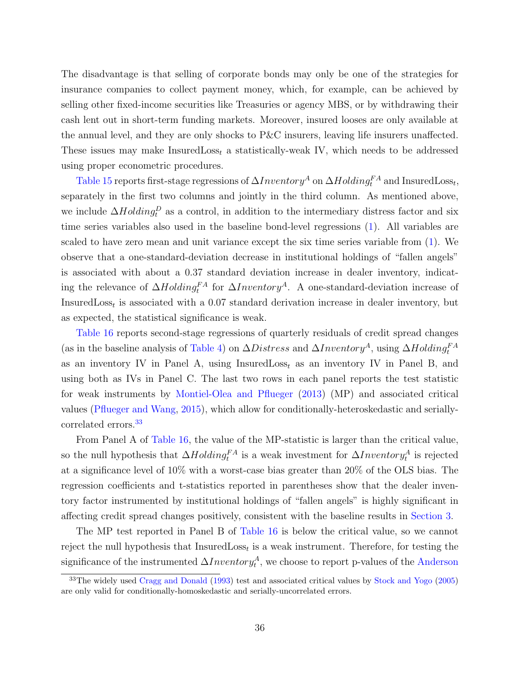The disadvantage is that selling of corporate bonds may only be one of the strategies for insurance companies to collect payment money, which, for example, can be achieved by selling other fixed-income securities like Treasuries or agency MBS, or by withdrawing their cash lent out in short-term funding markets. Moreover, insured looses are only available at the annual level, and they are only shocks to P&C insurers, leaving life insurers unaffected. These issues may make InsuredLoss<sub>t</sub> a statistically-weak IV, which needs to be addressed using proper econometric procedures.

[Table 15](#page-57-0) reports first-stage regressions of  $\Delta Inventory^A$  on  $\Delta Holling_t^{FA}$  and  $InsuredLoss_t$ , separately in the first two columns and jointly in the third column. As mentioned above, we include  $\Delta Holding_t^D$  as a control, in addition to the intermediary distress factor and six time series variables also used in the baseline bond-level regressions [\(1\)](#page-18-0). All variables are scaled to have zero mean and unit variance except the six time series variable from [\(1\)](#page-18-0). We observe that a one-standard-deviation decrease in institutional holdings of "fallen angels" is associated with about a 0.37 standard deviation increase in dealer inventory, indicating the relevance of  $\Delta H$ olding<sup>FA</sup> for  $\Delta Inventory^A$ . A one-standard-deviation increase of InsuredLoss<sub>t</sub> is associated with a 0.07 standard derivation increase in dealer inventory, but as expected, the statistical significance is weak.

[Table 16](#page-58-0) reports second-stage regressions of quarterly residuals of credit spread changes (as in the baseline analysis of [Table 4\)](#page-46-0) on  $\Delta Distress$  and  $\Delta Inventory^A$ , using  $\Delta Holding^{FA}_t$ as an inventory IV in Panel A, using  $InsuredLoss_t$  as an inventory IV in Panel B, and using both as IVs in Panel C. The last two rows in each panel reports the test statistic for weak instruments by [Montiel-Olea and Pflueger](#page-70-0) [\(2013\)](#page-70-0) (MP) and associated critical values [\(Pflueger and Wang,](#page-70-1) [2015\)](#page-70-1), which allow for conditionally-heteroskedastic and serially-correlated errors.<sup>[33](#page-38-0)</sup>

From Panel A of [Table 16,](#page-58-0) the value of the MP-statistic is larger than the critical value, so the null hypothesis that  $\Delta Holding_t^{FA}$  is a weak investment for  $\Delta Inventory_t^A$  is rejected at a significance level of 10% with a worst-case bias greater than 20% of the OLS bias. The regression coefficients and t-statistics reported in parentheses show that the dealer inventory factor instrumented by institutional holdings of "fallen angels" is highly significant in affecting credit spread changes positively, consistent with the baseline results in [Section 3.](#page-18-1)

The MP test reported in Panel B of [Table 16](#page-58-0) is below the critical value, so we cannot reject the null hypothesis that  $\text{InsuredLoss}_t$  is a weak instrument. Therefore, for testing the significance of the instrumented  $\Delta Inventory_t^A$ , we choose to report p-values of the [Anderson](#page-66-0)

<span id="page-38-0"></span><sup>33</sup>The widely used [Cragg and Donald](#page-67-0) [\(1993\) test and associated critical values by](#page-66-0) [Stock and Yogo](#page-71-0) [\(2005\)](#page-71-0) [are only valid for conditionally-homoskedastic and serially-uncorrelated errors.](#page-66-0)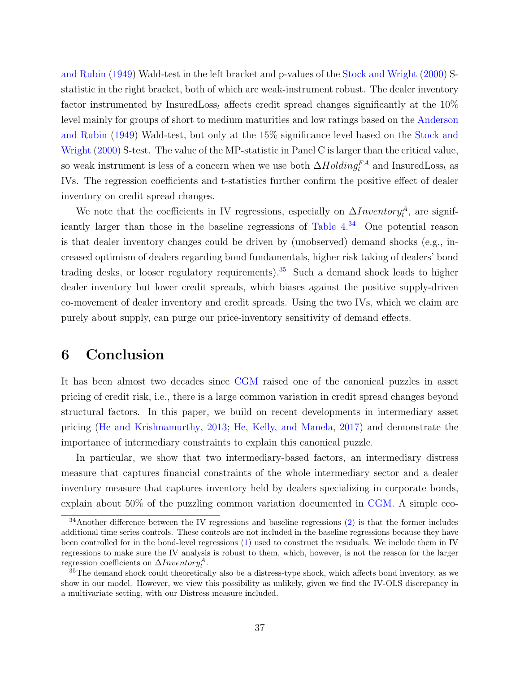[and Rubin](#page-66-0) [\(1949\)](#page-66-0) Wald-test in the left bracket and p-values of the [Stock and Wright](#page-71-1) [\(2000\)](#page-71-1) Sstatistic in the right bracket, both of which are weak-instrument robust. The dealer inventory factor instrumented by InsuredLoss<sub>t</sub> affects credit spread changes significantly at the  $10\%$ level mainly for groups of short to medium maturities and low ratings based on the [Anderson](#page-66-0) [and Rubin](#page-66-0) [\(1949\)](#page-66-0) Wald-test, but only at the 15% significance level based on the [Stock and](#page-71-1) [Wright](#page-71-1) [\(2000\)](#page-71-1) S-test. The value of the MP-statistic in Panel C is larger than the critical value, so weak instrument is less of a concern when we use both  $\Delta Holding_f^{FA}$  and InsuredLoss<sub>t</sub> as IVs. The regression coefficients and t-statistics further confirm the positive effect of dealer inventory on credit spread changes.

We note that the coefficients in IV regressions, especially on  $\Delta Inventory_t^A$ , are significantly larger than those in the baseline regressions of [Table 4.](#page-46-0) [34](#page-39-0) One potential reason is that dealer inventory changes could be driven by (unobserved) demand shocks (e.g., increased optimism of dealers regarding bond fundamentals, higher risk taking of dealers' bond trading desks, or looser regulatory requirements).<sup>[35](#page-39-1)</sup> Such a demand shock leads to higher dealer inventory but lower credit spreads, which biases against the positive supply-driven co-movement of dealer inventory and credit spreads. Using the two IVs, which we claim are purely about supply, can purge our price-inventory sensitivity of demand effects.

## 6 Conclusion

It has been almost two decades since [CGM](#page-67-1) raised one of the canonical puzzles in asset pricing of credit risk, i.e., there is a large common variation in credit spread changes beyond structural factors. In this paper, we build on recent developments in intermediary asset pricing [\(He and Krishnamurthy,](#page-69-1) [2013;](#page-69-1) [He, Kelly, and Manela,](#page-69-2) [2017\)](#page-69-2) and demonstrate the importance of intermediary constraints to explain this canonical puzzle.

In particular, we show that two intermediary-based factors, an intermediary distress measure that captures financial constraints of the whole intermediary sector and a dealer inventory measure that captures inventory held by dealers specializing in corporate bonds, explain about 50% of the puzzling common variation documented in [CGM.](#page-67-1) A simple eco-

<span id="page-39-0"></span> $34$ Another difference between the IV regressions and baseline regressions  $(2)$  is that the former includes additional time series controls. These controls are not included in the baseline regressions because they have been controlled for in the bond-level regressions [\(1\)](#page-18-0) used to construct the residuals. We include them in IV regressions to make sure the IV analysis is robust to them, which, however, is not the reason for the larger regression coefficients on  $\Delta Inventory_t^A$ .

<span id="page-39-1"></span><sup>&</sup>lt;sup>35</sup>The demand shock could theoretically also be a distress-type shock, which affects bond inventory, as we show in our model. However, we view this possibility as unlikely, given we find the IV-OLS discrepancy in a multivariate setting, with our Distress measure included.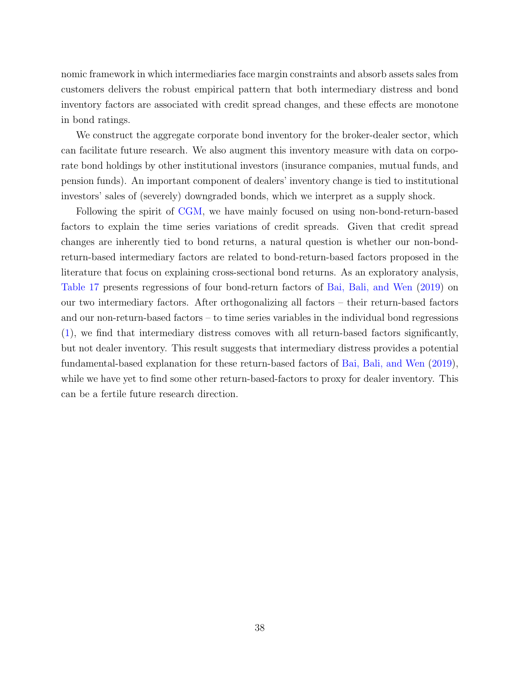nomic framework in which intermediaries face margin constraints and absorb assets sales from customers delivers the robust empirical pattern that both intermediary distress and bond inventory factors are associated with credit spread changes, and these effects are monotone in bond ratings.

We construct the aggregate corporate bond inventory for the broker-dealer sector, which can facilitate future research. We also augment this inventory measure with data on corporate bond holdings by other institutional investors (insurance companies, mutual funds, and pension funds). An important component of dealers' inventory change is tied to institutional investors' sales of (severely) downgraded bonds, which we interpret as a supply shock.

Following the spirit of [CGM,](#page-67-1) we have mainly focused on using non-bond-return-based factors to explain the time series variations of credit spreads. Given that credit spread changes are inherently tied to bond returns, a natural question is whether our non-bondreturn-based intermediary factors are related to bond-return-based factors proposed in the literature that focus on explaining cross-sectional bond returns. As an exploratory analysis, [Table 17](#page-59-0) presents regressions of four bond-return factors of [Bai, Bali, and Wen](#page-66-1) [\(2019\)](#page-66-1) on our two intermediary factors. After orthogonalizing all factors – their return-based factors and our non-return-based factors – to time series variables in the individual bond regressions [\(1\)](#page-18-0), we find that intermediary distress comoves with all return-based factors significantly, but not dealer inventory. This result suggests that intermediary distress provides a potential fundamental-based explanation for these return-based factors of [Bai, Bali, and Wen](#page-66-1) [\(2019\)](#page-66-1), while we have yet to find some other return-based-factors to proxy for dealer inventory. This can be a fertile future research direction.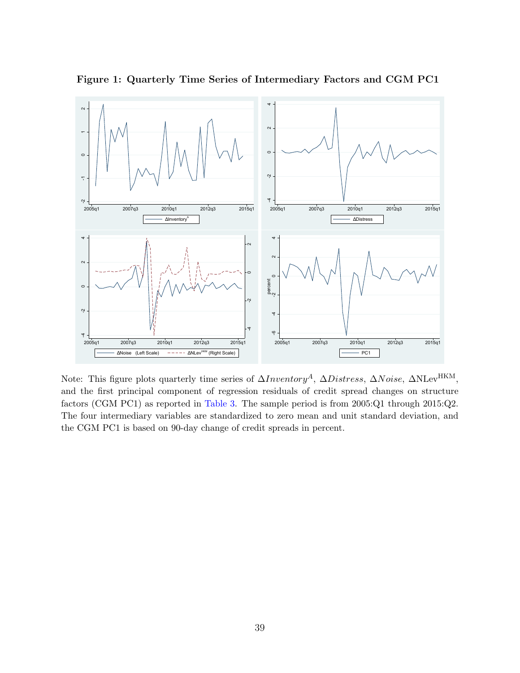

<span id="page-41-0"></span>Figure 1: Quarterly Time Series of Intermediary Factors and CGM PC1

Note: This figure plots quarterly time series of  $\Delta Inventory^A$ ,  $\Delta Distress$ ,  $\Delta Noise$ ,  $\Delta NLev^{HKM}$ , and the first principal component of regression residuals of credit spread changes on structure factors (CGM PC1) as reported in [Table 3.](#page-45-0) The sample period is from 2005:Q1 through 2015:Q2. The four intermediary variables are standardized to zero mean and unit standard deviation, and the CGM PC1 is based on 90-day change of credit spreads in percent.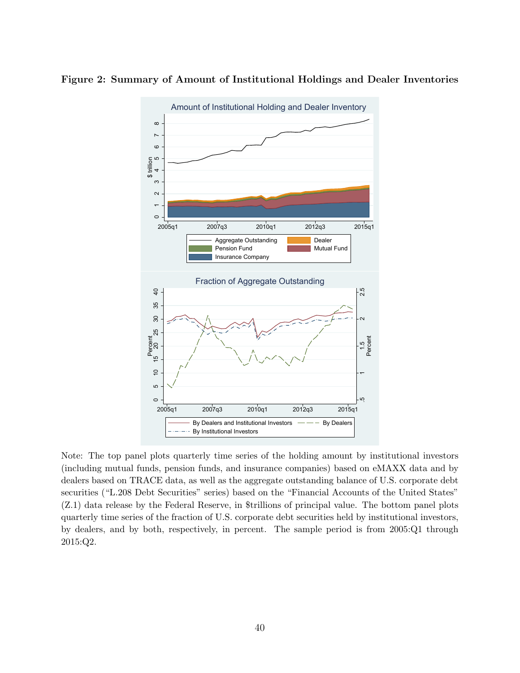



Note: The top panel plots quarterly time series of the holding amount by institutional investors (including mutual funds, pension funds, and insurance companies) based on eMAXX data and by dealers based on TRACE data, as well as the aggregate outstanding balance of U.S. corporate debt securities ("L.208 Debt Securities" series) based on the "Financial Accounts of the United States" (Z.1) data release by the Federal Reserve, in \$trillions of principal value. The bottom panel plots quarterly time series of the fraction of U.S. corporate debt securities held by institutional investors, by dealers, and by both, respectively, in percent. The sample period is from 2005:Q1 through 2015:Q2.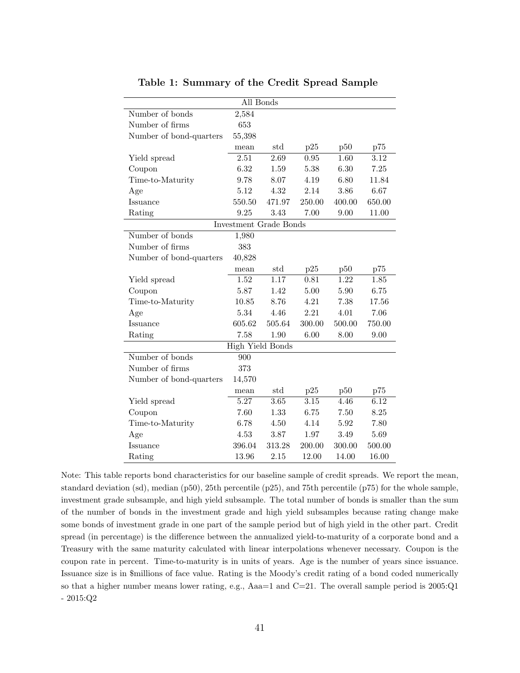| All Bonds               |                         |        |        |        |        |  |  |  |  |  |  |
|-------------------------|-------------------------|--------|--------|--------|--------|--|--|--|--|--|--|
| Number of bonds         | 2,584                   |        |        |        |        |  |  |  |  |  |  |
| Number of firms         | 653                     |        |        |        |        |  |  |  |  |  |  |
| Number of bond-quarters | 55,398                  |        |        |        |        |  |  |  |  |  |  |
|                         | mean                    | std    | p25    | p50    | p75    |  |  |  |  |  |  |
| Yield spread            | $\overline{2.51}$       | 2.69   | 0.95   | 1.60   | 3.12   |  |  |  |  |  |  |
| Coupon                  | 6.32                    | 1.59   | 5.38   | 6.30   | 7.25   |  |  |  |  |  |  |
| Time-to-Maturity        | 9.78                    | 8.07   | 4.19   | 6.80   | 11.84  |  |  |  |  |  |  |
| Age                     | 5.12                    | 4.32   | 2.14   | 3.86   | 6.67   |  |  |  |  |  |  |
| Issuance                | 550.50                  | 471.97 | 250.00 | 400.00 | 650.00 |  |  |  |  |  |  |
| Rating                  | 9.25                    | 3.43   | 7.00   | 9.00   | 11.00  |  |  |  |  |  |  |
| Investment Grade Bonds  |                         |        |        |        |        |  |  |  |  |  |  |
| Number of bonds         | 1,980                   |        |        |        |        |  |  |  |  |  |  |
| Number of firms         | 383                     |        |        |        |        |  |  |  |  |  |  |
| Number of bond-quarters | 40,828                  |        |        |        |        |  |  |  |  |  |  |
|                         | mean                    | std    | p25    | p50    | p75    |  |  |  |  |  |  |
| Yield spread            | 1.52                    | 1.17   | 0.81   | 1.22   | 1.85   |  |  |  |  |  |  |
| Coupon                  | 5.87                    | 1.42   | 5.00   | 5.90   | 6.75   |  |  |  |  |  |  |
| Time-to-Maturity        | 10.85                   | 8.76   | 4.21   | 7.38   | 17.56  |  |  |  |  |  |  |
| Age                     | 5.34                    | 4.46   | 2.21   | 4.01   | 7.06   |  |  |  |  |  |  |
| Issuance                | 605.62                  | 505.64 | 300.00 | 500.00 | 750.00 |  |  |  |  |  |  |
| Rating                  | 7.58                    | 1.90   | 6.00   | 8.00   | 9.00   |  |  |  |  |  |  |
|                         | <b>High Yield Bonds</b> |        |        |        |        |  |  |  |  |  |  |
| Number of bonds         | 900                     |        |        |        |        |  |  |  |  |  |  |
| Number of firms         | 373                     |        |        |        |        |  |  |  |  |  |  |
| Number of bond-quarters | 14,570                  |        |        |        |        |  |  |  |  |  |  |
|                         | mean                    | std    | p25    | p50    | p75    |  |  |  |  |  |  |
| Yield spread            | 5.27                    | 3.65   | 3.15   | 4.46   | 6.12   |  |  |  |  |  |  |
| Coupon                  | 7.60                    | 1.33   | 6.75   | 7.50   | 8.25   |  |  |  |  |  |  |
| Time-to-Maturity        | 6.78                    | 4.50   | 4.14   | 5.92   | 7.80   |  |  |  |  |  |  |
| Age                     | 4.53                    | 3.87   | 1.97   | 3.49   | 5.69   |  |  |  |  |  |  |
| Issuance                | 396.04                  | 313.28 | 200.00 | 300.00 | 500.00 |  |  |  |  |  |  |
| Rating                  | 13.96                   | 2.15   | 12.00  | 14.00  | 16.00  |  |  |  |  |  |  |

<span id="page-43-0"></span>Table 1: Summary of the Credit Spread Sample

Note: This table reports bond characteristics for our baseline sample of credit spreads. We report the mean, standard deviation (sd), median (p50), 25th percentile (p25), and 75th percentile (p75) for the whole sample, investment grade subsample, and high yield subsample. The total number of bonds is smaller than the sum of the number of bonds in the investment grade and high yield subsamples because rating change make some bonds of investment grade in one part of the sample period but of high yield in the other part. Credit spread (in percentage) is the difference between the annualized yield-to-maturity of a corporate bond and a Treasury with the same maturity calculated with linear interpolations whenever necessary. Coupon is the coupon rate in percent. Time-to-maturity is in units of years. Age is the number of years since issuance. Issuance size is in \$millions of face value. Rating is the Moody's credit rating of a bond coded numerically so that a higher number means lower rating, e.g., Aaa=1 and C=21. The overall sample period is 2005:Q1 - 2015:Q2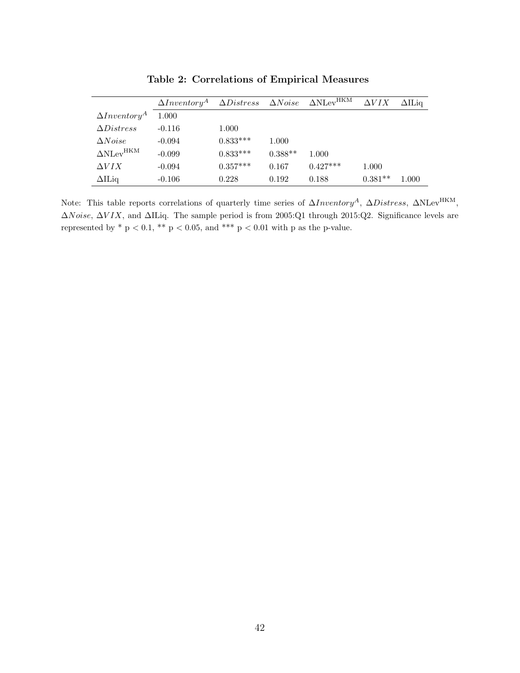|                                   | $\Delta Inventory^A$ |            |           | $\Delta Distress \quad \Delta Noise \quad \Delta \text{NLev}^{\text{HKM}}$ | $\Delta VIX$ | $\Delta \mathrm{II}$ ia |
|-----------------------------------|----------------------|------------|-----------|----------------------------------------------------------------------------|--------------|-------------------------|
| $\Delta Inventory^A$              | 1.000                |            |           |                                                                            |              |                         |
| $\Delta Distress$                 | $-0.116$             | 1.000      |           |                                                                            |              |                         |
| $\Delta Noise$                    | $-0.094$             | $0.833***$ | 1.000     |                                                                            |              |                         |
| $\Delta \text{NLev}^{\text{HKM}}$ | $-0.099$             | $0.833***$ | $0.388**$ | 1.000                                                                      |              |                         |
| $\Delta VIX$                      | $-0.094$             | $0.357***$ | 0.167     | $0.427***$                                                                 | 1.000        |                         |
| $\Delta II$ Liq                   | $-0.106$             | 0.228      | 0.192     | 0.188                                                                      | $0.381**$    | 1.000                   |

<span id="page-44-0"></span>Table 2: Correlations of Empirical Measures

l,

Note: This table reports correlations of quarterly time series of  $\Delta Inventory^A$ ,  $\Delta Distress$ ,  $\Delta N Lev^{HKM}$ , ∆Noise, ∆V IX, and ∆ILiq. The sample period is from 2005:Q1 through 2015:Q2. Significance levels are represented by \* p < 0.1, \*\* p < 0.05, and \*\*\* p < 0.01 with p as the p-value.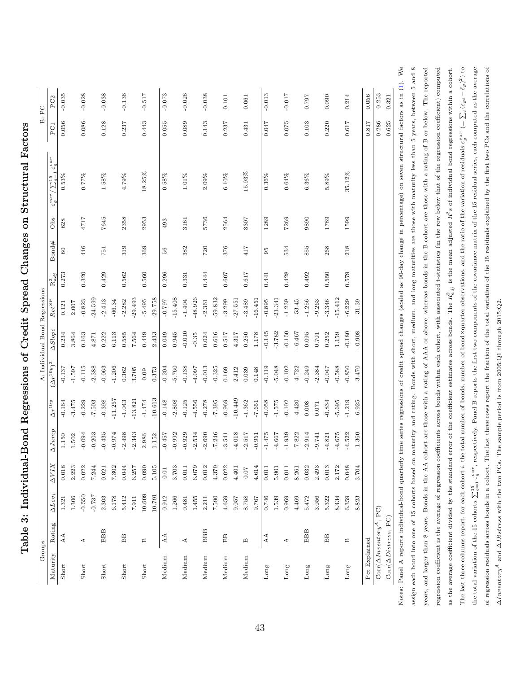| the total variation of the 15 cohorts $\sum_{j=1}^{15} \varepsilon_j^{var}$ , respectively. Panel B reports the first two components of the covariance matrix of the 15 residual series, each computed as the average | regression residuals across bonds in a cohort. The last three rows report the fraction of the total variation of the 15 residuals explained by the first two PCs and the correlations of | e sample period is from $2005:Q1$ through $2015:Q2$ .<br>Inventory <sup>4</sup> and $\Delta D$ istress with the two PCs. The |
|-----------------------------------------------------------------------------------------------------------------------------------------------------------------------------------------------------------------------|------------------------------------------------------------------------------------------------------------------------------------------------------------------------------------------|------------------------------------------------------------------------------------------------------------------------------|
|                                                                                                                                                                                                                       |                                                                                                                                                                                          |                                                                                                                              |

years, and larger than 8 years. Bonds in the AA cohort are those with a rating of AAA or above, whereas bonds in the B cohort are those with a rating of B or below. The reported regression coefficient is the average of regression coefficients across bonds within each cohort, with associated t-statistics (in the row below that of the regression coefficient) computed as the average coefficient divided by the standard error of the coefficient estimates across bonds. The  $R_{adj}^2$  is the mean adjusted  $R^2$ s of individual bond regressions within a cohort. The last three columns report, for each cohort i, the total number of bonds, number of bond×quarter observations, and the ratio of the variation of residuals  $\varepsilon_g^{var}$  (=  $\sum_i (\varepsilon_{gt} - \bar{\varepsilon}_g)^2$ ) to

years, and larger than 8 years. Bonds in the AA cohort are those with a rating of AAA or above, whereas bonds in the B cohort are those with a rating of B or below. The reported regression coefficient is the average of regression coefficients across bonds within each cohort, with associated t-statistics (in the row below that of the regression coefficient) computed as the average coefficient divided by the standard error of the coefficient estimates across bonds. The  $R_{adj}^2$  is the mean adjusted  $R^2s$  of individual bond regressions within a cohort. The last three columns report, for each cohort i, the total number of bonds, number of bond×quarter observations, and the ratio of the variation of residuals  $\varepsilon_g^{var} (= \sum_t (\varepsilon_{gt} - \bar{\varepsilon}_g)^2)$  to

<span id="page-45-0"></span>

| $\overline{\mathbf{C}}$<br>ļ |
|------------------------------|
|                              |
| i<br>C                       |
| )<br>Į<br>ו<br>ו             |
| j<br>j<br>l<br>֚֘֝֬<br>i     |
| Í<br>I                       |
|                              |
|                              |
| i<br>I<br>١<br>١             |
| i<br>;<br>;                  |
| I<br>I<br>I                  |
| l<br>ţ<br>ļ                  |
|                              |
|                              |
| l<br>I<br>I                  |

Groups A: Individual Bond Regressions B: PC Maturity Rating ∆Lev<sub>i</sub> ∆VIX ∆Jump  $\Delta r^{10y}$   $(\Delta r^{10y})^2$   $\Delta Slope$  Ret<sup>SP</sup> R<sub>adj</sub> Bond# Obs  $\varepsilon_{g}^{var}/\sum_{g=1}^{15}\varepsilon_{g}^{var}$  PC1 PC2

A: Individual Bond Regressions

 $(\Delta r^{10y})^2$   $\Delta Slope$   $Ret^{SP}$   $R_{adj}^2$ 

 $\Delta r^{10y}$ 

 $\Delta Jump$ 

 $\Delta VIX$ 

Maturity Rating  $\Delta Lev_i$ 

Groups

PC1 PC2 B: PC

Bond# Obs  $\varepsilon_g^{var} / \sum_{q=1}^{15} \varepsilon_g^{var}$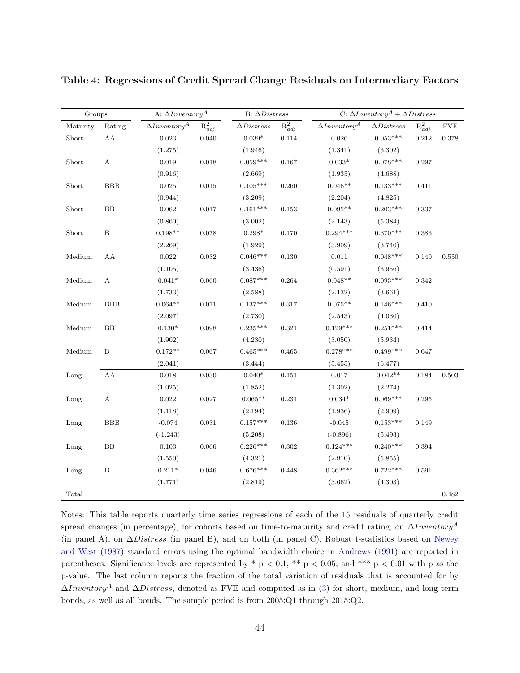| Groups   |                  | A: $\Delta Inventory^A$ |             | B: $\Delta Distress$ |             |                      | C: $\Delta Inventory^A + \Delta Disters$ |             |            |
|----------|------------------|-------------------------|-------------|----------------------|-------------|----------------------|------------------------------------------|-------------|------------|
| Maturity | Rating           | $\Delta Inventory^A$    | $R_{adj}^2$ | $\Delta Distress$    | $R^2_{adj}$ | $\Delta Inventory^A$ | $\Delta Distress$                        | $R^2_{adj}$ | <b>FVE</b> |
| Short    | ${\rm AA}$       | $\,0.023\,$             | 0.040       | $0.039^{\ast}$       | 0.114       | 0.026                | $0.053***$                               | $\rm 0.212$ | 0.378      |
|          |                  | (1.275)                 |             | (1.946)              |             | (1.341)              | (3.302)                                  |             |            |
| Short    | $\boldsymbol{A}$ | 0.019                   | 0.018       | $0.059***$           | 0.167       | $0.033*$             | $0.078***$                               | 0.297       |            |
|          |                  | (0.916)                 |             | (2.669)              |             | (1.935)              | (4.688)                                  |             |            |
| Short    | <b>BBB</b>       | 0.025                   | $\,0.015\,$ | $0.105***$           | 0.260       | $0.046**$            | $0.133***$                               | 0.411       |            |
|          |                  | (0.944)                 |             | (3.209)              |             | (2.204)              | (4.825)                                  |             |            |
| Short    | $\rm BB$         | 0.062                   | 0.017       | $0.161***$           | 0.153       | $0.095**$            | $0.203***$                               | 0.337       |            |
|          |                  | (0.860)                 |             | (3.002)              |             | (2.143)              | (5.384)                                  |             |            |
| Short    | B                | $0.198**$               | 0.078       | $0.298^{\ast}$       | 0.170       | $0.294***$           | $0.370***$                               | $\,0.383\,$ |            |
|          |                  | (2.269)                 |             | (1.929)              |             | (3.909)              | (3.740)                                  |             |            |
| Medium   | AA               | $\,0.022\,$             | 0.032       | $0.046***$           | 0.130       | 0.011                | $0.048***$                               | 0.140       | $0.550\,$  |
|          |                  | (1.105)                 |             | (3.436)              |             | (0.591)              | (3.956)                                  |             |            |
| Medium   | A                | $0.041*$                | 0.060       | $0.087***$           | 0.264       | $0.048**$            | $0.093***$                               | 0.342       |            |
|          |                  | (1.733)                 |             | (2.588)              |             | (2.132)              | (3.661)                                  |             |            |
| Medium   | <b>BBB</b>       | $0.064**$               | 0.071       | $0.137***$           | 0.317       | $0.075**$            | $0.146***$                               | 0.410       |            |
|          |                  | (2.097)                 |             | (2.730)              |             | (2.543)              | (4.030)                                  |             |            |
| Medium   | BB               | $0.130*$                | 0.098       | $0.235***$           | 0.321       | $0.129***$           | $0.251***$                               | 0.414       |            |
|          |                  | (1.902)                 |             | (4.230)              |             | (3.050)              | (5.934)                                  |             |            |
| Medium   | $\, {\bf B}$     | $0.172**$               | 0.067       | $0.465***$           | 0.465       | $0.278***$           | $0.499***$                               | 0.647       |            |
|          |                  | (2.041)                 |             | (3.444)              |             | (5.455)              | (6.477)                                  |             |            |
| Long     | AA               | 0.018                   | 0.030       | $0.040*$             | 0.151       | 0.017                | $0.042**$                                | 0.184       | 0.503      |
|          |                  | (1.025)                 |             | (1.852)              |             | (1.302)              | (2.274)                                  |             |            |
| Long     | $\boldsymbol{A}$ | $\,0.022\,$             | $0.027\,$   | $0.065**$            | 0.231       | $0.034*$             | $0.069***$                               | 0.295       |            |
|          |                  | (1.118)                 |             | (2.194)              |             | (1.936)              | (2.909)                                  |             |            |
| Long     | <b>BBB</b>       | $-0.074$                | 0.031       | $0.157***$           | 0.136       | $-0.045$             | $0.153***$                               | 0.149       |            |
|          |                  | $(-1.243)$              |             | (5.208)              |             | $(-0.896)$           | (5.493)                                  |             |            |
| Long     | $_{\rm BB}$      | 0.103                   | 0.066       | $0.226***$           | $\rm 0.302$ | $0.124***$           | $0.240***$                               | 0.394       |            |
|          |                  | (1.550)                 |             | (4.321)              |             | (2.910)              | (5.855)                                  |             |            |
| Long     | $\, {\bf B}$     | $0.211*$                | 0.046       | $0.676***$           | 0.448       | $0.362***$           | $0.722***$                               | 0.591       |            |
|          |                  | (1.771)                 |             | (2.819)              |             | (3.662)              | (4.303)                                  |             |            |
| Total    |                  |                         |             |                      |             |                      |                                          |             | 0.482      |

<span id="page-46-0"></span>Table 4: Regressions of Credit Spread Change Residuals on Intermediary Factors

Notes: This table reports quarterly time series regressions of each of the 15 residuals of quarterly credit spread changes (in percentage), for cohorts based on time-to-maturity and credit rating, on  $\Delta Inventory<sup>A</sup>$ (in panel A), on ∆Distress (in panel B), and on both (in panel C). Robust t-statistics based on [Newey](#page-70-2) [and West](#page-70-2) [\(1987\)](#page-70-2) standard errors using the optimal bandwidth choice in [Andrews](#page-66-2) [\(1991\)](#page-66-2) are reported in parentheses. Significance levels are represented by  $*$  p < 0.1,  $**$  p < 0.05, and  $***$  p < 0.01 with p as the p-value. The last column reports the fraction of the total variation of residuals that is accounted for by  $\Delta Inventory^A$  and  $\Delta Distress$ , denoted as FVE and computed as in [\(3\)](#page-21-0) for short, medium, and long term bonds, as well as all bonds. The sample period is from 2005:Q1 through 2015:Q2.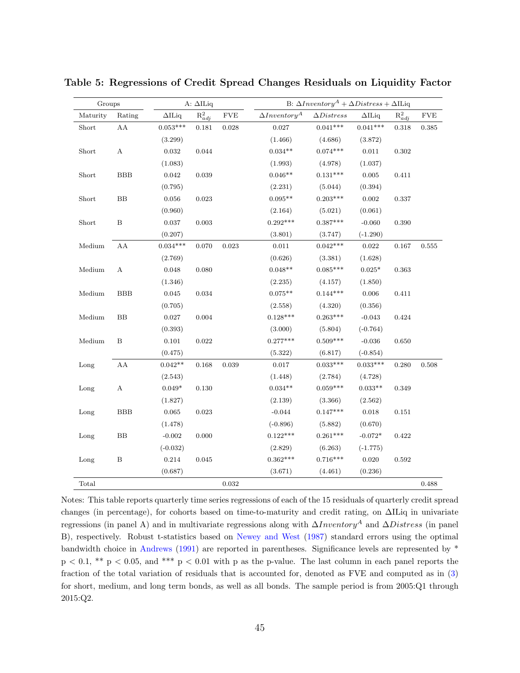<span id="page-47-0"></span>

| Groups   |                  |               | A: $\Delta$ ILiq |            | B: $\Delta Inventory^A + \Delta Distress + \Delta II$ Liq |                   |               |             |             |
|----------|------------------|---------------|------------------|------------|-----------------------------------------------------------|-------------------|---------------|-------------|-------------|
| Maturity | Rating           | $\Delta$ ILiq | $R_{adj}^2$      | <b>FVE</b> | $\Delta Inventory^A$                                      | $\Delta Distress$ | $\Delta$ ILiq | $R_{adj}^2$ | ${\rm FVE}$ |
| Short    | AA               | $0.053***$    | 0.181            | 0.028      | 0.027                                                     | $0.041***$        | $0.041***$    | 0.318       | 0.385       |
|          |                  | (3.299)       |                  |            | (1.466)                                                   | (4.686)           | (3.872)       |             |             |
| Short    | A                | 0.032         | 0.044            |            | $0.034**$                                                 | $0.074***$        | 0.011         | 0.302       |             |
|          |                  | (1.083)       |                  |            | (1.993)                                                   | (4.978)           | (1.037)       |             |             |
| Short    | <b>BBB</b>       | 0.042         | 0.039            |            | $0.046**$                                                 | $0.131***$        | 0.005         | 0.411       |             |
|          |                  | (0.795)       |                  |            | (2.231)                                                   | (5.044)           | (0.394)       |             |             |
| Short    | BB               | 0.056         | 0.023            |            | $0.095**$                                                 | $0.203***$        | 0.002         | 0.337       |             |
|          |                  | (0.960)       |                  |            | (2.164)                                                   | (5.021)           | (0.061)       |             |             |
| Short    | $\, {\bf B}$     | 0.037         | 0.003            |            | $0.292***$                                                | $0.387***$        | $-0.060$      | 0.390       |             |
|          |                  | (0.207)       |                  |            | (3.801)                                                   | (3.747)           | $(-1.290)$    |             |             |
| Medium   | ${\rm AA}$       | $0.034***$    | 0.070            | 0.023      | $0.011\,$                                                 | $0.042***$        | $\,0.022\,$   | 0.167       | 0.555       |
|          |                  | (2.769)       |                  |            | (0.626)                                                   | (3.381)           | (1.628)       |             |             |
| Medium   | $\mathbf A$      | $0.048\,$     | 0.080            |            | $0.048**$                                                 | $0.085***$        | $0.025*$      | 0.363       |             |
|          |                  | (1.346)       |                  |            | (2.235)                                                   | (4.157)           | (1.850)       |             |             |
| Medium   | <b>BBB</b>       | 0.045         | 0.034            |            | $0.075**$                                                 | $0.144***$        | 0.006         | 0.411       |             |
|          |                  | (0.705)       |                  |            | (2.558)                                                   | (4.320)           | (0.356)       |             |             |
| Medium   | BB               | 0.027         | 0.004            |            | $0.128***$                                                | $0.263***$        | $-0.043$      | 0.424       |             |
|          |                  | (0.393)       |                  |            | (3.000)                                                   | (5.804)           | $(-0.764)$    |             |             |
| Medium   | $\boldsymbol{B}$ | $\rm 0.101$   | 0.022            |            | $0.277***$                                                | $0.509***$        | $-0.036$      | 0.650       |             |
|          |                  | (0.475)       |                  |            | (5.322)                                                   | (6.817)           | $(-0.854)$    |             |             |
| Long     | AA               | $0.042**$     | 0.168            | 0.039      | 0.017                                                     | $0.033***$        | $0.033***$    | 0.280       | 0.508       |
|          |                  | (2.543)       |                  |            | (1.448)                                                   | (2.784)           | (4.728)       |             |             |
| Long     | $\boldsymbol{A}$ | $0.049*$      | 0.130            |            | $0.034**$                                                 | $0.059***$        | $0.033**$     | 0.349       |             |
|          |                  | (1.827)       |                  |            | (2.139)                                                   | (3.366)           | (2.562)       |             |             |
| Long     | <b>BBB</b>       | 0.065         | 0.023            |            | $-0.044$                                                  | $0.147***$        | 0.018         | 0.151       |             |
|          |                  | (1.478)       |                  |            | $(-0.896)$                                                | (5.882)           | (0.670)       |             |             |
| Long     | BB               | $-0.002$      | 0.000            |            | $0.122***$                                                | $0.261***$        | $-0.072*$     | 0.422       |             |
|          |                  | $(-0.032)$    |                  |            | (2.829)                                                   | (6.263)           | $(-1.775)$    |             |             |
| Long     | $\, {\bf B}$     | $0.214\,$     | 0.045            |            | $0.362***$                                                | $0.716***$        | $0.020\,$     | 0.592       |             |
|          |                  | (0.687)       |                  |            | (3.671)                                                   | (4.461)           | (0.236)       |             |             |
| Total    |                  |               |                  | 0.032      |                                                           |                   |               |             | 0.488       |

Table 5: Regressions of Credit Spread Changes Residuals on Liquidity Factor

Notes: This table reports quarterly time series regressions of each of the 15 residuals of quarterly credit spread changes (in percentage), for cohorts based on time-to-maturity and credit rating, on ∆ILiq in univariate regressions (in panel A) and in multivariate regressions along with  $\Delta Inventory^A$  and  $\Delta Distress$  (in panel B), respectively. Robust t-statistics based on [Newey and West](#page-70-2) [\(1987\)](#page-70-2) standard errors using the optimal bandwidth choice in [Andrews](#page-66-2) [\(1991\)](#page-66-2) are reported in parentheses. Significance levels are represented by \*  $p < 0.1$ , \*\*  $p < 0.05$ , and \*\*\*  $p < 0.01$  with p as the p-value. The last column in each panel reports the fraction of the total variation of residuals that is accounted for, denoted as FVE and computed as in [\(3\)](#page-21-0) for short, medium, and long term bonds, as well as all bonds. The sample period is from 2005:Q1 through 2015:Q2.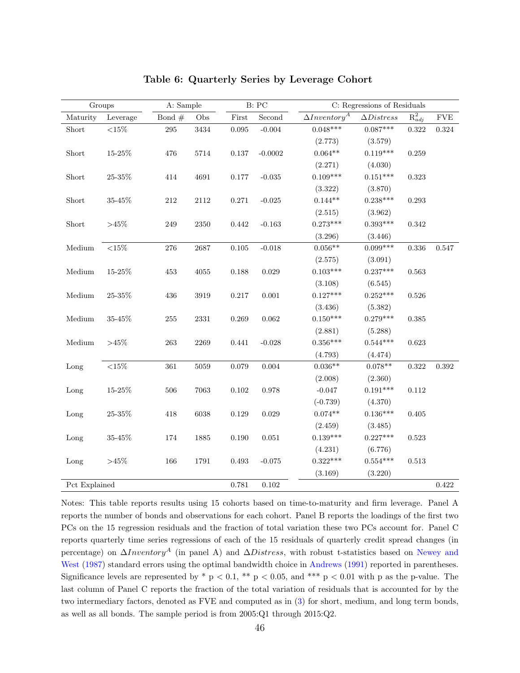|               | Groups           | A: Sample |            |           | B: PC       | C: Regressions of Residuals       |                   |             |             |
|---------------|------------------|-----------|------------|-----------|-------------|-----------------------------------|-------------------|-------------|-------------|
| Maturity      | Leverage         | Bond $#$  | Obs        | First     | Second      | $\Delta Inventory^{\overline{A}}$ | $\Delta Distress$ | $R^2_{adj}$ | ${\rm FVE}$ |
| Short         | ${<}15\%$        | $\,295$   | 3434       | 0.095     | $-0.004$    | $0.048***$                        | $0.087***$        | 0.322       | $0.324\,$   |
|               |                  |           |            |           |             | (2.773)                           | (3.579)           |             |             |
| Short         | $15\text{-}25\%$ | 476       | $5714\,$   | $0.137\,$ | $-0.0002$   | $0.064**$                         | $0.119***$        | 0.259       |             |
|               |                  |           |            |           |             | (2.271)                           | (4.030)           |             |             |
| Short         | $25\text{-}35\%$ | 414       | 4691       | $0.177\,$ | $-0.035$    | $0.109***$                        | $0.151***$        | $\,0.323\,$ |             |
|               |                  |           |            |           |             | (3.322)                           | (3.870)           |             |             |
| Short         | $35\text{-}45\%$ | $212\,$   | $2112\,$   | 0.271     | $-0.025$    | $0.144**$                         | $0.238***$        | 0.293       |             |
|               |                  |           |            |           |             | (2.515)                           | (3.962)           |             |             |
| Short         | ${>}45\%$        | $249\,$   | $2350\,$   | 0.442     | $-0.163$    | $0.273***$                        | $0.393***$        | 0.342       |             |
|               |                  |           |            |           |             | (3.296)                           | (3.446)           |             |             |
| $M$ edium     | ${<}15\%$        | $276\,$   | $2687\,$   | $0.105\,$ | $-0.018$    | $0.056**$                         | $0.099***$        | $0.336\,$   | 0.547       |
|               |                  |           |            |           |             | (2.575)                           | (3.091)           |             |             |
| Medium        | $15\text{-}25\%$ | 453       | $4055\,$   | $0.188\,$ | $\,0.029\,$ | $0.103***$                        | $0.237***$        | $\,0.563\,$ |             |
|               |                  |           |            |           |             | (3.108)                           | (6.545)           |             |             |
| Medium        | $25\text{-}35\%$ | 436       | 3919       | 0.217     | 0.001       | $0.127***$                        | $0.252***$        | 0.526       |             |
|               |                  |           |            |           |             | (3.436)                           | (5.382)           |             |             |
| Medium        | 35-45%           | 255       | $\bf 2331$ | 0.269     | 0.062       | $0.150***$                        | $0.279***$        | 0.385       |             |
|               |                  |           |            |           |             | (2.881)                           | (5.288)           |             |             |
| Medium        | >45%             | $263\,$   | 2269       | 0.441     | $-0.028$    | $0.356***$                        | $0.544***$        | 0.623       |             |
|               |                  |           |            |           |             | (4.793)                           | (4.474)           |             |             |
| Long          | ${<}15\%$        | $361\,$   | 5059       | 0.079     | 0.004       | $0.036**$                         | $0.078**$         | 0.322       | $\,0.392\,$ |
|               |                  |           |            |           |             | (2.008)                           | (2.360)           |             |             |
| Long          | $15\text{-}25\%$ | 506       | 7063       | $0.102\,$ | $0.978\,$   | $-0.047$                          | $0.191***$        | $0.112\,$   |             |
|               |                  |           |            |           |             | $(-0.739)$                        | (4.370)           |             |             |
| Long          | $25\text{-}35\%$ | 418       | 6038       | 0.129     | 0.029       | $0.074**$                         | $0.136***$        | 0.405       |             |
|               |                  |           |            |           |             | (2.459)                           | (3.485)           |             |             |
| Long          | $35\text{-}45\%$ | 174       | 1885       | 0.190     | $\,0.051\,$ | $0.139***$                        | $0.227***$        | 0.523       |             |
|               |                  |           |            |           |             | (4.231)                           | (6.776)           |             |             |
| Long          | $>45\%$          | 166       | 1791       | 0.493     | $-0.075$    | $0.322***$                        | $0.554***$        | $\,0.513\,$ |             |
|               |                  |           |            |           |             | (3.169)                           | (3.220)           |             |             |
| Pct Explained |                  |           |            | 0.781     | $0.102\,$   |                                   |                   |             | 0.422       |

### <span id="page-48-0"></span>Table 6: Quarterly Series by Leverage Cohort

Notes: This table reports results using 15 cohorts based on time-to-maturity and firm leverage. Panel A reports the number of bonds and observations for each cohort. Panel B reports the loadings of the first two PCs on the 15 regression residuals and the fraction of total variation these two PCs account for. Panel C reports quarterly time series regressions of each of the 15 residuals of quarterly credit spread changes (in percentage) on  $\Delta Inventory^A$  (in panel A) and  $\Delta Distress$ , with robust t-statistics based on [Newey and](#page-70-2) [West](#page-70-2) [\(1987\)](#page-70-2) standard errors using the optimal bandwidth choice in [Andrews](#page-66-2) [\(1991\)](#page-66-2) reported in parentheses. Significance levels are represented by  $*$  p < 0.1,  $**$  p < 0.05, and  $***$  p < 0.01 with p as the p-value. The last column of Panel C reports the fraction of the total variation of residuals that is accounted for by the two intermediary factors, denoted as FVE and computed as in [\(3\)](#page-21-0) for short, medium, and long term bonds, as well as all bonds. The sample period is from 2005:Q1 through 2015:Q2.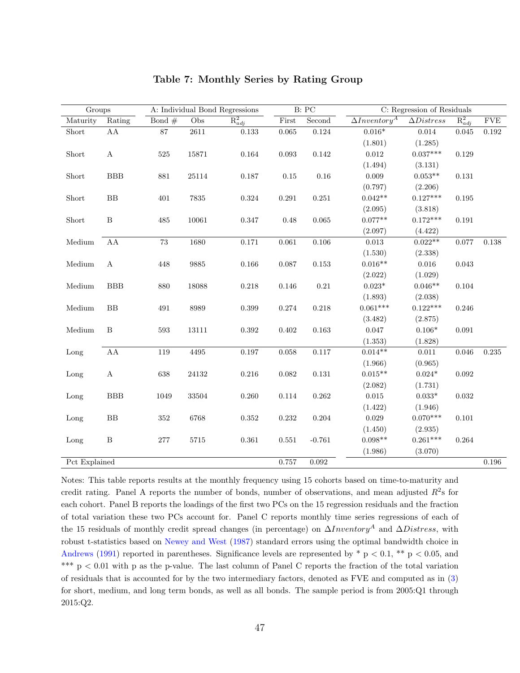| Groups        |                  |          |           | A: Individual Bond Regressions |             | B: PC        |                      | C: Regression of Residuals |             |             |
|---------------|------------------|----------|-----------|--------------------------------|-------------|--------------|----------------------|----------------------------|-------------|-------------|
| Maturity      | Rating           | Bond $#$ | $\rm Obs$ | $R_{adj}^2$                    | $\rm First$ | $\rm Second$ | $\Delta Inventory^A$ | $\Delta Distress$          | $R_{adj}^2$ | ${\rm FVE}$ |
| Short         | ${\rm AA}$       | 87       | $2611\,$  | 0.133                          | 0.065       | $0.124\,$    | $0.016^{\ast}$       | 0.014                      | 0.045       | 0.192       |
|               |                  |          |           |                                |             |              | (1.801)              | (1.285)                    |             |             |
| Short         | $\mathbf A$      | 525      | 15871     | 0.164                          | 0.093       | 0.142        | $0.012\,$            | $0.037***$                 | 0.129       |             |
|               |                  |          |           |                                |             |              | (1.494)              | (3.131)                    |             |             |
| Short         | <b>BBB</b>       | $881\,$  | 25114     | $0.187\,$                      | $0.15\,$    | 0.16         | 0.009                | $0.053**$                  | $\rm 0.131$ |             |
|               |                  |          |           |                                |             |              | (0.797)              | (2.206)                    |             |             |
| Short         | ${\rm BB}$       | 401      | 7835      | $\,0.324\,$                    | $\,0.291\,$ | $0.251\,$    | $0.042**$            | $0.127***$                 | 0.195       |             |
|               |                  |          |           |                                |             |              | (2.095)              | (3.818)                    |             |             |
| Short         | $\, {\bf B}$     | 485      | 10061     | 0.347                          | 0.48        | 0.065        | $0.077**$            | $0.172***$                 | 0.191       |             |
|               |                  |          |           |                                |             |              | (2.097)              | (4.422)                    |             |             |
| Medium        | AA               | 73       | 1680      | 0.171                          | 0.061       | 0.106        | 0.013                | $0.022**$                  | 0.077       | 0.138       |
|               |                  |          |           |                                |             |              | (1.530)              | (2.338)                    |             |             |
| Medium        | $\boldsymbol{A}$ | 448      | 9885      | $0.166\,$                      | 0.087       | $\,0.153\,$  | $0.016**$            | 0.016                      | $\,0.043\,$ |             |
|               |                  |          |           |                                |             |              | (2.022)              | (1.029)                    |             |             |
| Medium        | <b>BBB</b>       | 880      | 18088     | $0.218\,$                      | 0.146       | $0.21\,$     | $0.023*$             | $0.046**$                  | 0.104       |             |
|               |                  |          |           |                                |             |              | (1.893)              | (2.038)                    |             |             |
| Medium        | BB               | 491      | 8989      | $\,0.399\,$                    | $0.274\,$   | 0.218        | $0.061***$           | $0.122***$                 | 0.246       |             |
|               |                  |          |           |                                |             |              | (3.482)              | (2.875)                    |             |             |
| Medium        | B                | 593      | 13111     | 0.392                          | 0.402       | 0.163        | 0.047                | $0.106*$                   | 0.091       |             |
|               |                  |          |           |                                |             |              | (1.353)              | (1.828)                    |             |             |
| Long          | ${\rm AA}$       | 119      | 4495      | $0.197\,$                      | 0.058       | 0.117        | $0.014**$            | $0.011\,$                  | $0.046\,$   | $0.235\,$   |
|               |                  |          |           |                                |             |              | (1.966)              | (0.965)                    |             |             |
| Long          | $\boldsymbol{A}$ | 638      | 24132     | $0.216\,$                      | 0.082       | 0.131        | $0.015**$            | $0.024^{\ast}$             | 0.092       |             |
|               |                  |          |           |                                |             |              | (2.082)              | (1.731)                    |             |             |
| Long          | BBB              | 1049     | 33504     | 0.260                          | 0.114       | $\,0.262\,$  | $0.015\,$            | $0.033^{\ast}$             | 0.032       |             |
|               |                  |          |           |                                |             |              | (1.422)              | (1.946)                    |             |             |
| Long          | $\rm BB$         | $352\,$  | 6768      | 0.352                          | 0.232       | 0.204        | 0.029                | $0.070***$                 | 0.101       |             |
|               |                  |          |           |                                |             |              | (1.450)              | (2.935)                    |             |             |
| Long          | $\, {\bf B}$     | $277\,$  | $5715\,$  | $\,0.361\,$                    | 0.551       | $-0.761$     | $0.098**$            | $0.261***$                 | $\,0.264\,$ |             |
|               |                  |          |           |                                |             |              | (1.986)              | (3.070)                    |             |             |
| Pct Explained |                  |          |           |                                | 0.757       | $\,0.092\,$  |                      |                            |             | $0.196\,$   |

### <span id="page-49-0"></span>Table 7: Monthly Series by Rating Group

Notes: This table reports results at the monthly frequency using 15 cohorts based on time-to-maturity and credit rating. Panel A reports the number of bonds, number of observations, and mean adjusted  $R^2$ s for each cohort. Panel B reports the loadings of the first two PCs on the 15 regression residuals and the fraction of total variation these two PCs account for. Panel C reports monthly time series regressions of each of the 15 residuals of monthly credit spread changes (in percentage) on  $\Delta Inventory^A$  and  $\Delta Distress$ , with robust t-statistics based on [Newey and West](#page-70-2) [\(1987\)](#page-70-2) standard errors using the optimal bandwidth choice in [Andrews](#page-66-2) [\(1991\)](#page-66-2) reported in parentheses. Significance levels are represented by  $*$  p < 0.1,  $**$  p < 0.05, and \*\*\*  $p < 0.01$  with p as the p-value. The last column of Panel C reports the fraction of the total variation of residuals that is accounted for by the two intermediary factors, denoted as FVE and computed as in [\(3\)](#page-21-0) for short, medium, and long term bonds, as well as all bonds. The sample period is from 2005:Q1 through 2015:Q2.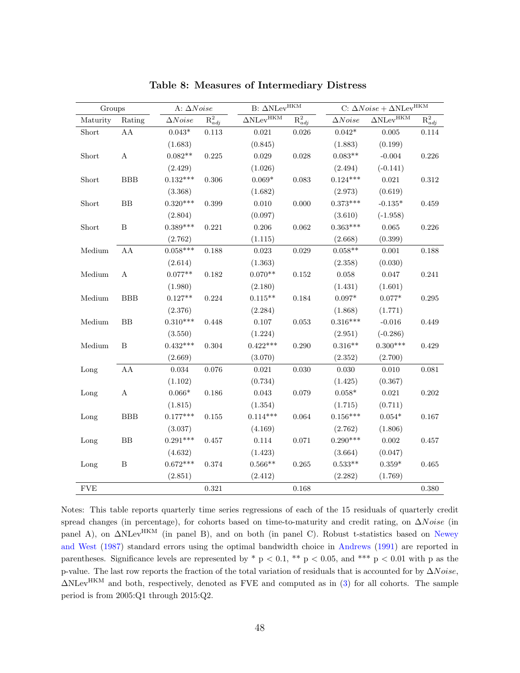| Groups     |                  | A: $\Delta Noise$ |             | B: $\Delta \textsc{NLev}^{\textsc{HKM}}$    | C: $\Delta Noise+\Delta \overline{\text{NLev}}^{\text{HKM}}$ |                |                                   |                                 |
|------------|------------------|-------------------|-------------|---------------------------------------------|--------------------------------------------------------------|----------------|-----------------------------------|---------------------------------|
| Maturity   | Rating           | $\Delta Noise$    | $R_{adj}^2$ | $\Delta \rm N \overline{\rm Lev}^{\rm HKM}$ | $\overline{\mathrm{R}_{adj}^2}$                              | $\Delta Noise$ | $\Delta \text{NLev}^{\text{HKM}}$ | $\overline{\mathrm{R}_{adj}^2}$ |
| Short      | ${\rm AA}$       | $0.043*$          | $0.113\,$   | $\,0.021\,$                                 | 0.026                                                        | $0.042*$       | $0.005\,$                         | $0.114\,$                       |
|            |                  | (1.683)           |             | (0.845)                                     |                                                              | (1.883)        | (0.199)                           |                                 |
| Short      | $\boldsymbol{A}$ | $0.082**$         | 0.225       | 0.029                                       | 0.028                                                        | $0.083**$      | $-0.004$                          | 0.226                           |
|            |                  | (2.429)           |             | (1.026)                                     |                                                              | (2.494)        | $(-0.141)$                        |                                 |
| Short      | <b>BBB</b>       | $0.132***$        | 0.306       | $0.069*$                                    | 0.083                                                        | $0.124***$     | 0.021                             | 0.312                           |
|            |                  | (3.368)           |             | (1.682)                                     |                                                              | (2.973)        | (0.619)                           |                                 |
| Short      | ${\rm BB}$       | $0.320***$        | 0.399       | 0.010                                       | 0.000                                                        | $0.373***$     | $-0.135*$                         | 0.459                           |
|            |                  | (2.804)           |             | (0.097)                                     |                                                              | (3.610)        | $(-1.958)$                        |                                 |
| Short      | $\, {\bf B}$     | $0.389***$        | 0.221       | 0.206                                       | $\,0.062\,$                                                  | $0.363***$     | $0.065\,$                         | 0.226                           |
|            |                  | (2.762)           |             | (1.115)                                     |                                                              | (2.668)        | (0.399)                           |                                 |
| Medium     | ${\rm AA}$       | $0.058***$        | 0.188       | 0.023                                       | 0.029                                                        | $0.058**$      | $0.001\,$                         | 0.188                           |
|            |                  | (2.614)           |             | (1.363)                                     |                                                              | (2.358)        | (0.030)                           |                                 |
| Medium     | $\boldsymbol{A}$ | $0.077**$         | $\rm 0.182$ | $0.070**$                                   | $\rm 0.152$                                                  | 0.058          | $0.047\,$                         | 0.241                           |
|            |                  | (1.980)           |             | (2.180)                                     |                                                              | (1.431)        | (1.601)                           |                                 |
| Medium     | BBB              | $0.127**$         | 0.224       | $0.115**$                                   | 0.184                                                        | $0.097^{\ast}$ | $0.077^{\ast}$                    | 0.295                           |
|            |                  | (2.376)           |             | (2.284)                                     |                                                              | (1.868)        | (1.771)                           |                                 |
| Medium     | ${\rm BB}$       | $0.310***$        | 0.448       | 0.107                                       | $\,0.053\,$                                                  | $0.316***$     | $-0.016$                          | 0.449                           |
|            |                  | (3.550)           |             | (1.224)                                     |                                                              | (2.951)        | $(-0.286)$                        |                                 |
| Medium     | $\, {\bf B}$     | $0.432***$        | $\,0.304\,$ | $0.422***$                                  | 0.290                                                        | $0.316**$      | $0.300***$                        | 0.429                           |
|            |                  | (2.669)           |             | (3.070)                                     |                                                              | (2.352)        | (2.700)                           |                                 |
| Long       | ${\rm AA}$       | $\,0.034\,$       | $0.076\,$   | 0.021                                       | 0.030                                                        | 0.030          | $0.010\,$                         | 0.081                           |
|            |                  | (1.102)           |             | (0.734)                                     |                                                              | (1.425)        | (0.367)                           |                                 |
| Long       | $\mathbf A$      | $0.066^{\ast}$    | 0.186       | $\,0.043\,$                                 | 0.079                                                        | $0.058^{\ast}$ | 0.021                             | 0.202                           |
|            |                  | (1.815)           |             | (1.354)                                     |                                                              | (1.715)        | (0.711)                           |                                 |
| Long       | <b>BBB</b>       | $0.177***$        | 0.155       | $0.114***$                                  | 0.064                                                        | $0.156***$     | $0.054*$                          | 0.167                           |
|            |                  | (3.037)           |             | (4.169)                                     |                                                              | (2.762)        | (1.806)                           |                                 |
| Long       | BB               | $0.291***$        | 0.457       | $0.114\,$                                   | 0.071                                                        | $0.290***$     | 0.002                             | 0.457                           |
|            |                  | (4.632)           |             | (1.423)                                     |                                                              | (3.664)        | (0.047)                           |                                 |
| Long       | B                | $0.672***$        | 0.374       | $0.566**$                                   | 0.265                                                        | $0.533**$      | $0.359^{\ast}$                    | 0.465                           |
|            |                  | (2.851)           |             | (2.412)                                     |                                                              | (2.282)        | (1.769)                           |                                 |
| <b>FVE</b> |                  |                   | $\rm 0.321$ |                                             | 0.168                                                        |                |                                   | 0.380                           |

<span id="page-50-0"></span>Table 8: Measures of Intermediary Distress

Notes: This table reports quarterly time series regressions of each of the 15 residuals of quarterly credit spread changes (in percentage), for cohorts based on time-to-maturity and credit rating, on  $\Delta Noise$  (in panel A), on ΔNLev<sup>HKM</sup> (in panel B), and on both (in panel C). Robust t-statistics based on [Newey](#page-70-2) [and West](#page-70-2) [\(1987\)](#page-70-2) standard errors using the optimal bandwidth choice in [Andrews](#page-66-2) [\(1991\)](#page-66-2) are reported in parentheses. Significance levels are represented by  $*$  p < 0.1,  $**$  p < 0.05, and  $***$  p < 0.01 with p as the p-value. The last row reports the fraction of the total variation of residuals that is accounted for by  $\Delta Noise$ , ∆NLevHKM and both, respectively, denoted as FVE and computed as in [\(3\)](#page-21-0) for all cohorts. The sample period is from 2005:Q1 through 2015:Q2.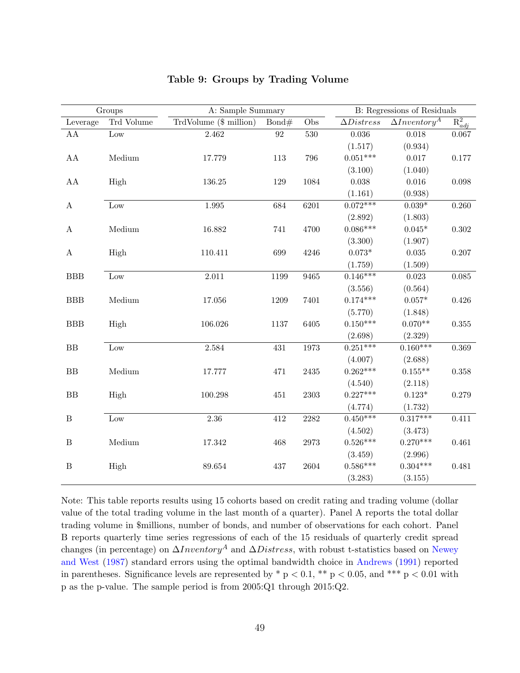|                  | Groups          | A: Sample Summary      |          | B: Regressions of Residuals |                   |                      |             |
|------------------|-----------------|------------------------|----------|-----------------------------|-------------------|----------------------|-------------|
| Leverage         | Trd Volume      | TrdVolume (\$ million) | Bond#    | Obs                         | $\Delta Distress$ | $\Delta Inventory^A$ | $R_{adj}^2$ |
| ${\rm AA}$       | $_{\text{Low}}$ | 2.462                  | $\rm 92$ | 530                         | 0.036             | $0.018\,$            | 0.067       |
|                  |                 |                        |          |                             | (1.517)           | (0.934)              |             |
| ${\rm AA}$       | Medium          | 17.779                 | 113      | 796                         | $0.051***$        | $0.017\,$            | $0.177\,$   |
|                  |                 |                        |          |                             | (3.100)           | (1.040)              |             |
| ${\rm AA}$       | High            | 136.25                 | 129      | 1084                        | 0.038             | $0.016\,$            | 0.098       |
|                  |                 |                        |          |                             | (1.161)           | (0.938)              |             |
| $\boldsymbol{A}$ | Low             | 1.995                  | 684      | 6201                        | $0.072***$        | $0.039^{\ast}$       | 0.260       |
|                  |                 |                        |          |                             | (2.892)           | (1.803)              |             |
| $\boldsymbol{A}$ | Medium          | 16.882                 | 741      | 4700                        | $0.086***$        | $0.045*$             | $0.302\,$   |
|                  |                 |                        |          |                             | (3.300)           | (1.907)              |             |
| $\boldsymbol{A}$ | High            | 110.411                | 699      | 4246                        | $0.073*$          | $\,0.035\,$          | 0.207       |
|                  |                 |                        |          |                             | (1.759)           | (1.509)              |             |
| <b>BBB</b>       | Low             | $2.011\,$              | 1199     | 9465                        | $0.146***$        | $\,0.023\,$          | $0.085\,$   |
|                  |                 |                        |          |                             | (3.556)           | (0.564)              |             |
| BBB              | Medium          | 17.056                 | 1209     | 7401                        | $0.174***$        | $0.057*$             | 0.426       |
|                  |                 |                        |          |                             | (5.770)           | (1.848)              |             |
| <b>BBB</b>       | High            | 106.026                | 1137     | 6405                        | $0.150***$        | $0.070**$            | $0.355\,$   |
|                  |                 |                        |          |                             | (2.698)           | (2.329)              |             |
| BB               | Low             | $\phantom{-}2.584$     | 431      | 1973                        | $0.251***$        | $0.160***$           | 0.369       |
|                  |                 |                        |          |                             | (4.007)           | (2.688)              |             |
| BB               | Medium          | 17.777                 | 471      | 2435                        | $0.262***$        | $0.155***$           | 0.358       |
|                  |                 |                        |          |                             | (4.540)           | (2.118)              |             |
| BB               | High            | 100.298                | 451      | $\,2303\,$                  | $0.227***$        | $0.123*$             | 0.279       |
|                  |                 |                        |          |                             | (4.774)           | (1.732)              |             |
| $\, {\bf B}$     | Low             | 2.36                   | 412      | 2282                        | $0.450***$        | $0.317***$           | 0.411       |
|                  |                 |                        |          |                             | (4.502)           | (3.473)              |             |
| $\, {\bf B}$     | Medium          | 17.342                 | 468      | 2973                        | $0.526***$        | $0.270***$           | 0.461       |
|                  |                 |                        |          |                             | (3.459)           | (2.996)              |             |
| $\, {\bf B}$     | High            | 89.654                 | 437      | 2604                        | $0.586***$        | $0.304***$           | 0.481       |
|                  |                 |                        |          |                             | (3.283)           | (3.155)              |             |

### <span id="page-51-0"></span>Table 9: Groups by Trading Volume

Note: This table reports results using 15 cohorts based on credit rating and trading volume (dollar value of the total trading volume in the last month of a quarter). Panel A reports the total dollar trading volume in \$millions, number of bonds, and number of observations for each cohort. Panel B reports quarterly time series regressions of each of the 15 residuals of quarterly credit spread changes (in percentage) on  $\Delta Inventory^A$  and  $\Delta Distress$ , with robust t-statistics based on [Newey](#page-70-2) [and West](#page-70-2) [\(1987\)](#page-70-2) standard errors using the optimal bandwidth choice in [Andrews](#page-66-2) [\(1991\)](#page-66-2) reported in parentheses. Significance levels are represented by  $*$  p < 0.1,  $**$  p < 0.05, and  $***$  p < 0.01 with p as the p-value. The sample period is from 2005:Q1 through 2015:Q2.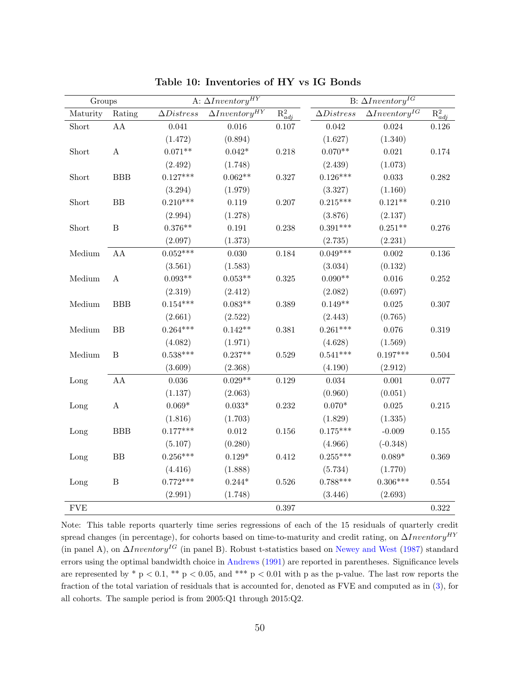| Groups        |                  |                   | A: $\Delta Inventory^{HY}$ |             |                   | B: $\Delta Inventory^{IG}$ |             |  |  |
|---------------|------------------|-------------------|----------------------------|-------------|-------------------|----------------------------|-------------|--|--|
| Maturity      | Rating           | $\Delta Distress$ | $\Delta Inventory^{HY}$    | $R_{adj}^2$ | $\Delta Distress$ | $\Delta Inventory^{IG}$    | $R_{adj}^2$ |  |  |
| ${\rm Short}$ | ${\rm AA}$       | 0.041             | $0.016\,$                  | $0.107\,$   | 0.042             | $\,0.024\,$                | $0.126\,$   |  |  |
|               |                  | (1.472)           | (0.894)                    |             | (1.627)           | (1.340)                    |             |  |  |
| ${\rm Short}$ | $\mathbf A$      | $0.071**$         | $0.042*$                   | 0.218       | $0.070**$         | $\,0.021\,$                | $0.174\,$   |  |  |
|               |                  | (2.492)           | (1.748)                    |             | (2.439)           | (1.073)                    |             |  |  |
| Short         | BBB              | $0.127***$        | $0.062**$                  | 0.327       | $0.126***$        | 0.033                      | 0.282       |  |  |
|               |                  | (3.294)           | (1.979)                    |             | (3.327)           | (1.160)                    |             |  |  |
| Short         | BB               | $0.210***$        | 0.119                      | 0.207       | $0.215***$        | $0.121**$                  | 0.210       |  |  |
|               |                  | (2.994)           | (1.278)                    |             | (3.876)           | (2.137)                    |             |  |  |
| Short         | $\, {\bf B}$     | $0.376**$         | $\rm 0.191$                | $0.238\,$   | $0.391***$        | $0.251**$                  | $0.276\,$   |  |  |
|               |                  | (2.097)           | (1.373)                    |             | (2.735)           | (2.231)                    |             |  |  |
| Medium        | ${\rm AA}$       | $0.052***$        | $0.030\,$                  | $\,0.184\,$ | $0.049***$        | 0.002                      | $0.136\,$   |  |  |
|               |                  | (3.561)           | (1.583)                    |             | (3.034)           | (0.132)                    |             |  |  |
| Medium        | $\boldsymbol{A}$ | $0.093**$         | $0.053**$                  | $0.325\,$   | $0.090**$         | $0.016\,$                  | $0.252\,$   |  |  |
|               |                  | (2.319)           | (2.412)                    |             | (2.082)           | (0.697)                    |             |  |  |
| Medium        | BBB              | $0.154***$        | $0.083**$                  | 0.389       | $0.149**$         | $0.025\,$                  | $0.307\,$   |  |  |
|               |                  | (2.661)           | (2.522)                    |             | (2.443)           | (0.765)                    |             |  |  |
| Medium        | BB               | $0.264***$        | $0.142**$                  | 0.381       | $0.261***$        | $0.076\,$                  | $0.319\,$   |  |  |
|               |                  | (4.082)           | (1.971)                    |             | (4.628)           | (1.569)                    |             |  |  |
| Medium        | $\, {\bf B}$     | $0.538***$        | $0.237**$                  | 0.529       | $0.541***$        | $0.197***$                 | 0.504       |  |  |
|               |                  | (3.609)           | (2.368)                    |             | (4.190)           | (2.912)                    |             |  |  |
| Long          | ${\rm AA}$       | 0.036             | $0.029**$                  | 0.129       | 0.034             | 0.001                      | 0.077       |  |  |
|               |                  | (1.137)           | (2.063)                    |             | (0.960)           | (0.051)                    |             |  |  |
| Long          | $\mathbf A$      | $0.069^{\ast}$    | $0.033^{\ast}$             | 0.232       | $0.070*$          | $0.025\,$                  | $0.215\,$   |  |  |
|               |                  | (1.816)           | (1.703)                    |             | (1.829)           | (1.335)                    |             |  |  |
| Long          | <b>BBB</b>       | $0.177***$        | $\,0.012\,$                | $0.156\,$   | $0.175***$        | $-0.009$                   | $0.155\,$   |  |  |
|               |                  | (5.107)           | (0.280)                    |             | (4.966)           | $(-0.348)$                 |             |  |  |
| Long          | ${\rm BB}$       | $0.256***$        | $0.129^{\ast}$             | 0.412       | $0.255***$        | $0.089*$                   | 0.369       |  |  |
|               |                  | (4.416)           | (1.888)                    |             | (5.734)           | (1.770)                    |             |  |  |
| Long          | $\, {\bf B}$     | $0.772***$        | $0.244*$                   | $0.526\,$   | $0.788***$        | $0.306***$                 | $\,0.554\,$ |  |  |
|               |                  | (2.991)           | (1.748)                    |             | (3.446)           | (2.693)                    |             |  |  |
| <b>FVE</b>    |                  |                   |                            | 0.397       |                   |                            | 0.322       |  |  |

Table 10: Inventories of HY vs IG Bonds

Note: This table reports quarterly time series regressions of each of the 15 residuals of quarterly credit spread changes (in percentage), for cohorts based on time-to-maturity and credit rating, on  $\Delta Inventory^{HY}$ (in panel A), on  $\Delta Inventory^{IG}$  (in panel B). Robust t-statistics based on [Newey and West](#page-70-2) [\(1987\)](#page-70-2) standard errors using the optimal bandwidth choice in [Andrews](#page-66-2) [\(1991\)](#page-66-2) are reported in parentheses. Significance levels are represented by  $*$  p < 0.1,  $**$  p < 0.05, and  $***$  p < 0.01 with p as the p-value. The last row reports the fraction of the total variation of residuals that is accounted for, denoted as FVE and computed as in [\(3\)](#page-21-0), for all cohorts. The sample period is from 2005:Q1 through 2015:Q2.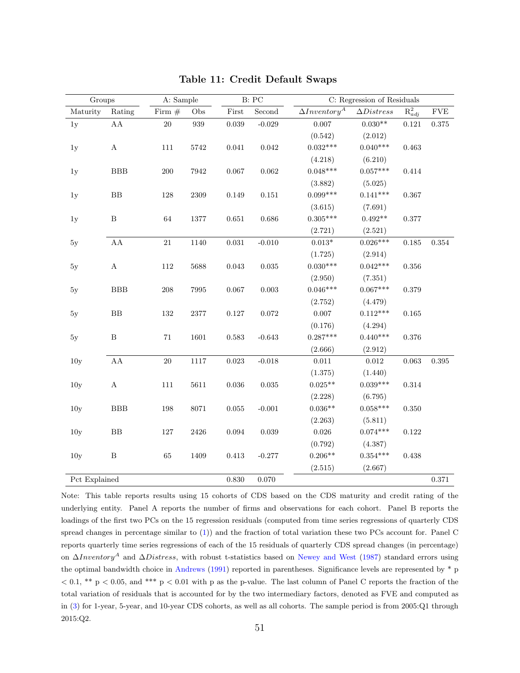| Groups          |                  | A: Sample |            |             | B: PC           |                      | C: Regression of Residuals |             |             |
|-----------------|------------------|-----------|------------|-------------|-----------------|----------------------|----------------------------|-------------|-------------|
| Maturity        | Rating           | Firm $#$  | Obs        | First       | $\rm Second$    | $\Delta Inventory^A$ | $\Delta Distress$          | $R_{adi}^2$ | ${\rm FVE}$ |
| 1y              | ${\rm AA}$       | $20\,$    | 939        | 0.039       | $\text{-}0.029$ | 0.007                | $0.030**$                  | $\rm 0.121$ | 0.375       |
|                 |                  |           |            |             |                 | (0.542)              | (2.012)                    |             |             |
| 1y              | $\mathbf A$      | 111       | 5742       | $\,0.041\,$ | 0.042           | $0.032***$           | $0.040***$                 | 0.463       |             |
|                 |                  |           |            |             |                 | (4.218)              | (6.210)                    |             |             |
| 1y              | $_{\rm BBB}$     | 200       | 7942       | 0.067       | $\,0.062\,$     | $0.048***$           | $0.057***$                 | $0.414\,$   |             |
|                 |                  |           |            |             |                 | (3.882)              | (5.025)                    |             |             |
| 1y              | ${\rm BB}$       | $128\,$   | $\,2309$   | 0.149       | $\rm 0.151$     | $0.099***$           | $0.141***$                 | 0.367       |             |
|                 |                  |           |            |             |                 | (3.615)              | (7.691)                    |             |             |
| 1y              | $\, {\bf B}$     | $64\,$    | $1377\,$   | $0.651\,$   | 0.686           | $0.305***$           | $0.492**$                  | 0.377       |             |
|                 |                  |           |            |             |                 | (2.721)              | (2.521)                    |             |             |
| 5y              | ${\rm AA}$       | 21        | 1140       | $\,0.031\,$ | $-0.010$        | $0.013^{\ast}$       | $0.026***$                 | $0.185\,$   | $0.354\,$   |
|                 |                  |           |            |             |                 | (1.725)              | (2.914)                    |             |             |
| 5y              | $\boldsymbol{A}$ | $112\,$   | 5688       | 0.043       | $\,0.035\,$     | $0.030***$           | $0.042***$                 | $0.356\,$   |             |
|                 |                  |           |            |             |                 | (2.950)              | (7.351)                    |             |             |
| 5y              | $_{\rm BBB}$     | $\,208$   | 7995       | $0.067\,$   | 0.003           | $0.046***$           | $0.067***$                 | 0.379       |             |
|                 |                  |           |            |             |                 | (2.752)              | (4.479)                    |             |             |
| 5y              | BB               | 132       | $\bf 2377$ | $0.127\,$   | $\rm 0.072$     | 0.007                | $0.112***$                 | $\,0.165\,$ |             |
|                 |                  |           |            |             |                 | (0.176)              | (4.294)                    |             |             |
| 5y              | $\, {\bf B}$     | 71        | 1601       | 0.583       | $-0.643$        | $0.287***$           | $0.440***$                 | 0.376       |             |
|                 |                  |           |            |             |                 | (2.666)              | (2.912)                    |             |             |
| 10y             | ${\rm AA}$       | $20\,$    | 1117       | 0.023       | $-0.018$        | $0.011\,$            | 0.012                      | $\,0.063\,$ | $\,0.395\,$ |
|                 |                  |           |            |             |                 | (1.375)              | (1.440)                    |             |             |
| 10y             | $\mathbf A$      | $111\,$   | $5611\,$   | $\,0.036\,$ | $\,0.035\,$     | $0.025**$            | $0.039***$                 | $0.314\,$   |             |
|                 |                  |           |            |             |                 | (2.228)              | (6.795)                    |             |             |
| 10 <sub>y</sub> | $_{\rm BBB}$     | 198       | 8071       | $\,0.055\,$ | $-0.001$        | $0.036**$            | $0.058***$                 | $0.350\,$   |             |
|                 |                  |           |            |             |                 | (2.263)              | (5.811)                    |             |             |
| 10 <sub>y</sub> | ${\rm BB}$       | $127\,$   | $2426\,$   | $\,0.094\,$ | 0.039           | $0.026\,$            | $0.074***$                 | $\rm 0.122$ |             |
|                 |                  |           |            |             |                 | (0.792)              | (4.387)                    |             |             |
| $10\mathrm{y}$  | $\, {\bf B}$     | $65\,$    | 1409       | $\,0.413\,$ | $-0.277$        | $0.206**$            | $0.354***$                 | 0.438       |             |
|                 |                  |           |            |             |                 | (2.515)              | (2.667)                    |             |             |
| Pct Explained   |                  |           | 0.830      | 0.070       |                 |                      |                            | 0.371       |             |

### Table 11: Credit Default Swaps

Note: This table reports results using 15 cohorts of CDS based on the CDS maturity and credit rating of the underlying entity. Panel A reports the number of firms and observations for each cohort. Panel B reports the loadings of the first two PCs on the 15 regression residuals (computed from time series regressions of quarterly CDS spread changes in percentage similar to [\(1\)](#page-18-0)) and the fraction of total variation these two PCs account for. Panel C reports quarterly time series regressions of each of the 15 residuals of quarterly CDS spread changes (in percentage) on  $\Delta Inventory^A$  and  $\Delta Distress$ , with robust t-statistics based on [Newey and West](#page-70-2) [\(1987\)](#page-70-2) standard errors using the optimal bandwidth choice in [Andrews](#page-66-2) [\(1991\)](#page-66-2) reported in parentheses. Significance levels are represented by \* p  $< 0.1$ , \*\* p  $< 0.05$ , and \*\*\* p  $< 0.01$  with p as the p-value. The last column of Panel C reports the fraction of the total variation of residuals that is accounted for by the two intermediary factors, denoted as FVE and computed as in [\(3\)](#page-21-0) for 1-year, 5-year, and 10-year CDS cohorts, as well as all cohorts. The sample period is from 2005:Q1 through 2015:Q2.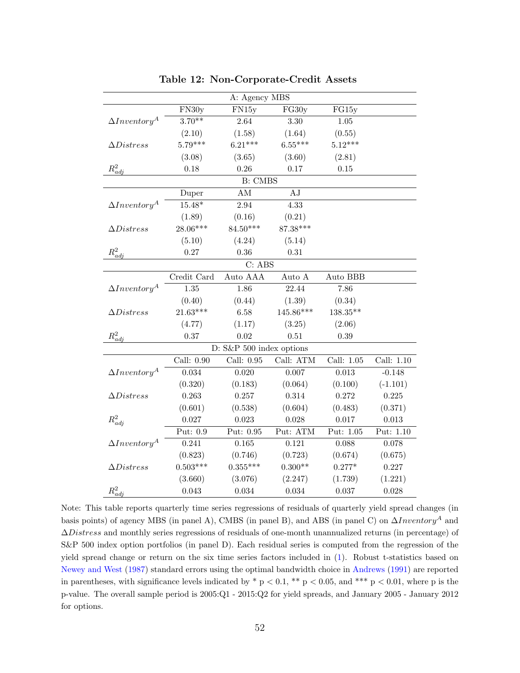| A: Agency MBS              |             |                |             |              |            |  |
|----------------------------|-------------|----------------|-------------|--------------|------------|--|
|                            | FN30y       | FN15y          | FG30y       | FG15y        |            |  |
| $\Delta Inventory^A$       | $3.70**$    | 2.64           | 3.30        | $1.05\,$     |            |  |
|                            | (2.10)      | (1.58)         | (1.64)      | (0.55)       |            |  |
| $\Delta Distress$          | $5.79***$   | $6.21***$      | $6.55***$   | $5.12***$    |            |  |
|                            | (3.08)      | (3.65)         | (3.60)      | (2.81)       |            |  |
| $R_{adi}^2$                | $0.18\,$    | 0.26           | 0.17        | 0.15         |            |  |
|                            |             | <b>B:</b> CMBS |             |              |            |  |
|                            | Duper       | AM             | $\rm AJ$    |              |            |  |
| $\Delta Inventory^A$       | $15.48*$    | 2.94           | 4.33        |              |            |  |
|                            | (1.89)      | (0.16)         | (0.21)      |              |            |  |
| $\Delta Distress$          | $28.06***$  | $84.50***$     | 87.38***    |              |            |  |
|                            | (5.10)      | (4.24)         | (5.14)      |              |            |  |
| $R_{adi}^2$                | 0.27        | 0.36           | 0.31        |              |            |  |
|                            |             | $C:$ ABS       |             |              |            |  |
|                            | Credit Card | Auto AAA       | Auto A      | Auto BBB     |            |  |
| $\Delta Inventory^A$       | 1.35        | 1.86           | 22.44       | 7.86         |            |  |
|                            | (0.40)      | (0.44)         | (1.39)      | (0.34)       |            |  |
| $\Delta Distress$          | $21.63***$  | 6.58           | $145.86***$ | 138.35**     |            |  |
|                            | (4.77)      | (1.17)         | (3.25)      | (2.06)       |            |  |
| $R_{adi}^2$                | 0.37        | 0.02           | 0.51        | 0.39         |            |  |
| D: S&P 500 index options   |             |                |             |              |            |  |
|                            | Call: 0.90  | Call: $0.95$   | Call: ATM   | Call: $1.05$ | Call: 1.10 |  |
| $\Delta Inventory^A$       | 0.034       | 0.020          | 0.007       | 0.013        | $-0.148$   |  |
|                            | (0.320)     | (0.183)        | (0.064)     | (0.100)      | $(-1.101)$ |  |
| $\Delta Distress$          | 0.263       | 0.257          | 0.314       | 0.272        | 0.225      |  |
|                            | (0.601)     | (0.538)        | (0.604)     | (0.483)      | (0.371)    |  |
| $R_{adj}^2$                | 0.027       | 0.023          | 0.028       | 0.017        | 0.013      |  |
|                            | Put: 0.9    | Put: 0.95      | Put: ATM    | Put: 1.05    | Put: 1.10  |  |
| $\Delta Inventory^A$       | 0.241       | 0.165          | 0.121       | 0.088        | 0.078      |  |
|                            | (0.823)     | (0.746)        | (0.723)     | (0.674)      | (0.675)    |  |
| $\Delta \textit{Distress}$ | $0.503***$  | $0.355***$     | $0.300**$   | $0.277*$     | 0.227      |  |
|                            | (3.660)     | (3.076)        | (2.247)     | (1.739)      | (1.221)    |  |
| $R^2_{adj}$                | 0.043       | 0.034          | 0.034       | 0.037        | 0.028      |  |

Table 12: Non-Corporate-Credit Assets

Note: This table reports quarterly time series regressions of residuals of quarterly yield spread changes (in basis points) of agency MBS (in panel A), CMBS (in panel B), and ABS (in panel C) on  $\Delta Inventory^A$  and ∆Distress and monthly series regressions of residuals of one-month unannualized returns (in percentage) of S&P 500 index option portfolios (in panel D). Each residual series is computed from the regression of the yield spread change or return on the six time series factors included in [\(1\)](#page-18-0). Robust t-statistics based on [Newey and West](#page-70-2) [\(1987\)](#page-70-2) standard errors using the optimal bandwidth choice in [Andrews](#page-66-2) [\(1991\)](#page-66-2) are reported in parentheses, with significance levels indicated by  $*$  p < 0.1,  $*$  p < 0.05, and  $*$   $*$  p < 0.01, where p is the p-value. The overall sample period is 2005:Q1 - 2015:Q2 for yield spreads, and January 2005 - January 2012 for options.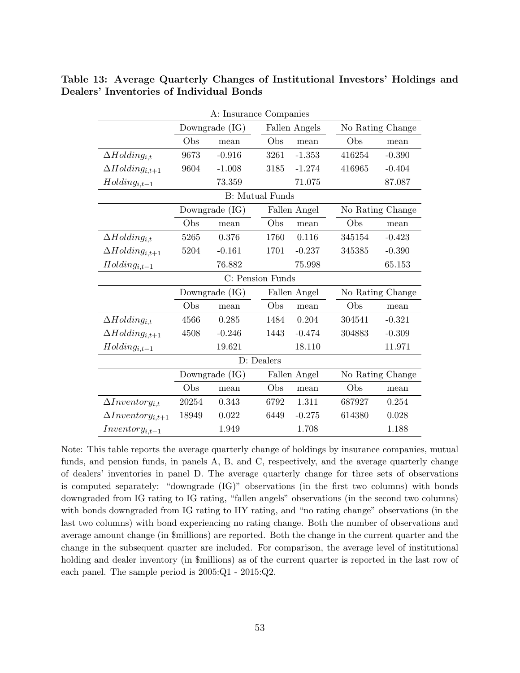<span id="page-55-0"></span>

|                            | A: Insurance Companies |                        |              |               |                  |                  |  |
|----------------------------|------------------------|------------------------|--------------|---------------|------------------|------------------|--|
|                            | Downgrade $(IG)$       |                        |              | Fallen Angels |                  | No Rating Change |  |
|                            | Obs                    | mean                   | Obs          | mean          | Obs              | mean             |  |
| $\Delta Holding_{i,t}$     | 9673                   | $-0.916$               | 3261         | $-1.353$      | 416254           | $-0.390$         |  |
| $\Delta Holding_{i,t+1}$   | 9604                   | $-1.008$               | 3185         | $-1.274$      | 416965           | $-0.404$         |  |
| $Holding_{i,t-1}$          |                        | 73.359                 |              | 71.075        |                  | 87.087           |  |
|                            |                        | <b>B:</b> Mutual Funds |              |               |                  |                  |  |
|                            |                        | Downgrade (IG)         |              | Fallen Angel  |                  | No Rating Change |  |
|                            | Obs                    | mean                   | Obs          | mean          | Obs              | mean             |  |
| $\Delta Holding_{i,t}$     | 5265                   | 0.376                  | 1760         | 0.116         | 345154           | $-0.423$         |  |
| $\Delta Holding_{i,t+1}$   | 5204                   | $-0.161$               | 1701         | $-0.237$      | 345385           | $-0.390$         |  |
| $Holding_{i,t-1}$          |                        | 76.882                 |              | 75.998        |                  | 65.153           |  |
|                            |                        | C: Pension Funds       |              |               |                  |                  |  |
|                            | Downgrade $(IG)$       |                        |              | Fallen Angel  |                  | No Rating Change |  |
|                            | Obs                    | mean                   | Obs          | mean          | Obs              | mean             |  |
| $\Delta Holding_{i.t}$     | 4566                   | 0.285                  | 1484         | 0.204         | 304541           | $-0.321$         |  |
| $\Delta Holding_{i,t+1}$   | 4508                   | $-0.246$               | 1443         | $-0.474$      | 304883           | $-0.309$         |  |
| $Holding_{i,t-1}$          |                        | 19.621                 |              | 18.110        |                  | 11.971           |  |
|                            |                        |                        | D: Dealers   |               |                  |                  |  |
|                            | Downgrade $(IG)$       |                        | Fallen Angel |               | No Rating Change |                  |  |
|                            | Obs                    | mean                   | Obs          | mean          | Obs              | mean             |  |
| $\Delta Inventory_{i,t}$   | 20254                  | 0.343                  | 6792         | 1.311         | 687927           | 0.254            |  |
| $\Delta Inventory_{i,t+1}$ | 18949                  | 0.022                  | 6449         | $-0.275$      | 614380           | 0.028            |  |
| $Inventory_{i,t-1}$        |                        | 1.949                  |              | 1.708         |                  | 1.188            |  |

Table 13: Average Quarterly Changes of Institutional Investors' Holdings and Dealers' Inventories of Individual Bonds

Note: This table reports the average quarterly change of holdings by insurance companies, mutual funds, and pension funds, in panels A, B, and C, respectively, and the average quarterly change of dealers' inventories in panel D. The average quarterly change for three sets of observations is computed separately: "downgrade (IG)" observations (in the first two columns) with bonds downgraded from IG rating to IG rating, "fallen angels" observations (in the second two columns) with bonds downgraded from IG rating to HY rating, and "no rating change" observations (in the last two columns) with bond experiencing no rating change. Both the number of observations and average amount change (in \$millions) are reported. Both the change in the current quarter and the change in the subsequent quarter are included. For comparison, the average level of institutional holding and dealer inventory (in \$millions) as of the current quarter is reported in the last row of each panel. The sample period is 2005:Q1 - 2015:Q2.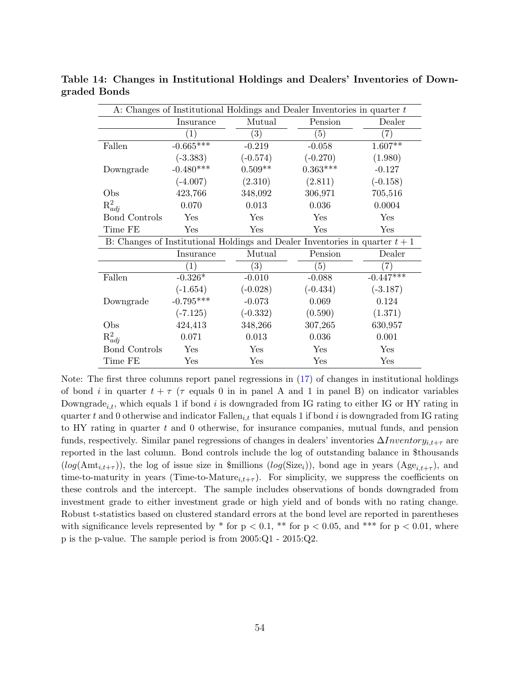| A: Changes of Institutional Holdings and Dealer Inventories in quarter t |                   |                                                                                |            |             |  |  |  |
|--------------------------------------------------------------------------|-------------------|--------------------------------------------------------------------------------|------------|-------------|--|--|--|
|                                                                          | Insurance         | Mutual                                                                         | Pension    | Dealer      |  |  |  |
|                                                                          | $\left( 1\right)$ | $\overline{(3)}$                                                               | (5)        | (7)         |  |  |  |
| Fallen                                                                   | $-0.665***$       | $-0.219$                                                                       | $-0.058$   | $1.607**$   |  |  |  |
|                                                                          | $(-3.383)$        | $(-0.574)$                                                                     | $(-0.270)$ | (1.980)     |  |  |  |
| Downgrade                                                                | $-0.480***$       | $0.509**$                                                                      | $0.363***$ | $-0.127$    |  |  |  |
|                                                                          | $(-4.007)$        | (2.310)                                                                        | (2.811)    | $(-0.158)$  |  |  |  |
| Obs                                                                      | 423,766           | 348,092                                                                        | 306,971    | 705,516     |  |  |  |
| $R_{adi}^2$                                                              | 0.070             | 0.013                                                                          | 0.036      | 0.0004      |  |  |  |
| <b>Bond Controls</b>                                                     | Yes               | Yes                                                                            | Yes        | Yes         |  |  |  |
| Time FE                                                                  | Yes               | Yes                                                                            | Yes        | Yes         |  |  |  |
|                                                                          |                   | B: Changes of Institutional Holdings and Dealer Inventories in quarter $t + 1$ |            |             |  |  |  |
|                                                                          | Insurance         | Mutual                                                                         | Pension    | Dealer      |  |  |  |
|                                                                          | $\left( 1\right)$ | (3)                                                                            | (5)        | (7)         |  |  |  |
| Fallen                                                                   | $-0.326*$         | $-0.010$                                                                       | $-0.088$   | $-0.447***$ |  |  |  |
|                                                                          | $(-1.654)$        | $(-0.028)$                                                                     | $(-0.434)$ | $(-3.187)$  |  |  |  |
| Downgrade                                                                | $-0.795***$       | $-0.073$                                                                       | 0.069      | 0.124       |  |  |  |
|                                                                          | $(-7.125)$        | $(-0.332)$                                                                     | (0.590)    | (1.371)     |  |  |  |
| Obs                                                                      | 424,413           | 348,266                                                                        | 307,265    | 630,957     |  |  |  |
| $R_{adi}^2$                                                              | 0.071             | 0.013                                                                          | 0.036      | 0.001       |  |  |  |
| <b>Bond Controls</b>                                                     | Yes               | Yes                                                                            | Yes        | Yes         |  |  |  |
| Time FE                                                                  | Yes               | Yes                                                                            | Yes        | Yes         |  |  |  |

Table 14: Changes in Institutional Holdings and Dealers' Inventories of Downgraded Bonds

Note: The first three columns report panel regressions in [\(17\)](#page-35-0) of changes in institutional holdings of bond i in quarter  $t + \tau$  ( $\tau$  equals 0 in in panel A and 1 in panel B) on indicator variables Downgrade<sub>i,t</sub>, which equals 1 if bond i is downgraded from IG rating to either IG or HY rating in quarter t and 0 otherwise and indicator  $\text{Fallen}_{i,t}$  that equals 1 if bond i is downgraded from IG rating to HY rating in quarter t and 0 otherwise, for insurance companies, mutual funds, and pension funds, respectively. Similar panel regressions of changes in dealers' inventories  $\Delta Inventory_{i,t+\tau}$  are reported in the last column. Bond controls include the log of outstanding balance in \$thousands  $(log(\text{Amt}_{i,t+\tau}))$ , the log of issue size in \$millions  $(log(\text{Size}_i))$ , bond age in years  $(\text{Age}_{i,t+\tau})$ , and time-to-maturity in years (Time-to-Mature<sub>i,t+τ</sub>). For simplicity, we suppress the coefficients on these controls and the intercept. The sample includes observations of bonds downgraded from investment grade to either investment grade or high yield and of bonds with no rating change. Robust t-statistics based on clustered standard errors at the bond level are reported in parentheses with significance levels represented by  $*$  for  $p < 0.1$ ,  $**$  for  $p < 0.05$ , and  $***$  for  $p < 0.01$ , where p is the p-value. The sample period is from 2005:Q1 - 2015:Q2.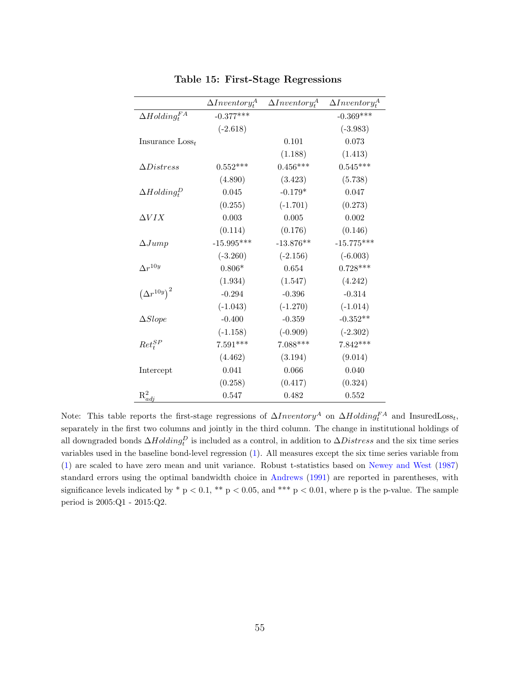|                                 | $\Delta Inventory_t^A$ | $\Delta Inventory_t^A$ | $\Delta Inventory_t^A$ |
|---------------------------------|------------------------|------------------------|------------------------|
| $\Delta Holding_t^{FA}$         | $-0.377***$            |                        | $-0.369***$            |
|                                 | $(-2.618)$             |                        | $(-3.983)$             |
| Insurance $\text{Loss}_t$       |                        | 0.101                  | 0.073                  |
|                                 |                        | (1.188)                | (1.413)                |
| $\Delta Distress$               | $0.552***$             | $0.456***$             | $0.545***$             |
|                                 | (4.890)                | (3.423)                | (5.738)                |
| $\Delta H$ olding $_P^D$        | 0.045                  | $-0.179*$              | 0.047                  |
|                                 | (0.255)                | $(-1.701)$             | (0.273)                |
| $\Delta VIX$                    | 0.003                  | 0.005                  | 0.002                  |
|                                 | (0.114)                | (0.176)                | (0.146)                |
| $\Delta Jump$                   | $-15.995***$           | $-13.876**$            | $-15.775***$           |
|                                 | $(-3.260)$             | $(-2.156)$             | $(-6.003)$             |
| $\Delta r^{10y}$                | $0.806*$               | 0.654                  | $0.728***$             |
|                                 | (1.934)                | (1.547)                | (4.242)                |
| $\left(\Delta r^{10y}\right)^2$ | $-0.294$               | $-0.396$               | $-0.314$               |
|                                 | $(-1.043)$             | $(-1.270)$             | $(-1.014)$             |
| $\Delta Slope$                  | $-0.400$               | $-0.359$               | $-0.352**$             |
|                                 | $(-1.158)$             | $(-0.909)$             | $(-2.302)$             |
| $Ret_t^{SP}$                    | $7.591***$             | $7.088***$             | $7.842***$             |
|                                 | (4.462)                | (3.194)                | (9.014)                |
| Intercept                       | 0.041                  | 0.066                  | 0.040                  |
|                                 | (0.258)                | (0.417)                | (0.324)                |
| $R^2_{adj}$                     | 0.547                  | 0.482                  | 0.552                  |

<span id="page-57-0"></span>Table 15: First-Stage Regressions

Note: This table reports the first-stage regressions of  $\Delta Inventory^A$  on  $\Delta Holding_f^{FA}$  and InsuredLoss<sub>t</sub>, separately in the first two columns and jointly in the third column. The change in institutional holdings of all downgraded bonds  $\Delta Holding^D_t$  is included as a control, in addition to  $\Delta Distress$  and the six time series variables used in the baseline bond-level regression [\(1\)](#page-18-0). All measures except the six time series variable from [\(1\)](#page-18-0) are scaled to have zero mean and unit variance. Robust t-statistics based on [Newey and West](#page-70-2) [\(1987\)](#page-70-2) standard errors using the optimal bandwidth choice in [Andrews](#page-66-2) [\(1991\)](#page-66-2) are reported in parentheses, with significance levels indicated by  $*$  p < 0.1,  $**$  p < 0.05, and  $***$  p < 0.01, where p is the p-value. The sample period is 2005:Q1 - 2015:Q2.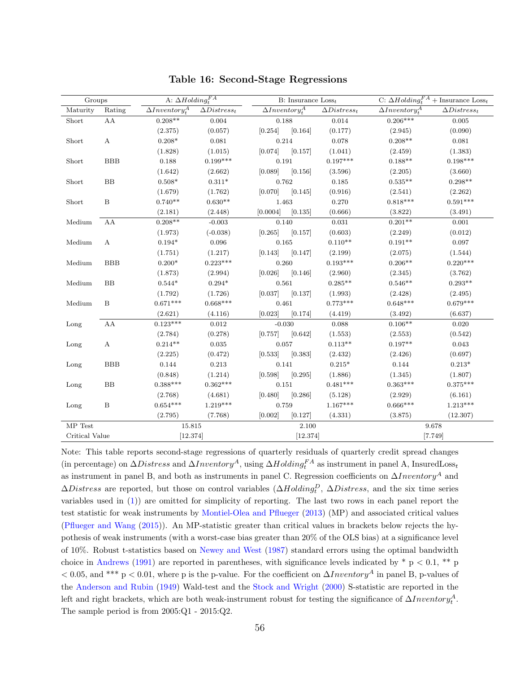| Groups              |                  | A: $\Delta Holding_f^{FA}$        |                     |                                   | B: Insurance $Loss_t$ |                                   | C: $\Delta Holding_t^{FA}$ + Insurance Loss <sub>t</sub> |  |
|---------------------|------------------|-----------------------------------|---------------------|-----------------------------------|-----------------------|-----------------------------------|----------------------------------------------------------|--|
| Maturity            | Rating           | $\overline{\Delta Inventory^A_t}$ | $\Delta Distress_t$ | $\overline{\Delta Inventory^A_t}$ | $\Delta Distress_t$   | $\overline{\Delta Inventory^A_+}$ | $\Delta Distress_t$                                      |  |
| Short               | AA               | $0.208**$                         | 0.004               | 0.188                             | $\,0.014\,$           | $0.206***$                        | 0.005                                                    |  |
|                     |                  | (2.375)                           | (0.057)             | [0.164]<br>[0.254]                | (0.177)               | (2.945)                           | (0.090)                                                  |  |
| Short               | $\mathbf{A}$     | $0.208*$                          | 0.081               | 0.214                             | 0.078                 | $0.208**$                         | 0.081                                                    |  |
|                     |                  | (1.828)                           | (1.015)             | [0.074]<br>[0.157]                | (1.041)               | (2.459)                           | (1.383)                                                  |  |
| Short               | <b>BBB</b>       | 0.188                             | $0.199***$          | 0.191                             | $0.197***$            | $0.188**$                         | $0.198***$                                               |  |
|                     |                  | (1.642)                           | (2.662)             | [0.156]<br>[0.089]                | (3.596)               | (2.205)                           | (3.660)                                                  |  |
| Short               | BB               | $0.508*$                          | $0.311*$            | 0.762                             | 0.185                 | $0.535^{\ast\ast}$                | $0.298**$                                                |  |
|                     |                  | (1.679)                           | (1.762)             | [0.145]<br>[0.070]                | (0.916)               | (2.541)                           | (2.262)                                                  |  |
| Short               | B                | $0.740**$                         | $0.630**$           | 1.463                             | 0.270                 | $0.818***$                        | $0.591***$                                               |  |
|                     |                  | (2.181)                           | (2.448)             | [0.135]<br>[0.0004]               | (0.666)               | (3.822)                           | (3.491)                                                  |  |
| Medium              | AA               | $0.208**$                         | $-0.003$            | 0.140                             | 0.031                 | $0.201**$                         | 0.001                                                    |  |
|                     |                  | (1.973)                           | $(-0.038)$          | [0.265]<br>[0.157]                | (0.603)               | (2.249)                           | (0.012)                                                  |  |
| Medium              | $\boldsymbol{A}$ | $0.194*$                          | $\,0.096\,$         | 0.165                             | $0.110**$             | $0.191**$                         | 0.097                                                    |  |
|                     |                  | (1.751)                           | (1.217)             | [0.147]<br>[0.143]                | (2.199)               | (2.075)                           | (1.544)                                                  |  |
| Medium              | <b>BBB</b>       | $0.200*$                          | $0.223***$          | 0.260                             | $0.193***$            | $0.206**$                         | $0.220***$                                               |  |
|                     |                  | (1.873)                           | (2.994)             | [0.026]<br>[0.146]                | (2.960)               | (2.345)                           | (3.762)                                                  |  |
| Medium              | BB               | $0.544*$                          | $0.294*$            | 0.561                             | $0.285**$             | $0.546**$                         | $0.293**$                                                |  |
|                     |                  | (1.792)                           | (1.726)             | [0.137]<br>[0.037]                | (1.993)               | (2.428)                           | (2.495)                                                  |  |
| Medium              | $\mathbf B$      | $0.671***$                        | $0.668***$          | 0.461                             | $0.773***$            | $0.648***$                        | $0.679***$                                               |  |
|                     |                  | (2.621)                           | (4.116)             | [0.174]<br>[0.023]                | (4.419)               | (3.492)                           | (6.637)                                                  |  |
| $\mathop{\rm Long}$ | AA               | $0.123***$                        | 0.012               | $-0.030$                          | 0.088                 | $0.106**$                         | 0.020                                                    |  |
|                     |                  | (2.784)                           | (0.278)             | [0.642]<br>[0.757]                | (1.553)               | (2.553)                           | (0.542)                                                  |  |
| Long                | $\mathbf{A}$     | $0.214**$                         | $\,0.035\,$         | 0.057                             | $0.113**$             | $0.197**$                         | 0.043                                                    |  |
|                     |                  | (2.225)                           | (0.472)             | [0.383]<br>[0.533]                | (2.432)               | (2.426)                           | (0.697)                                                  |  |
| Long                | <b>BBB</b>       | 0.144                             | 0.213               | 0.141                             | $0.215*$              | 0.144                             | $0.213*$                                                 |  |
|                     |                  | (0.848)                           | (1.214)             | [0.598]<br>[0.295]                | (1.886)               | (1.345)                           | (1.807)                                                  |  |
| Long                | BB               | $0.388***$                        | $0.362***$          | 0.151                             | $0.481***$            | $0.363***$                        | $0.375***$                                               |  |
|                     |                  | (2.768)                           | (4.681)             | [0.480]<br>[0.286]                | (5.128)               | (2.929)                           | (6.161)                                                  |  |
| Long                | B                | $0.654***$                        | $1.219***$          | 0.759                             | $1.167***$            | $0.666***$                        | $1.213***$                                               |  |
|                     |                  | (2.795)                           | (7.768)             | [0.002]<br>[0.127]                | (4.331)               | (3.875)                           | (12.307)                                                 |  |
| ${\rm MP}$ Test     |                  | 15.815                            |                     | 2.100                             |                       |                                   | 9.678                                                    |  |
| Critical Value      |                  | [12.374]                          |                     | [12.374]                          |                       | [7.749]                           |                                                          |  |

<span id="page-58-0"></span>Table 16: Second-Stage Regressions

Note: This table reports second-stage regressions of quarterly residuals of quarterly credit spread changes (in percentage) on  $\Delta Distress$  and  $\Delta Inventory^A$ , using  $\Delta Holding^{FA}_t$  as instrument in panel A, InsuredLoss<sub>t</sub> as instrument in panel B, and both as instruments in panel C. Regression coefficients on  $\Delta Inventory^A$  and  $\Delta Distress$  are reported, but those on control variables  $(\Delta Holding_t^D, \Delta Distress,$  and the six time series variables used in [\(1\)](#page-18-0)) are omitted for simplicity of reporting. The last two rows in each panel report the test statistic for weak instruments by [Montiel-Olea and Pflueger](#page-70-0) [\(2013\)](#page-70-0) (MP) and associated critical values [\(Pflueger and Wang](#page-70-1) [\(2015\)](#page-70-1)). An MP-statistic greater than critical values in brackets below rejects the hypothesis of weak instruments (with a worst-case bias greater than 20% of the OLS bias) at a significance level of 10%. Robust t-statistics based on [Newey and West](#page-70-2) [\(1987\)](#page-70-2) standard errors using the optimal bandwidth choice in [Andrews](#page-66-2) [\(1991\)](#page-66-2) are reported in parentheses, with significance levels indicated by  $*$  p < 0.1, \*\* p  $< 0.05$ , and \*\*\* p  $< 0.01$ , where p is the p-value. For the coefficient on  $\Delta Inventory^A$  in panel B, p-values of the [Anderson and Rubin](#page-66-0) [\(1949\)](#page-66-0) Wald-test and the [Stock and Wright](#page-71-1) [\(2000\)](#page-71-1) S-statistic are reported in the left and right brackets, which are both weak-instrument robust for testing the significance of  $\Delta Inventory_t^A$ . The sample period is from 2005:Q1 - 2015:Q2.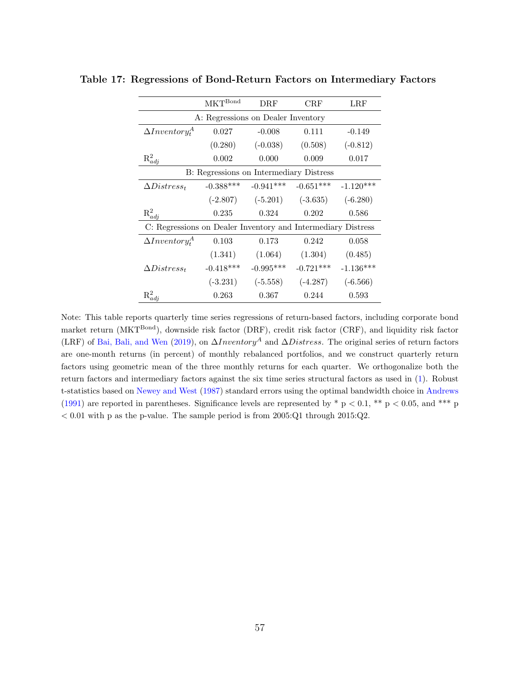<span id="page-59-0"></span>

|                                                              | <b>MKT</b> Bond | DRF         | CRF         | $_{\rm LRF}$ |  |  |  |  |
|--------------------------------------------------------------|-----------------|-------------|-------------|--------------|--|--|--|--|
| A: Regressions on Dealer Inventory                           |                 |             |             |              |  |  |  |  |
| $\Delta Inventory_t^A$                                       | 0.027           | $-0.008$    | 0.111       | $-0.149$     |  |  |  |  |
|                                                              | (0.280)         | $(-0.038)$  | (0.508)     | $(-0.812)$   |  |  |  |  |
| $R_{adj}^2$                                                  | 0.002           | 0.000       | 0.009       | 0.017        |  |  |  |  |
| B: Regressions on Intermediary Distress                      |                 |             |             |              |  |  |  |  |
| $\Delta Distress_t$                                          | $-0.388***$     | $-0.941***$ | $-0.651***$ | $-1.120***$  |  |  |  |  |
|                                                              | $(-2.807)$      | $(-5.201)$  | $(-3.635)$  | $(-6.280)$   |  |  |  |  |
| $\mathbf{R}^2_{adj}$                                         | 0.235           | 0.324       | 0.202       | 0.586        |  |  |  |  |
| C: Regressions on Dealer Inventory and Intermediary Distress |                 |             |             |              |  |  |  |  |
| $\Delta Inventory_t^A$                                       | 0.103           | 0.173       | 0.242       | 0.058        |  |  |  |  |
|                                                              | (1.341)         | (1.064)     | (1.304)     | (0.485)      |  |  |  |  |
| $\Delta Distress_t$                                          | $-0.418***$     | $-0.995***$ | $-0.721***$ | $-1.136***$  |  |  |  |  |
|                                                              | $(-3.231)$      | $(-5.558)$  | $(-4.287)$  | $(-6.566)$   |  |  |  |  |
| $R_{adj}^2$                                                  | 0.263           | 0.367       | 0.244       | 0.593        |  |  |  |  |

Table 17: Regressions of Bond-Return Factors on Intermediary Factors

Note: This table reports quarterly time series regressions of return-based factors, including corporate bond market return (MKT<sup>Bond</sup>), downside risk factor (DRF), credit risk factor (CRF), and liquidity risk factor (LRF) of [Bai, Bali, and Wen](#page-66-1) [\(2019\)](#page-66-1), on  $\Delta Inventory^A$  and  $\Delta Distress$ . The original series of return factors are one-month returns (in percent) of monthly rebalanced portfolios, and we construct quarterly return factors using geometric mean of the three monthly returns for each quarter. We orthogonalize both the return factors and intermediary factors against the six time series structural factors as used in [\(1\)](#page-18-0). Robust t-statistics based on [Newey and West](#page-70-2) [\(1987\)](#page-70-2) standard errors using the optimal bandwidth choice in [Andrews](#page-66-2) [\(1991\)](#page-66-2) are reported in parentheses. Significance levels are represented by  $*$  p < 0.1,  $**$  p < 0.05, and  $***$  p  $< 0.01$  with p as the p-value. The sample period is from 2005:Q1 through 2015:Q2.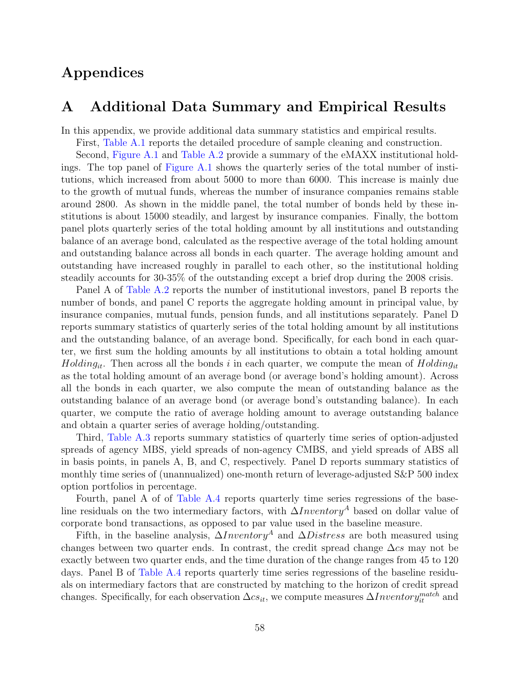# Appendices

## A Additional Data Summary and Empirical Results

In this appendix, we provide additional data summary statistics and empirical results.

First, [Table A.1](#page-43-0) reports the detailed procedure of sample cleaning and construction.

Second, [Figure A.1](#page-41-0) and [Table A.2](#page-44-0) provide a summary of the eMAXX institutional holdings. The top panel of [Figure A.1](#page-41-0) shows the quarterly series of the total number of institutions, which increased from about 5000 to more than 6000. This increase is mainly due to the growth of mutual funds, whereas the number of insurance companies remains stable around 2800. As shown in the middle panel, the total number of bonds held by these institutions is about 15000 steadily, and largest by insurance companies. Finally, the bottom panel plots quarterly series of the total holding amount by all institutions and outstanding balance of an average bond, calculated as the respective average of the total holding amount and outstanding balance across all bonds in each quarter. The average holding amount and outstanding have increased roughly in parallel to each other, so the institutional holding steadily accounts for 30-35% of the outstanding except a brief drop during the 2008 crisis.

Panel A of [Table A.2](#page-44-0) reports the number of institutional investors, panel B reports the number of bonds, and panel C reports the aggregate holding amount in principal value, by insurance companies, mutual funds, pension funds, and all institutions separately. Panel D reports summary statistics of quarterly series of the total holding amount by all institutions and the outstanding balance, of an average bond. Specifically, for each bond in each quarter, we first sum the holding amounts by all institutions to obtain a total holding amount  $Holding_{it}$ . Then across all the bonds i in each quarter, we compute the mean of  $Holding_{it}$ as the total holding amount of an average bond (or average bond's holding amount). Across all the bonds in each quarter, we also compute the mean of outstanding balance as the outstanding balance of an average bond (or average bond's outstanding balance). In each quarter, we compute the ratio of average holding amount to average outstanding balance and obtain a quarter series of average holding/outstanding.

Third, [Table A.3](#page-45-0) reports summary statistics of quarterly time series of option-adjusted spreads of agency MBS, yield spreads of non-agency CMBS, and yield spreads of ABS all in basis points, in panels A, B, and C, respectively. Panel D reports summary statistics of monthly time series of (unannualized) one-month return of leverage-adjusted S&P 500 index option portfolios in percentage.

Fourth, panel A of of [Table A.4](#page-46-0) reports quarterly time series regressions of the baseline residuals on the two intermediary factors, with  $\Delta Inventory^A$  based on dollar value of corporate bond transactions, as opposed to par value used in the baseline measure.

Fifth, in the baseline analysis,  $\Delta Inventory^A$  and  $\Delta Distress$  are both measured using changes between two quarter ends. In contrast, the credit spread change  $\Delta cs$  may not be exactly between two quarter ends, and the time duration of the change ranges from 45 to 120 days. Panel B of [Table A.4](#page-46-0) reports quarterly time series regressions of the baseline residuals on intermediary factors that are constructed by matching to the horizon of credit spread changes. Specifically, for each observation  $\Delta c s_{it}$ , we compute measures  $\Delta Inventory^{match}_{it}$  and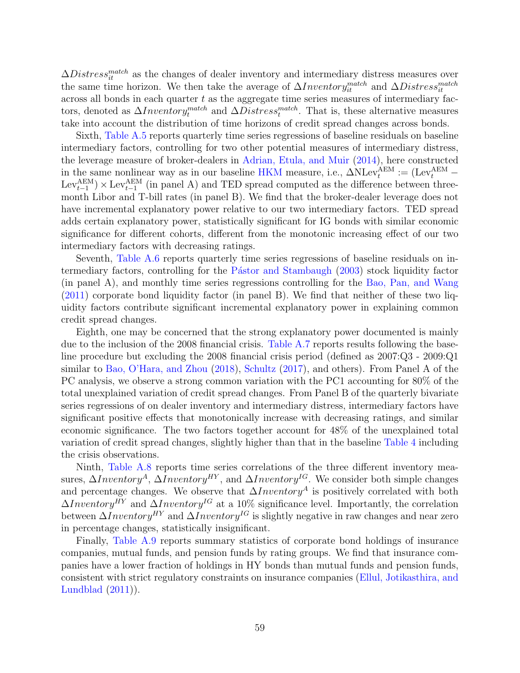$\Delta Distress_{it}^{match}$  as the changes of dealer inventory and intermediary distress measures over the same time horizon. We then take the average of  $\Delta Inventory^{match}_{it}$  and  $\Delta Distress^{match}_{it}$ across all bonds in each quarter  $t$  as the aggregate time series measures of intermediary factors, denoted as  $\Delta Inventory^{match}_t$  and  $\Delta Distress^{match}_t$ . That is, these alternative measures take into account the distribution of time horizons of credit spread changes across bonds.

Sixth, [Table A.5](#page-47-0) reports quarterly time series regressions of baseline residuals on baseline intermediary factors, controlling for two other potential measures of intermediary distress, the leverage measure of broker-dealers in [Adrian, Etula, and Muir](#page-66-3) [\(2014\)](#page-66-3), here constructed in the same nonlinear way as in our baseline [HKM](#page-69-2) measure, i.e.,  $\Delta N \text{Lev}_t^{\text{AEM}} := (\text{Lev}_t^{\text{AEM}} \text{Lev}^{\text{AEM}}_{t-1}$   $\times$  Lev $^{\text{AEM}}_{t-1}$  (in panel A) and TED spread computed as the difference between threemonth Libor and T-bill rates (in panel B). We find that the broker-dealer leverage does not have incremental explanatory power relative to our two intermediary factors. TED spread adds certain explanatory power, statistically significant for IG bonds with similar economic significance for different cohorts, different from the monotonic increasing effect of our two intermediary factors with decreasing ratings.

Seventh, [Table A.6](#page-48-0) reports quarterly time series regressions of baseline residuals on in-termediary factors, controlling for the Pástor and Stambaugh [\(2003\)](#page-70-3) stock liquidity factor (in panel A), and monthly time series regressions controlling for the [Bao, Pan, and Wang](#page-66-4) [\(2011\)](#page-66-4) corporate bond liquidity factor (in panel B). We find that neither of these two liquidity factors contribute significant incremental explanatory power in explaining common credit spread changes.

Eighth, one may be concerned that the strong explanatory power documented is mainly due to the inclusion of the 2008 financial crisis. [Table A.7](#page-49-0) reports results following the baseline procedure but excluding the 2008 financial crisis period (defined as 2007:Q3 - 2009:Q1 similar to [Bao, O'Hara, and Zhou](#page-66-5) [\(2018\)](#page-66-5), [Schultz](#page-70-4) [\(2017\)](#page-70-4), and others). From Panel A of the PC analysis, we observe a strong common variation with the PC1 accounting for 80% of the total unexplained variation of credit spread changes. From Panel B of the quarterly bivariate series regressions of on dealer inventory and intermediary distress, intermediary factors have significant positive effects that monotonically increase with decreasing ratings, and similar economic significance. The two factors together account for 48% of the unexplained total variation of credit spread changes, slightly higher than that in the baseline [Table 4](#page-46-0) including the crisis observations.

Ninth, [Table A.8](#page-50-0) reports time series correlations of the three different inventory measures,  $\Delta Inventory^A$ ,  $\Delta Inventory^{HY}$ , and  $\Delta Inventory^{IG}$ . We consider both simple changes and percentage changes. We observe that  $\Delta Inventory^A$  is positively correlated with both  $\Delta Inventory<sup>HY</sup>$  and  $\Delta Inventory<sup>IG</sup>$  at a 10% significance level. Importantly, the correlation between  $\Delta Inventory^{HY}$  and  $\Delta Inventory^{IG}$  is slightly negative in raw changes and near zero in percentage changes, statistically insignificant.

Finally, [Table A.9](#page-51-0) reports summary statistics of corporate bond holdings of insurance companies, mutual funds, and pension funds by rating groups. We find that insurance companies have a lower fraction of holdings in HY bonds than mutual funds and pension funds, consistent with strict regulatory constraints on insurance companies [\(Ellul, Jotikasthira, and](#page-68-0) [Lundblad](#page-68-0)  $(2011)$ ).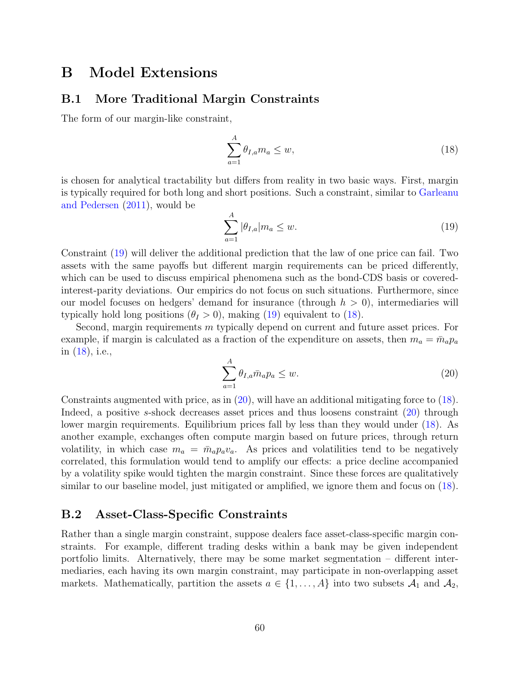# B Model Extensions

## B.1 More Traditional Margin Constraints

The form of our margin-like constraint,

<span id="page-62-1"></span>
$$
\sum_{a=1}^{A} \theta_{I,a} m_a \le w,\tag{18}
$$

is chosen for analytical tractability but differs from reality in two basic ways. First, margin is typically required for both long and short positions. Such a constraint, similar to [Garleanu](#page-68-1) [and Pedersen](#page-68-1) [\(2011\)](#page-68-1), would be

<span id="page-62-0"></span>
$$
\sum_{a=1}^{A} |\theta_{I,a}| m_a \le w. \tag{19}
$$

Constraint [\(19\)](#page-62-0) will deliver the additional prediction that the law of one price can fail. Two assets with the same payoffs but different margin requirements can be priced differently, which can be used to discuss empirical phenomena such as the bond-CDS basis or coveredinterest-parity deviations. Our empirics do not focus on such situations. Furthermore, since our model focuses on hedgers' demand for insurance (through  $h > 0$ ), intermediaries will typically hold long positions  $(\theta_I > 0)$ , making [\(19\)](#page-62-0) equivalent to [\(18\)](#page-62-1).

Second, margin requirements m typically depend on current and future asset prices. For example, if margin is calculated as a fraction of the expenditure on assets, then  $m_a = \bar{m}_a p_a$ in [\(18\)](#page-62-1), i.e.,

<span id="page-62-2"></span>
$$
\sum_{a=1}^{A} \theta_{I,a} \bar{m}_a p_a \le w.
$$
\n(20)

Constraints augmented with price, as in [\(20\)](#page-62-2), will have an additional mitigating force to [\(18\)](#page-62-1). Indeed, a positive s-shock decreases asset prices and thus loosens constraint [\(20\)](#page-62-2) through lower margin requirements. Equilibrium prices fall by less than they would under [\(18\)](#page-62-1). As another example, exchanges often compute margin based on future prices, through return volatility, in which case  $m_a = \bar{m}_a p_a v_a$ . As prices and volatilities tend to be negatively correlated, this formulation would tend to amplify our effects: a price decline accompanied by a volatility spike would tighten the margin constraint. Since these forces are qualitatively similar to our baseline model, just mitigated or amplified, we ignore them and focus on [\(18\)](#page-62-1).

### B.2 Asset-Class-Specific Constraints

Rather than a single margin constraint, suppose dealers face asset-class-specific margin constraints. For example, different trading desks within a bank may be given independent portfolio limits. Alternatively, there may be some market segmentation – different intermediaries, each having its own margin constraint, may participate in non-overlapping asset markets. Mathematically, partition the assets  $a \in \{1, \ldots, A\}$  into two subsets  $\mathcal{A}_1$  and  $\mathcal{A}_2$ ,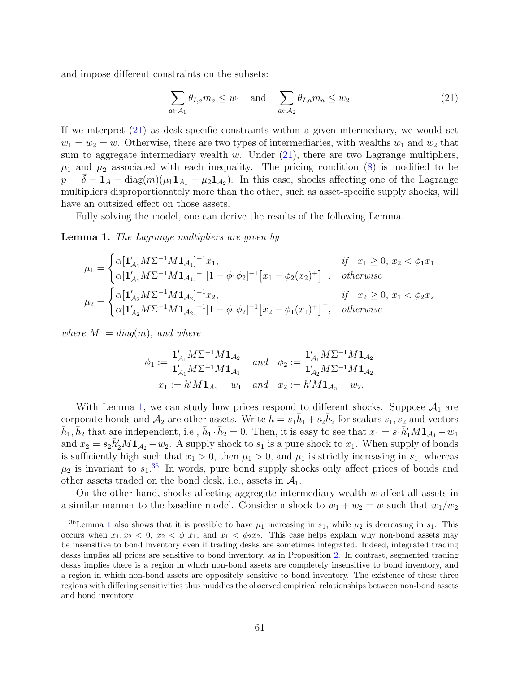and impose different constraints on the subsets:

<span id="page-63-0"></span>
$$
\sum_{a \in \mathcal{A}_1} \theta_{I,a} m_a \le w_1 \quad \text{and} \quad \sum_{a \in \mathcal{A}_2} \theta_{I,a} m_a \le w_2. \tag{21}
$$

If we interpret [\(21\)](#page-63-0) as desk-specific constraints within a given intermediary, we would set  $w_1 = w_2 = w$ . Otherwise, there are two types of intermediaries, with wealths  $w_1$  and  $w_2$  that sum to aggregate intermediary wealth w. Under  $(21)$ , there are two Lagrange multipliers,  $\mu_1$  and  $\mu_2$  associated with each inequality. The pricing condition [\(8\)](#page-25-0) is modified to be  $p = \bar{\delta} - \mathbf{1}_A - \text{diag}(m)(\mu_1 \mathbf{1}_{A_1} + \mu_2 \mathbf{1}_{A_2})$ . In this case, shocks affecting one of the Lagrange multipliers disproportionately more than the other, such as asset-specific supply shocks, will have an outsized effect on those assets.

Fully solving the model, one can derive the results of the following Lemma.

#### <span id="page-63-1"></span>Lemma 1. The Lagrange multipliers are given by

$$
\mu_1 = \begin{cases}\n\alpha [\mathbf{1}'_{\mathcal{A}_1} M \Sigma^{-1} M \mathbf{1}_{\mathcal{A}_1}]^{-1} x_1, & \text{if } x_1 \ge 0, \ x_2 < \phi_1 x_1 \\
\alpha [\mathbf{1}'_{\mathcal{A}_1} M \Sigma^{-1} M \mathbf{1}_{\mathcal{A}_1}]^{-1} [1 - \phi_1 \phi_2]^{-1} \left[ x_1 - \phi_2 (x_2)^+ \right]^+, & \text{otherwise}\n\end{cases}
$$
\n
$$
\mu_2 = \begin{cases}\n\alpha [\mathbf{1}'_{\mathcal{A}_2} M \Sigma^{-1} M \mathbf{1}_{\mathcal{A}_2}]^{-1} x_2, & \text{if } x_2 \ge 0, \ x_1 < \phi_2 x_2 \\
\alpha [\mathbf{1}'_{\mathcal{A}_2} M \Sigma^{-1} M \mathbf{1}_{\mathcal{A}_2}]^{-1} [1 - \phi_1 \phi_2]^{-1} \left[ x_2 - \phi_1 (x_1)^+ \right]^+, & \text{otherwise}\n\end{cases}
$$

where  $M := diag(m)$ , and where

$$
\phi_1 := \frac{\mathbf{1}_{\mathcal{A}_1}' M \Sigma^{-1} M \mathbf{1}_{\mathcal{A}_2}}{\mathbf{1}_{\mathcal{A}_1}' M \Sigma^{-1} M \mathbf{1}_{\mathcal{A}_1}} \quad and \quad \phi_2 := \frac{\mathbf{1}_{\mathcal{A}_1}' M \Sigma^{-1} M \mathbf{1}_{\mathcal{A}_2}}{\mathbf{1}_{\mathcal{A}_2}' M \Sigma^{-1} M \mathbf{1}_{\mathcal{A}_2}}
$$

$$
x_1 := h' M \mathbf{1}_{\mathcal{A}_1} - w_1 \quad and \quad x_2 := h' M \mathbf{1}_{\mathcal{A}_2} - w_2.
$$

With Lemma [1,](#page-63-1) we can study how prices respond to different shocks. Suppose  $A_1$  are corporate bonds and  $\mathcal{A}_2$  are other assets. Write  $h = s_1\bar{h}_1 + s_2\bar{h}_2$  for scalars  $s_1, s_2$  and vectors  $\bar{h}_1, \bar{h}_2$  that are independent, i.e.,  $\bar{h}_1 \cdot \bar{h}_2 = 0$ . Then, it is easy to see that  $x_1 = s_1 \bar{h}'_1 M \mathbf{1}_{\mathcal{A}_1} - w_1$ and  $x_2 = s_2 \bar{h}'_2 M \mathbf{1}_{\mathcal{A}_2} - w_2$ . A supply shock to  $s_1$  is a pure shock to  $x_1$ . When supply of bonds is sufficiently high such that  $x_1 > 0$ , then  $\mu_1 > 0$ , and  $\mu_1$  is strictly increasing in  $s_1$ , whereas  $\mu_2$  is invariant to  $s_1$ .<sup>[36](#page-63-2)</sup> In words, pure bond supply shocks only affect prices of bonds and other assets traded on the bond desk, i.e., assets in  $\mathcal{A}_1$ .

On the other hand, shocks affecting aggregate intermediary wealth  $w$  affect all assets in a similar manner to the baseline model. Consider a shock to  $w_1 + w_2 = w$  such that  $w_1/w_2$ 

<span id="page-63-2"></span><sup>&</sup>lt;sup>36</sup>Lemma [1](#page-63-1) also shows that it is possible to have  $\mu_1$  increasing in  $s_1$ , while  $\mu_2$  is decreasing in  $s_1$ . This occurs when  $x_1, x_2 < 0, x_2 < \phi_1 x_1$ , and  $x_1 < \phi_2 x_2$ . This case helps explain why non-bond assets may be insensitive to bond inventory even if trading desks are sometimes integrated. Indeed, integrated trading desks implies all prices are sensitive to bond inventory, as in Proposition [2.](#page-27-0) In contrast, segmented trading desks implies there is a region in which non-bond assets are completely insensitive to bond inventory, and a region in which non-bond assets are oppositely sensitive to bond inventory. The existence of these three regions with differing sensitivities thus muddies the observed empirical relationships between non-bond assets and bond inventory.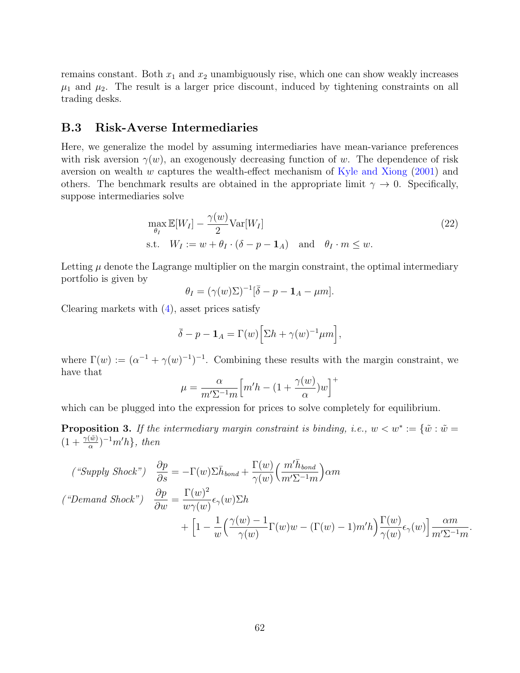remains constant. Both  $x_1$  and  $x_2$  unambiguously rise, which one can show weakly increases  $\mu_1$  and  $\mu_2$ . The result is a larger price discount, induced by tightening constraints on all trading desks.

## B.3 Risk-Averse Intermediaries

Here, we generalize the model by assuming intermediaries have mean-variance preferences with risk aversion  $\gamma(w)$ , an exogenously decreasing function of w. The dependence of risk aversion on wealth w captures the wealth-effect mechanism of [Kyle and Xiong](#page-69-3) [\(2001\)](#page-69-3) and others. The benchmark results are obtained in the appropriate limit  $\gamma \to 0$ . Specifically, suppose intermediaries solve

$$
\max_{\theta_I} \mathbb{E}[W_I] - \frac{\gamma(w)}{2} \text{Var}[W_I] \text{s.t.} \quad W_I := w + \theta_I \cdot (\delta - p - \mathbf{1}_A) \quad \text{and} \quad \theta_I \cdot m \le w.
$$
\n(22)

Letting  $\mu$  denote the Lagrange multiplier on the margin constraint, the optimal intermediary portfolio is given by

$$
\theta_I = (\gamma(w)\Sigma)^{-1}[\bar{\delta} - p - \mathbf{1}_A - \mu m].
$$

Clearing markets with  $(4)$ , asset prices satisfy

$$
\bar{\delta} - p - \mathbf{1}_A = \Gamma(w) \Big[ \Sigma h + \gamma(w)^{-1} \mu m \Big],
$$

where  $\Gamma(w) := (\alpha^{-1} + \gamma(w)^{-1})^{-1}$ . Combining these results with the margin constraint, we have that

$$
\mu = \frac{\alpha}{m' \Sigma^{-1} m} \Big[ m' h - (1 + \frac{\gamma(w)}{\alpha}) w \Big]^+
$$

which can be plugged into the expression for prices to solve completely for equilibrium.

<span id="page-64-0"></span>**Proposition 3.** If the intermediary margin constraint is binding, i.e.,  $w < w^* := \{\tilde{w} : \tilde{w} =$  $(1+\frac{\gamma(\tilde{w})}{\alpha})^{-1}m'h$ , then

$$
\begin{aligned}\n\left(^{\omega}\text{Supply Shock''}\right) \quad & \frac{\partial p}{\partial s} = -\Gamma(w)\Sigma \bar{h}_{bond} + \frac{\Gamma(w)}{\gamma(w)} \Big(\frac{m'\bar{h}_{bond}}{m'\Sigma^{-1}m}\Big) \alpha m \\
\left(^{\omega}\text{Demand Shock''}\right) \quad & \frac{\partial p}{\partial w} = \frac{\Gamma(w)^2}{w\gamma(w)} \epsilon_{\gamma}(w)\Sigma h \\
& \quad + \left[1 - \frac{1}{w} \Big(\frac{\gamma(w) - 1}{\gamma(w)} \Gamma(w)w - (\Gamma(w) - 1)m'h\Big) \frac{\Gamma(w)}{\gamma(w)} \epsilon_{\gamma}(w)\right] \frac{\alpha m}{m'\Sigma^{-1}m}\n\end{aligned}
$$

.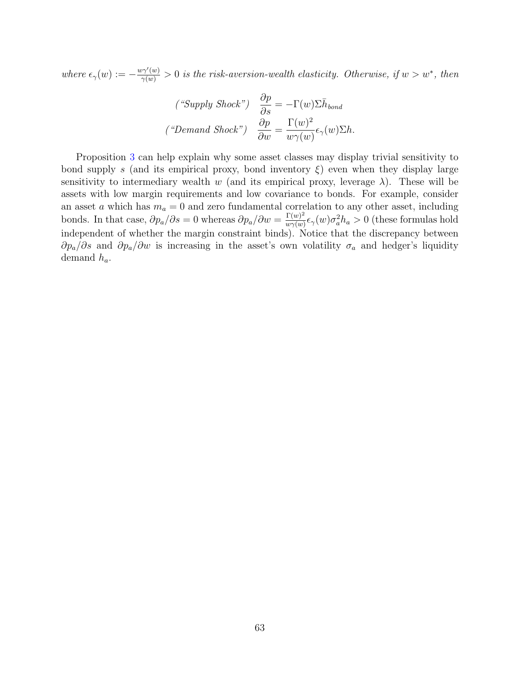where  $\epsilon_{\gamma}(w) := -\frac{w\gamma'(w)}{\gamma(w)} > 0$  is the risk-aversion-wealth elasticity. Otherwise, if  $w > w^*$ , then

$$
\begin{aligned}\n\left( \text{``Supply Shock''} \right) \quad & \frac{\partial p}{\partial s} = -\Gamma(w) \Sigma \bar{h}_{bond} \\
\left( \text{``Demand Shock''} \right) \quad & \frac{\partial p}{\partial w} = \frac{\Gamma(w)^2}{w \gamma(w)} \epsilon_{\gamma}(w) \Sigma h.\n\end{aligned}
$$

Proposition [3](#page-64-0) can help explain why some asset classes may display trivial sensitivity to bond supply s (and its empirical proxy, bond inventory  $\xi$ ) even when they display large sensitivity to intermediary wealth w (and its empirical proxy, leverage  $\lambda$ ). These will be assets with low margin requirements and low covariance to bonds. For example, consider an asset a which has  $m_a = 0$  and zero fundamental correlation to any other asset, including bonds. In that case,  $\partial p_a/\partial s = 0$  whereas  $\partial p_a/\partial w = \frac{\Gamma(w)^2}{w \gamma(w)}$  $\frac{\Gamma(w)^2}{w\gamma(w)}\epsilon_\gamma(w)\sigma_a^2h_a > 0$  (these formulas hold independent of whether the margin constraint binds). Notice that the discrepancy between  $\partial p_a/\partial s$  and  $\partial p_a/\partial w$  is increasing in the asset's own volatility  $\sigma_a$  and hedger's liquidity demand  $h_a$ .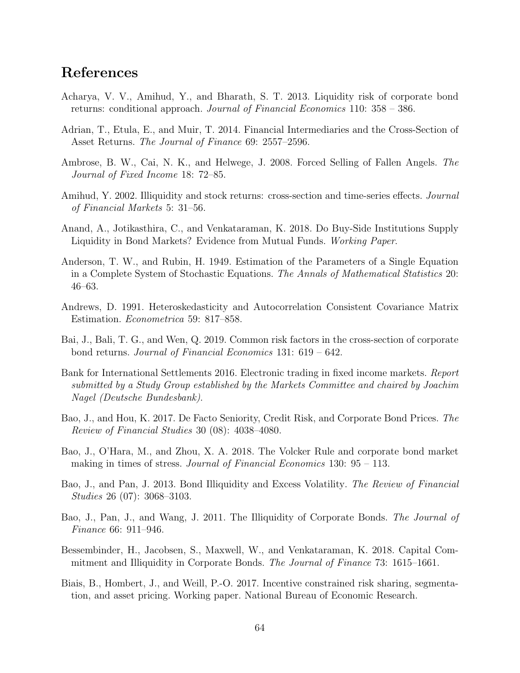# References

- Acharya, V. V., Amihud, Y., and Bharath, S. T. 2013. Liquidity risk of corporate bond returns: conditional approach. Journal of Financial Economics 110: 358 – 386.
- <span id="page-66-3"></span>Adrian, T., Etula, E., and Muir, T. 2014. Financial Intermediaries and the Cross-Section of Asset Returns. The Journal of Finance 69: 2557–2596.
- Ambrose, B. W., Cai, N. K., and Helwege, J. 2008. Forced Selling of Fallen Angels. The Journal of Fixed Income 18: 72–85.
- Amihud, Y. 2002. Illiquidity and stock returns: cross-section and time-series effects. *Journal* of Financial Markets 5: 31–56.
- Anand, A., Jotikasthira, C., and Venkataraman, K. 2018. Do Buy-Side Institutions Supply Liquidity in Bond Markets? Evidence from Mutual Funds. Working Paper.
- <span id="page-66-0"></span>Anderson, T. W., and Rubin, H. 1949. Estimation of the Parameters of a Single Equation in a Complete System of Stochastic Equations. The Annals of Mathematical Statistics 20: 46–63.
- <span id="page-66-2"></span>Andrews, D. 1991. Heteroskedasticity and Autocorrelation Consistent Covariance Matrix Estimation. Econometrica 59: 817–858.
- <span id="page-66-1"></span>Bai, J., Bali, T. G., and Wen, Q. 2019. Common risk factors in the cross-section of corporate bond returns. Journal of Financial Economics 131: 619 – 642.
- Bank for International Settlements 2016. Electronic trading in fixed income markets. Report submitted by a Study Group established by the Markets Committee and chaired by Joachim Nagel (Deutsche Bundesbank).
- Bao, J., and Hou, K. 2017. De Facto Seniority, Credit Risk, and Corporate Bond Prices. The Review of Financial Studies 30 (08): 4038–4080.
- <span id="page-66-5"></span>Bao, J., O'Hara, M., and Zhou, X. A. 2018. The Volcker Rule and corporate bond market making in times of stress. Journal of Financial Economics  $130: 95 - 113$ .
- Bao, J., and Pan, J. 2013. Bond Illiquidity and Excess Volatility. The Review of Financial Studies 26 (07): 3068–3103.
- <span id="page-66-4"></span>Bao, J., Pan, J., and Wang, J. 2011. The Illiquidity of Corporate Bonds. The Journal of Finance 66: 911–946.
- Bessembinder, H., Jacobsen, S., Maxwell, W., and Venkataraman, K. 2018. Capital Commitment and Illiquidity in Corporate Bonds. The Journal of Finance 73: 1615–1661.
- Biais, B., Hombert, J., and Weill, P.-O. 2017. Incentive constrained risk sharing, segmentation, and asset pricing. Working paper. National Bureau of Economic Research.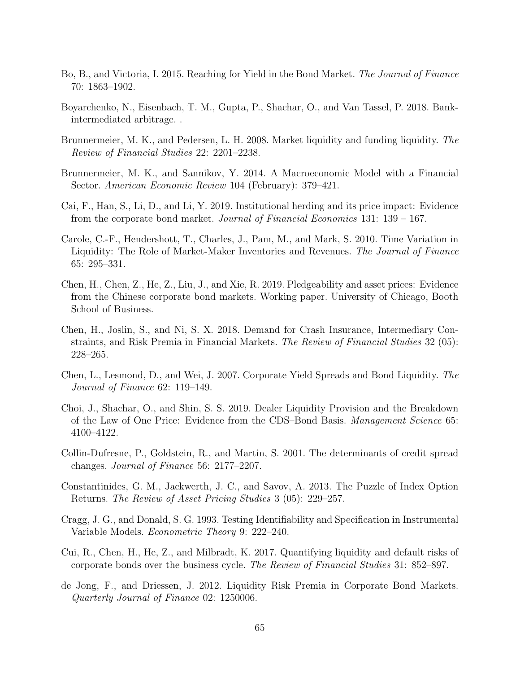- Bo, B., and Victoria, I. 2015. Reaching for Yield in the Bond Market. The Journal of Finance 70: 1863–1902.
- Boyarchenko, N., Eisenbach, T. M., Gupta, P., Shachar, O., and Van Tassel, P. 2018. Bankintermediated arbitrage. .
- Brunnermeier, M. K., and Pedersen, L. H. 2008. Market liquidity and funding liquidity. The Review of Financial Studies 22: 2201–2238.
- Brunnermeier, M. K., and Sannikov, Y. 2014. A Macroeconomic Model with a Financial Sector. American Economic Review 104 (February): 379–421.
- Cai, F., Han, S., Li, D., and Li, Y. 2019. Institutional herding and its price impact: Evidence from the corporate bond market. Journal of Financial Economics 131: 139 – 167.
- Carole, C.-F., Hendershott, T., Charles, J., Pam, M., and Mark, S. 2010. Time Variation in Liquidity: The Role of Market-Maker Inventories and Revenues. The Journal of Finance 65: 295–331.
- Chen, H., Chen, Z., He, Z., Liu, J., and Xie, R. 2019. Pledgeability and asset prices: Evidence from the Chinese corporate bond markets. Working paper. University of Chicago, Booth School of Business.
- Chen, H., Joslin, S., and Ni, S. X. 2018. Demand for Crash Insurance, Intermediary Constraints, and Risk Premia in Financial Markets. The Review of Financial Studies 32 (05): 228–265.
- Chen, L., Lesmond, D., and Wei, J. 2007. Corporate Yield Spreads and Bond Liquidity. The Journal of Finance 62: 119–149.
- Choi, J., Shachar, O., and Shin, S. S. 2019. Dealer Liquidity Provision and the Breakdown of the Law of One Price: Evidence from the CDS–Bond Basis. Management Science 65: 4100–4122.
- <span id="page-67-1"></span>Collin-Dufresne, P., Goldstein, R., and Martin, S. 2001. The determinants of credit spread changes. Journal of Finance 56: 2177–2207.
- Constantinides, G. M., Jackwerth, J. C., and Savov, A. 2013. The Puzzle of Index Option Returns. The Review of Asset Pricing Studies 3 (05): 229–257.
- <span id="page-67-0"></span>Cragg, J. G., and Donald, S. G. 1993. Testing Identifiability and Specification in Instrumental Variable Models. Econometric Theory 9: 222–240.
- Cui, R., Chen, H., He, Z., and Milbradt, K. 2017. Quantifying liquidity and default risks of corporate bonds over the business cycle. The Review of Financial Studies 31: 852–897.
- de Jong, F., and Driessen, J. 2012. Liquidity Risk Premia in Corporate Bond Markets. Quarterly Journal of Finance 02: 1250006.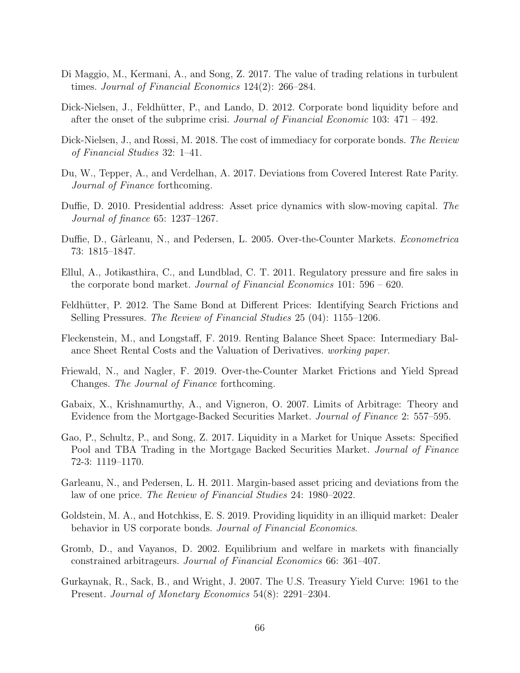- Di Maggio, M., Kermani, A., and Song, Z. 2017. The value of trading relations in turbulent times. Journal of Financial Economics 124(2): 266–284.
- Dick-Nielsen, J., Feldhütter, P., and Lando, D. 2012. Corporate bond liquidity before and after the onset of the subprime crisi. Journal of Financial Economic 103:  $471 - 492$ .
- Dick-Nielsen, J., and Rossi, M. 2018. The cost of immediacy for corporate bonds. The Review of Financial Studies 32: 1–41.
- Du, W., Tepper, A., and Verdelhan, A. 2017. Deviations from Covered Interest Rate Parity. Journal of Finance forthcoming.
- Duffie, D. 2010. Presidential address: Asset price dynamics with slow-moving capital. The Journal of finance 65: 1237–1267.
- Duffie, D., Gârleanu, N., and Pedersen, L. 2005. Over-the-Counter Markets. Econometrica 73: 1815–1847.
- <span id="page-68-0"></span>Ellul, A., Jotikasthira, C., and Lundblad, C. T. 2011. Regulatory pressure and fire sales in the corporate bond market. Journal of Financial Economics 101: 596 – 620.
- Feldhütter, P. 2012. The Same Bond at Different Prices: Identifying Search Frictions and Selling Pressures. The Review of Financial Studies 25 (04): 1155–1206.
- Fleckenstein, M., and Longstaff, F. 2019. Renting Balance Sheet Space: Intermediary Balance Sheet Rental Costs and the Valuation of Derivatives. working paper.
- Friewald, N., and Nagler, F. 2019. Over-the-Counter Market Frictions and Yield Spread Changes. The Journal of Finance forthcoming.
- Gabaix, X., Krishnamurthy, A., and Vigneron, O. 2007. Limits of Arbitrage: Theory and Evidence from the Mortgage-Backed Securities Market. Journal of Finance 2: 557–595.
- Gao, P., Schultz, P., and Song, Z. 2017. Liquidity in a Market for Unique Assets: Specified Pool and TBA Trading in the Mortgage Backed Securities Market. Journal of Finance 72-3: 1119–1170.
- <span id="page-68-1"></span>Garleanu, N., and Pedersen, L. H. 2011. Margin-based asset pricing and deviations from the law of one price. The Review of Financial Studies 24: 1980–2022.
- Goldstein, M. A., and Hotchkiss, E. S. 2019. Providing liquidity in an illiquid market: Dealer behavior in US corporate bonds. Journal of Financial Economics.
- Gromb, D., and Vayanos, D. 2002. Equilibrium and welfare in markets with financially constrained arbitrageurs. Journal of Financial Economics 66: 361–407.
- Gurkaynak, R., Sack, B., and Wright, J. 2007. The U.S. Treasury Yield Curve: 1961 to the Present. Journal of Monetary Economics 54(8): 2291–2304.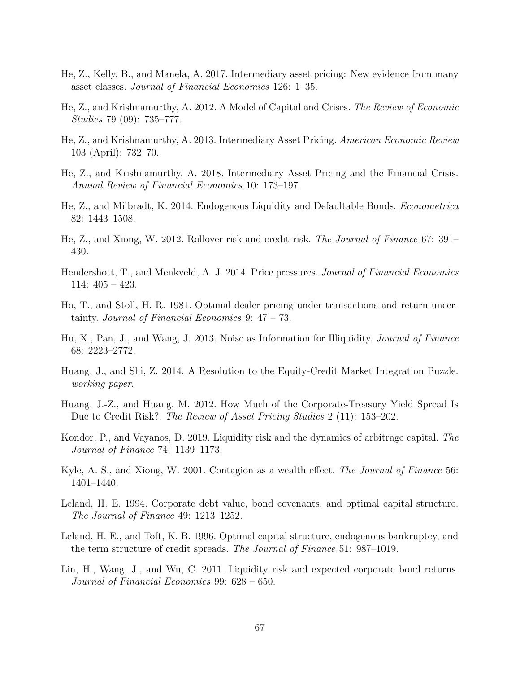- <span id="page-69-2"></span>He, Z., Kelly, B., and Manela, A. 2017. Intermediary asset pricing: New evidence from many asset classes. Journal of Financial Economics 126: 1–35.
- He, Z., and Krishnamurthy, A. 2012. A Model of Capital and Crises. The Review of Economic Studies 79 (09): 735–777.
- <span id="page-69-1"></span>He, Z., and Krishnamurthy, A. 2013. Intermediary Asset Pricing. American Economic Review 103 (April): 732–70.
- He, Z., and Krishnamurthy, A. 2018. Intermediary Asset Pricing and the Financial Crisis. Annual Review of Financial Economics 10: 173–197.
- He, Z., and Milbradt, K. 2014. Endogenous Liquidity and Defaultable Bonds. Econometrica 82: 1443–1508.
- He, Z., and Xiong, W. 2012. Rollover risk and credit risk. The Journal of Finance 67: 391– 430.
- Hendershott, T., and Menkveld, A. J. 2014. Price pressures. Journal of Financial Economics 114: 405 – 423.
- <span id="page-69-0"></span>Ho, T., and Stoll, H. R. 1981. Optimal dealer pricing under transactions and return uncertainty. Journal of Financial Economics 9: 47 – 73.
- Hu, X., Pan, J., and Wang, J. 2013. Noise as Information for Illiquidity. Journal of Finance 68: 2223–2772.
- Huang, J., and Shi, Z. 2014. A Resolution to the Equity-Credit Market Integration Puzzle. working paper.
- Huang, J.-Z., and Huang, M. 2012. How Much of the Corporate-Treasury Yield Spread Is Due to Credit Risk?. The Review of Asset Pricing Studies 2 (11): 153–202.
- Kondor, P., and Vayanos, D. 2019. Liquidity risk and the dynamics of arbitrage capital. The Journal of Finance 74: 1139–1173.
- <span id="page-69-3"></span>Kyle, A. S., and Xiong, W. 2001. Contagion as a wealth effect. The Journal of Finance 56: 1401–1440.
- Leland, H. E. 1994. Corporate debt value, bond covenants, and optimal capital structure. The Journal of Finance 49: 1213–1252.
- Leland, H. E., and Toft, K. B. 1996. Optimal capital structure, endogenous bankruptcy, and the term structure of credit spreads. The Journal of Finance 51: 987–1019.
- Lin, H., Wang, J., and Wu, C. 2011. Liquidity risk and expected corporate bond returns. Journal of Financial Economics 99: 628 – 650.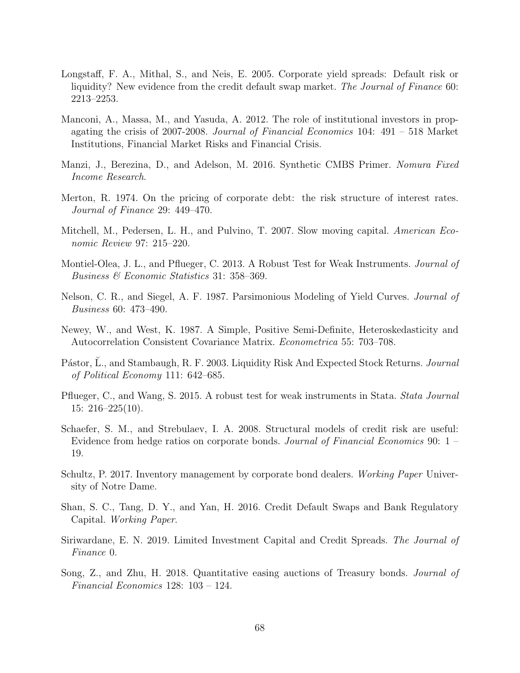- Longstaff, F. A., Mithal, S., and Neis, E. 2005. Corporate yield spreads: Default risk or liquidity? New evidence from the credit default swap market. The Journal of Finance 60: 2213–2253.
- Manconi, A., Massa, M., and Yasuda, A. 2012. The role of institutional investors in propagating the crisis of 2007-2008. Journal of Financial Economics 104: 491 – 518 Market Institutions, Financial Market Risks and Financial Crisis.
- Manzi, J., Berezina, D., and Adelson, M. 2016. Synthetic CMBS Primer. Nomura Fixed Income Research.
- Merton, R. 1974. On the pricing of corporate debt: the risk structure of interest rates. Journal of Finance 29: 449–470.
- Mitchell, M., Pedersen, L. H., and Pulvino, T. 2007. Slow moving capital. American Economic Review 97: 215–220.
- <span id="page-70-0"></span>Montiel-Olea, J. L., and Pflueger, C. 2013. A Robust Test for Weak Instruments. Journal of Business & Economic Statistics 31: 358–369.
- Nelson, C. R., and Siegel, A. F. 1987. Parsimonious Modeling of Yield Curves. Journal of Business 60: 473–490.
- <span id="page-70-2"></span>Newey, W., and West, K. 1987. A Simple, Positive Semi-Definite, Heteroskedasticity and Autocorrelation Consistent Covariance Matrix. Econometrica 55: 703–708.
- <span id="page-70-3"></span>Pástor, L., and Stambaugh, R. F. 2003. Liquidity Risk And Expected Stock Returns. Journal of Political Economy 111: 642–685.
- <span id="page-70-1"></span>Pflueger, C., and Wang, S. 2015. A robust test for weak instruments in Stata. Stata Journal  $15: 216 - 225(10)$ .
- Schaefer, S. M., and Strebulaev, I. A. 2008. Structural models of credit risk are useful: Evidence from hedge ratios on corporate bonds. Journal of Financial Economics 90: 1 – 19.
- <span id="page-70-4"></span>Schultz, P. 2017. Inventory management by corporate bond dealers. Working Paper University of Notre Dame.
- Shan, S. C., Tang, D. Y., and Yan, H. 2016. Credit Default Swaps and Bank Regulatory Capital. Working Paper.
- Siriwardane, E. N. 2019. Limited Investment Capital and Credit Spreads. The Journal of Finance 0.
- Song, Z., and Zhu, H. 2018. Quantitative easing auctions of Treasury bonds. Journal of Financial Economics 128: 103 – 124.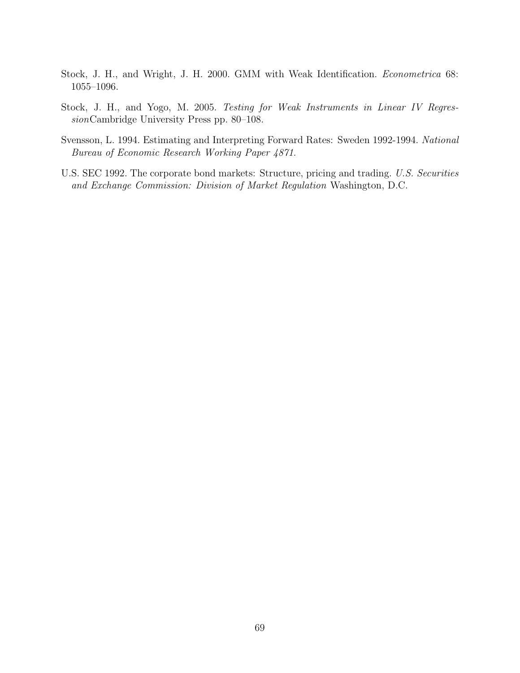- <span id="page-71-1"></span>Stock, J. H., and Wright, J. H. 2000. GMM with Weak Identification. Econometrica 68: 1055–1096.
- <span id="page-71-0"></span>Stock, J. H., and Yogo, M. 2005. Testing for Weak Instruments in Linear IV RegressionCambridge University Press pp. 80–108.
- Svensson, L. 1994. Estimating and Interpreting Forward Rates: Sweden 1992-1994. National Bureau of Economic Research Working Paper 4871.
- U.S. SEC 1992. The corporate bond markets: Structure, pricing and trading. U.S. Securities and Exchange Commission: Division of Market Regulation Washington, D.C.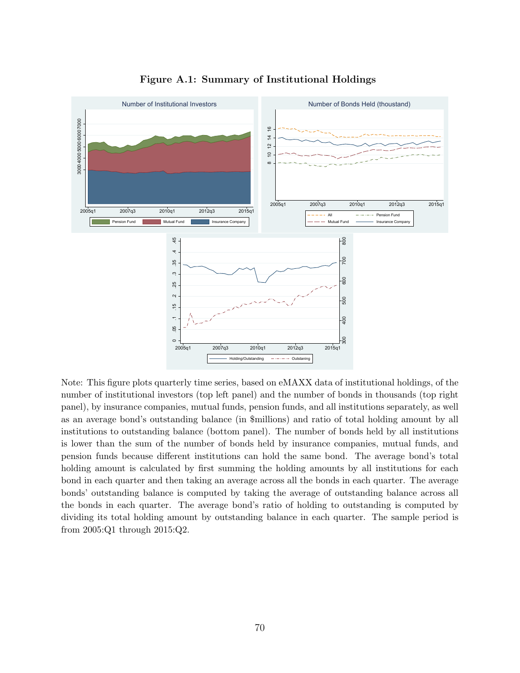

Figure A.1: Summary of Institutional Holdings

Note: This figure plots quarterly time series, based on eMAXX data of institutional holdings, of the number of institutional investors (top left panel) and the number of bonds in thousands (top right panel), by insurance companies, mutual funds, pension funds, and all institutions separately, as well as an average bond's outstanding balance (in \$millions) and ratio of total holding amount by all institutions to outstanding balance (bottom panel). The number of bonds held by all institutions is lower than the sum of the number of bonds held by insurance companies, mutual funds, and pension funds because different institutions can hold the same bond. The average bond's total holding amount is calculated by first summing the holding amounts by all institutions for each bond in each quarter and then taking an average across all the bonds in each quarter. The average bonds' outstanding balance is computed by taking the average of outstanding balance across all the bonds in each quarter. The average bond's ratio of holding to outstanding is computed by dividing its total holding amount by outstanding balance in each quarter. The sample period is from 2005:Q1 through 2015:Q2.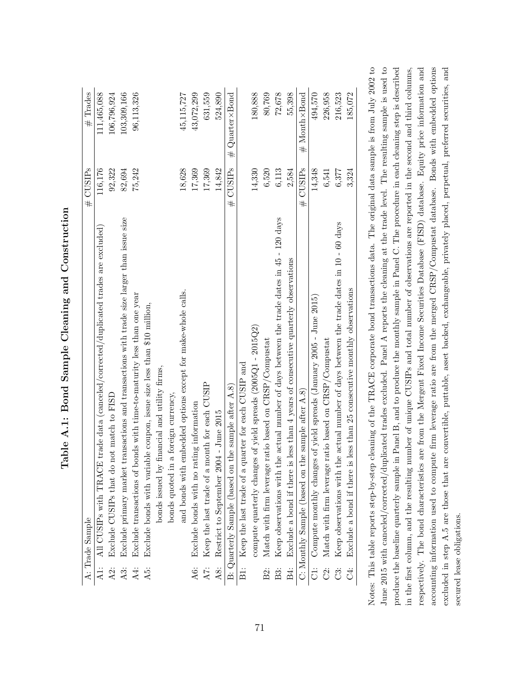|       | A: Trade Sample                                                                              | # CUSIPs | # Trades          |
|-------|----------------------------------------------------------------------------------------------|----------|-------------------|
| A1:   | trade data (canceled/corrected/duplicated trades are excluded)<br>All CUSIPs with TRACE      | 116,176  | 111,465,088       |
| A2:   | Exclude CUSIPs that do not match to FISD                                                     | 92,322   | 106,796,924       |
| A3:   | Exclude primary market transactions and transactions with trade size larger than issue size  | 82,694   | 103,309,166       |
| A4:   | Exclude transactions of bonds with time-to-maturity less than one year                       | 75,242   | 96,113,326        |
| A5:   | Exclude bonds with variable coupon, issue size less than \$10 million,                       |          |                   |
|       | bonds issued by financial and utility firms,                                                 |          |                   |
|       | a foreign currency,<br>bonds quoted in                                                       |          |                   |
|       | and bonds with embedded options except for make-whole calls.                                 | 18,628   | 45,115,727        |
| A6:   | Exclude bonds with no rating information                                                     | 17,369   | 43,072,299        |
| A7:   | Keep the last trade of a month for each CUSIP                                                | 17,369   | 631,559           |
| A8:   | Restrict to September 2004 - June 2015                                                       | 14.842   | 524,890           |
|       | the sample after $A.8$ )<br>B: Quarterly Sample (based on                                    | # CUSIPs | $\#$ Quarter×Bond |
| $\Xi$ | Keep the last trade of a quarter for each CUSIP and                                          |          |                   |
|       | compute quarterly changes of yield spreads ( $2005Q1 - 2015Q2$ )                             | 14,330   | 180,888           |
| B2:   | Match with firm leverage ratio based on CRSP/Compustat                                       | 6,520    | 80,769            |
|       | Keep observations with the actual number of days between the trade dates in 45 - 120 days    | 6,113    | 72,678            |
| B4:   | Exclude a bond if there is less than 4 years of consecutive quarterly observations           | 2,584    | 55,398            |
|       | C: Monthly Sample (based on the sample after $A.8$ )                                         | # CUSIPs | # Month×Bond      |
|       | C1: Compute monthly changes of yield spreads (January 2005 - June 2015)                      | 14,348   | 494,570           |
|       | Match with firm leverage ratio based on CRSP/Compustat                                       | 6,541    | 226,958           |
| Ë     | Keep observations with the actual number of days between the trade dates in $10$ - $60$ days | 6,377    | 216,523           |
| Ċ.    | less than 25 consecutive monthly observations<br>Exclude a bond if there is                  | 3,324    | 185,072           |

Table A.1: Bond Sample Cleaning and Construction Table A.1: Bond Sample Cleaning and Construction Notes: This table reports step-by-step cleaning of the TRACE corporate bond transactions data. The original data sample is from July 2002 to June 2015 with canceled/corrected/duplicated trades excluded. Panel A reports the cleaning at the trade level. The resulting sample is used to produce the baseline quarterly sample in Panel B, and to produce the monthly sample in Panel C. The procedure in each cleaning step is described in the first column, and the resulting number of unique CUSIPs and total number of observations are reported in the second and third columns, respectively. The bond characteristics are from the Mergent Fixed Income Securities Database (FISD) database. Equity price information and accounting information used to compute firm leverage ratio are from the merged CRSP/Compustat database. Bonds with embedded options excluded in step A.5 are those that are convertible, puttable, asset backed, exchangeable, privately placed, perpetual, preferred securities, and Notes: This table reports step-by-step cleaning of the TRACE corporate bond transactions data. The original data sample is from July 2002 to June 2015 with canceled/corrected/duplicated trades excluded. Panel A reports the cleaning at the trade level. The resulting sample is used to produce the baseline quarterly sample in Panel B, and to produce the monthly sample in Panel C. The procedure in each cleaning step is described in the first column, and the resulting number of unique CUSIPs and total number of observations are reported in the second and third columns, respectively. The bond characteristics are from the Mergent Fixed Income Securities Database (FISD) database. Equity price information and accounting information used to compute firm leverage ratio are from the merged CRSP/Compustat database. Bonds with embedded options excluded in step A.5 are those that are convertible, puttable, asset backed, exchangeable, privately placed, perpetual, preferred securities, and secured lease obligations. secured lease obligations.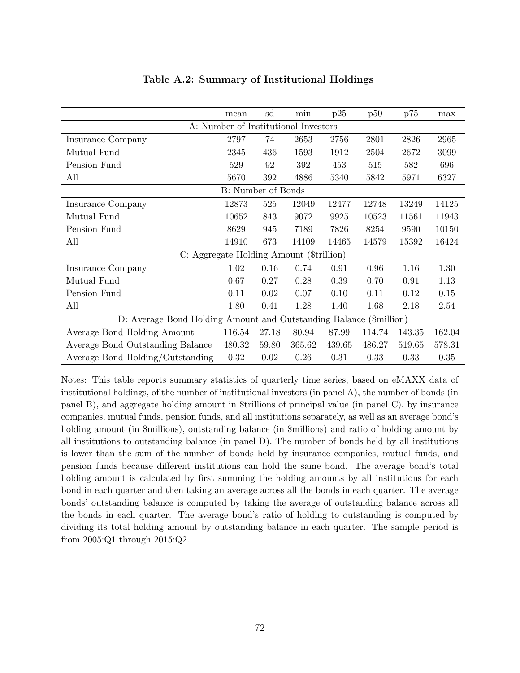|                                                                    | mean                                 | sd    | min    | p25    | p50    | p75    | max    |
|--------------------------------------------------------------------|--------------------------------------|-------|--------|--------|--------|--------|--------|
|                                                                    | A: Number of Institutional Investors |       |        |        |        |        |        |
| Insurance Company                                                  | 2797                                 | 74    | 2653   | 2756   | 2801   | 2826   | 2965   |
| Mutual Fund                                                        | 2345                                 | 436   | 1593   | 1912   | 2504   | 2672   | 3099   |
| Pension Fund                                                       | 529                                  | 92    | 392    | 453    | 515    | 582    | 696    |
| All                                                                | 5670                                 | 392   | 4886   | 5340   | 5842   | 5971   | 6327   |
|                                                                    | B: Number of Bonds                   |       |        |        |        |        |        |
| Insurance Company                                                  | 12873                                | 525   | 12049  | 12477  | 12748  | 13249  | 14125  |
| Mutual Fund                                                        | 10652                                | 843   | 9072   | 9925   | 10523  | 11561  | 11943  |
| Pension Fund                                                       | 8629                                 | 945   | 7189   | 7826   | 8254   | 9590   | 10150  |
| All                                                                | 14910                                | 673   | 14109  | 14465  | 14579  | 15392  | 16424  |
| C: Aggregate Holding Amount (\$trillion)                           |                                      |       |        |        |        |        |        |
| Insurance Company                                                  | 1.02                                 | 0.16  | 0.74   | 0.91   | 0.96   | 1.16   | 1.30   |
| Mutual Fund                                                        | 0.67                                 | 0.27  | 0.28   | 0.39   | 0.70   | 0.91   | 1.13   |
| Pension Fund                                                       | 0.11                                 | 0.02  | 0.07   | 0.10   | 0.11   | 0.12   | 0.15   |
| All                                                                | 1.80                                 | 0.41  | 1.28   | 1.40   | 1.68   | 2.18   | 2.54   |
| D: Average Bond Holding Amount and Outstanding Balance (\$million) |                                      |       |        |        |        |        |        |
| Average Bond Holding Amount                                        | 116.54                               | 27.18 | 80.94  | 87.99  | 114.74 | 143.35 | 162.04 |
| Average Bond Outstanding Balance                                   | 480.32                               | 59.80 | 365.62 | 439.65 | 486.27 | 519.65 | 578.31 |
| Average Bond Holding/Outstanding                                   | 0.32                                 | 0.02  | 0.26   | 0.31   | 0.33   | 0.33   | 0.35   |

## Table A.2: Summary of Institutional Holdings

Notes: This table reports summary statistics of quarterly time series, based on eMAXX data of institutional holdings, of the number of institutional investors (in panel A), the number of bonds (in panel B), and aggregate holding amount in \$trillions of principal value (in panel C), by insurance companies, mutual funds, pension funds, and all institutions separately, as well as an average bond's holding amount (in \$millions), outstanding balance (in \$millions) and ratio of holding amount by all institutions to outstanding balance (in panel D). The number of bonds held by all institutions is lower than the sum of the number of bonds held by insurance companies, mutual funds, and pension funds because different institutions can hold the same bond. The average bond's total holding amount is calculated by first summing the holding amounts by all institutions for each bond in each quarter and then taking an average across all the bonds in each quarter. The average bonds' outstanding balance is computed by taking the average of outstanding balance across all the bonds in each quarter. The average bond's ratio of holding to outstanding is computed by dividing its total holding amount by outstanding balance in each quarter. The sample period is from 2005:Q1 through 2015:Q2.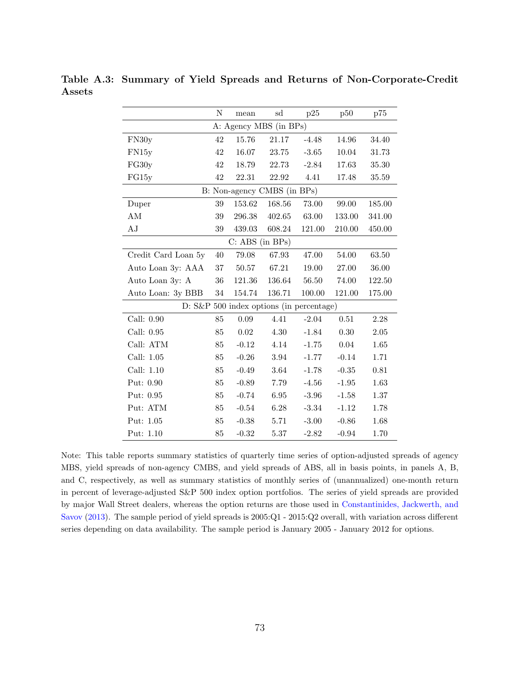|                         |  |  |  | Table A.3: Summary of Yield Spreads and Returns of Non-Corporate-Credit |  |
|-------------------------|--|--|--|-------------------------------------------------------------------------|--|
| $\operatorname{Assets}$ |  |  |  |                                                                         |  |

|                     | Ν      | mean                        | sd       | p25                                         | p50      | p75      |
|---------------------|--------|-----------------------------|----------|---------------------------------------------|----------|----------|
|                     |        | A: Agency MBS (in BPs)      |          |                                             |          |          |
| FN30y               | 42     | 15.76                       | 21.17    | $-4.48$                                     | 14.96    | 34.40    |
| FN15y               | 42     | 16.07                       | 23.75    | $-3.65$                                     | 10.04    | 31.73    |
| FG30y               | 42     | 18.79                       | 22.73    | $-2.84$                                     | 17.63    | 35.30    |
| FG15y               | $42\,$ | 22.31                       | 22.92    | 4.41                                        | 17.48    | 35.59    |
|                     |        | B: Non-agency CMBS (in BPs) |          |                                             |          |          |
| Duper               | 39     | 153.62                      | 168.56   | 73.00                                       | 99.00    | 185.00   |
| AM                  | 39     | 296.38                      | 402.65   | 63.00                                       | 133.00   | 341.00   |
| AJ                  | 39     | 439.03                      | 608.24   | 121.00                                      | 210.00   | 450.00   |
|                     |        | C: ABS (in BPs)             |          |                                             |          |          |
| Credit Card Loan 5y | 40     | 79.08                       | 67.93    | 47.00                                       | 54.00    | 63.50    |
| Auto Loan 3y: AAA   | $37\,$ | 50.57                       | 67.21    | 19.00                                       | 27.00    | 36.00    |
| Auto Loan 3y: A     | 36     | 121.36                      | 136.64   | 56.50                                       | 74.00    | 122.50   |
| Auto Loan: 3y BBB   | $34\,$ | 154.74                      | 136.71   | 100.00                                      | 121.00   | 175.00   |
|                     |        |                             |          | $D: S\&P 500$ index options (in percentage) |          |          |
| Call: 0.90          | 85     | $0.09\,$                    | 4.41     | $-2.04$                                     | 0.51     | 2.28     |
| Call: 0.95          | 85     | 0.02                        | 4.30     | $-1.84$                                     | $0.30\,$ | $2.05\,$ |
| Call: ATM           | 85     | $-0.12$                     | 4.14     | $-1.75$                                     | 0.04     | 1.65     |
| Call: $1.05$        | 85     | $-0.26$                     | 3.94     | $-1.77$                                     | $-0.14$  | 1.71     |
| Call: 1.10          | 85     | $-0.49$                     | 3.64     | $-1.78$                                     | $-0.35$  | 0.81     |
| Put: 0.90           | 85     | $-0.89$                     | 7.79     | $-4.56$                                     | $-1.95$  | 1.63     |
| Put: 0.95           | 85     | $-0.74$                     | $6.95\,$ | $-3.96$                                     | $-1.58$  | 1.37     |
| Put: ATM            | 85     | $-0.54$                     | 6.28     | $-3.34$                                     | $-1.12$  | 1.78     |
| Put: 1.05           | 85     | $-0.38$                     | 5.71     | $-3.00$                                     | $-0.86$  | 1.68     |
| Put: 1.10           | 85     | $-0.32$                     | $5.37\,$ | $-2.82$                                     | $-0.94$  | 1.70     |

Note: This table reports summary statistics of quarterly time series of option-adjusted spreads of agency MBS, yield spreads of non-agency CMBS, and yield spreads of ABS, all in basis points, in panels A, B, and C, respectively, as well as summary statistics of monthly series of (unannualized) one-month return in percent of leverage-adjusted S&P 500 index option portfolios. The series of yield spreads are provided by major Wall Street dealers, whereas the option returns are those used in [Constantinides, Jackwerth, and](#page-67-0) [Savov](#page-67-0) [\(2013\)](#page-67-0). The sample period of yield spreads is 2005:Q1 - 2015:Q2 overall, with variation across different series depending on data availability. The sample period is January 2005 - January 2012 for options.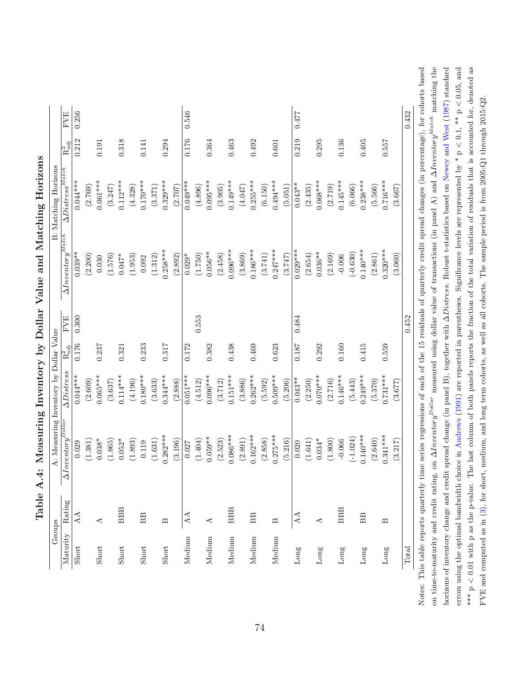| A: Measuring Inventory by Dollar Value |                                          | $\Delta \textit{D} is t res s^{Match}$<br>$0.044***$ |                                    |
|----------------------------------------|------------------------------------------|------------------------------------------------------|------------------------------------|
|                                        | $\Delta Inventory^{Match}$<br><b>FVE</b> |                                                      | <b>FVE</b><br>$\mathrm{R}^2_{adj}$ |
|                                        | $0.039**$<br>0.300                       |                                                      | 0.256<br>0.212                     |
|                                        | (2.200)                                  | (2.769)                                              |                                    |
|                                        | 0.030                                    | $0.061***$                                           | 0.191                              |
|                                        | (1.576)                                  | (3.247)                                              |                                    |
|                                        | $0.047*$                                 | $0.112***$                                           | 0.318                              |
|                                        | (1.953)                                  | (4.328)                                              |                                    |
|                                        | $0.092\,$                                | $0.170***$                                           | 0.141                              |
|                                        | (1.312)                                  | (3.371)                                              |                                    |
|                                        | $0.258***$                               | $0.329***$                                           | 0.294                              |
|                                        | (2.892)                                  | (2.707)                                              |                                    |
|                                        | $0.029*$                                 | $0.049***$                                           | 0.546<br>0.176                     |
|                                        | (1.750)<br>0.553                         | (4.896)                                              |                                    |
|                                        | $0.056**$                                | $0.095***$                                           | 0.364                              |
|                                        | (2.458)                                  | (3.905)                                              |                                    |
|                                        | $0.096***$                               | $0.149***$                                           | 0.463                              |
|                                        | (3.869)                                  | (4.047)                                              |                                    |
|                                        | $0.186***$                               | $0.255***$                                           | 0.492                              |
|                                        | (3.741)                                  | (6.150)                                              |                                    |
|                                        | $0.247***$                               | $0.494***$                                           | 0.601                              |
|                                        | (3.747)                                  | (5.051)                                              |                                    |
|                                        | $0.029***$<br>0.484                      | $0.043**$                                            | 0.477<br>0.219                     |
|                                        | (2.654)                                  | (2.435)                                              |                                    |
|                                        | $0.036**$                                | $0.068***$                                           | 0.295                              |
|                                        | (2.169)                                  | (2.719)                                              |                                    |
|                                        | $-0.006$                                 | $0.145***$                                           | 0.136                              |
|                                        | $(-0.630)$                               | (6.066)                                              |                                    |
|                                        | $0.140***$                               | $0.238***$                                           | 0.405                              |
|                                        | (2.861)                                  | (5.566)                                              |                                    |
|                                        | $0.320***$                               | $0.716***$                                           | 0.557                              |
|                                        | (3.060)                                  | (3.667)                                              |                                    |
|                                        |                                          |                                                      | 0.432                              |

Table A.4: Measuring Inventory by Dollar Value and Matching Horizons Table A.4: Measuring Inventory by Dollar Value and Matching Horizons

ased on time-to-maturity and credit rating, on  $\Delta Inventory^{Dollar}$  measured using dollar value of transactions (in panel A) and  $\Delta Inventory^{Match}$  matching the errors using the optimal bandwidth choice in Andrews (1991) are reported in parentheses. Significance levels are represented by \*  $p < 0.1$ , \*\*  $p < 0.05$ , and \*\*\*  $p \leq 0.01$  with p as the p-value. The last column of both panels reports the fraction of the total variation of residuals that is accounted for, denoted as horizons of inventory change and credit spread change (in panel B), together with  $\Delta Distress$ . Robust t-statistics based on Newey and West (1987) standard Notes: This table reports quarterly time series regressions of each of the 15 residuals of quarterly credit spread changes (in percentage), for cohorts based on time-to-maturity and credit rating, on ∆*Inventory*<sup>Dollar</sup> measured using dollar value of transactions (in panel A) and ∆Inventory<sup>Match</sup> matching the horizons of inventory change and credit spread change (in panel B), together with ∆Distress. Robust t-statistics based on [Newey](#page-70-0) and West [\(1987\)](#page-70-0) standard errors using the optimal bandwidth choice in [Andrews](#page-66-0) [\(1991\)](#page-66-0) are reported in parentheses. Significance levels are represented by  $*$  p  $<$  0.1,  $**$  p  $<$  0.05, and \*\*\* p  $< 0.01$  with p as the p-value. The last column of both panels reports the fraction of the total variation of residuals that is accounted for, denoted as FVE and computed as in  $(3)$ , for short, medium, and long term cohorts, as well as all cohorts. The sample period is from 2005: $Q1$  through 2015: $Q2$ . FVE and computed as in ([3\)](#page-21-0), for short, medium, and long term cohorts, as well as all cohorts. The sample period is from 2005:Q1 through 2015:Q2. Notes: T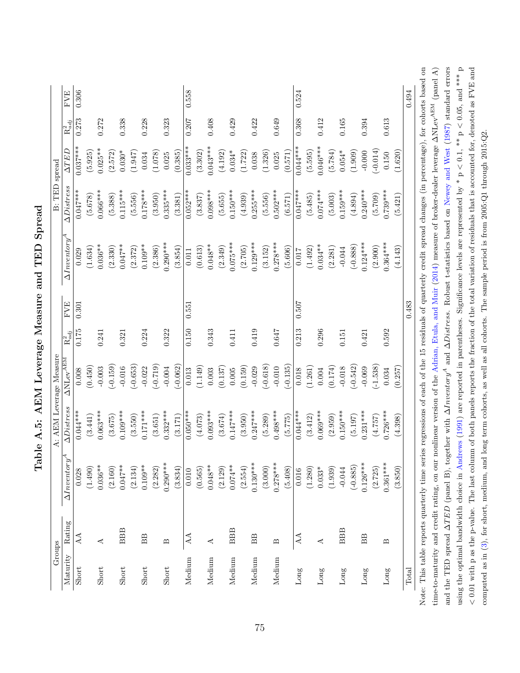| Groups   |                                                                                                                                                                                                      |                      | A: AEM Leverage Measure    |                                       |             |            |                      | B: TED                     | spread      |                      |            |
|----------|------------------------------------------------------------------------------------------------------------------------------------------------------------------------------------------------------|----------------------|----------------------------|---------------------------------------|-------------|------------|----------------------|----------------------------|-------------|----------------------|------------|
| Maturity | Rating                                                                                                                                                                                               | $\Delta Inventory^A$ | $\Delta \textit{Distress}$ | $\Delta \mathrm{NLev}^{\mathrm{ABM}}$ | $R^2_{adj}$ | <b>FVE</b> | $\Delta Inventory^A$ | $\Delta \textit{Distress}$ | <b>ATED</b> | $\mathrm{R}^2_{adj}$ | <b>FVE</b> |
| Short    | AA                                                                                                                                                                                                   | 0.028                | $0.044***$                 | 0.008                                 | 0.175       | 0.301      | 0.029                | $0.047***$                 | $0.037***$  | 0.273                | 0.306      |
|          |                                                                                                                                                                                                      | (1.490)              | (3.441)                    | (0.450)                               |             |            | (1.634)              | (5.678)                    | (5.925)     |                      |            |
| Short    | ⋖                                                                                                                                                                                                    | $0.036**$            | $0.063***$                 | $-0.003$                              | 0.241       |            | $0.036***$           | $0.066***$                 | $0.025**$   | 0.272                |            |
|          |                                                                                                                                                                                                      | (2.160)              | (3.675)                    | $-0.159$                              |             |            | (2.330)              | (5.388)                    | (2.572)     |                      |            |
| Short    | <b>BBB</b>                                                                                                                                                                                           | $0.047**$            | $0.109***$                 | $-0.016$                              | 0.321       |            | $0.047***$           | $0.115***$                 | $0.030*$    | 0.338                |            |
|          |                                                                                                                                                                                                      | (2.134)              | (3.550)                    | $(-0.653)$                            |             |            | (2.372)              | (5.556)                    | (1.947)     |                      |            |
| Short    | BB                                                                                                                                                                                                   | $0.109**$            | $0.171***$                 | $-0.022$                              | 0.224       |            | $0.109**$            | $0.178***$                 | 0.034       | 0.228                |            |
|          |                                                                                                                                                                                                      | (2.282)              | (3.651)                    | $(-0.719)$                            |             |            | (2.386)              | (3.950)                    | (1.078)     |                      |            |
| Short    | $\mathbf{\underline{\underline{\omega}}}% _{k}^{\alpha}=\mathbf{\underline{\underline{\omega}}}_{k}^{\alpha}=\mathbf{\underline{\underline{\omega}}}_{k}% ,\mathbf{\underline{\omega}}_{k}^{\alpha}$ | $0.290***$           | $0.332***$                 | $-0.004$                              | 0.322       |            | $0.290***$           | $0.335***$                 | 0.025       | 0.323                |            |
|          |                                                                                                                                                                                                      | (3.834)              | (3.171)                    | $-0.062$                              |             |            | (3.854)              | (3.381)                    | (0.385)     |                      |            |
| Medium   | $\Delta\Lambda$                                                                                                                                                                                      | $0.010\,$            | $0.050***$                 | 0.013                                 | 0.150       | 0.551      | 0.011                | $0.052***$                 | $0.033***$  | 0.207                | 0.558      |
|          |                                                                                                                                                                                                      | (0.565)              | (4.073)                    | (1.149)                               |             |            | (0.613)              | (3.837)                    | (3.302)     |                      |            |
| Medium   | ⋖                                                                                                                                                                                                    | $0.048**$            | $0.093***$                 | 0.003                                 | 0.343       |            | $0.048**$            | $0.098***$                 | $0.043***$  | 0.408                |            |
|          |                                                                                                                                                                                                      | (2.129)              | (3.674)                    | (0.137)                               |             |            | (2.349)              | (5.655)                    | (4.192)     |                      |            |
| Medium   | <b>BBB</b>                                                                                                                                                                                           | $0.074**$            | $0.147***$                 | 0.005                                 | 0.411       |            | $0.075***$           | $0.150***$                 | $0.034*$    | 0.429                |            |
|          |                                                                                                                                                                                                      | (2.554)              | (3.950)                    | (0.159)                               |             |            | (2.705)              | (4.939)                    | (1.722)     |                      |            |
| Medium   | BB                                                                                                                                                                                                   | $0.130***$           | $0.247***$                 | $-0.029$                              | 0.419       |            | $0.129***$           | $0.255***$                 | 0.038       | 0.422                |            |
|          |                                                                                                                                                                                                      | (3.000)              | (5.289)                    | $(-0.618)$                            |             |            | (3.152)              | (5.556)                    | (1.326)     |                      |            |
| Medium   | $\mathbf{D}$                                                                                                                                                                                         | $0.278***$           | $0.498***$                 | $-0.010$                              | $0.647\,$   |            | $0.278***$           | $0.502***$                 | 0.025       | 0.649                |            |
|          |                                                                                                                                                                                                      | (5.408)              | (5.775)                    | $-0.135$                              |             |            | (5.606)              | (6.571)                    | (0.571)     |                      |            |
| Long     | AA                                                                                                                                                                                                   | 0.016                | $0.044***$                 | 0.018                                 | 0.213       | 0.507      | 0.017                | $0.047***$                 | $0.044***$  | 0.368                | 0.524      |
|          |                                                                                                                                                                                                      | (1.280)              | (3.412)                    | (1.261)                               |             |            | (1.492)              | (5.485)                    | (5.595)     |                      |            |
| Long     | ⋖                                                                                                                                                                                                    | $0.033*$             | $0.069***$                 | 0.004                                 | 0.296       |            | $0.034***$           | $0.074***$                 | $0.046***$  | 0.412                |            |
|          |                                                                                                                                                                                                      | (1.939)              | (2.959)                    | (0.174)                               |             |            | (2.281)              | (5.003)                    | (5.784)     |                      |            |
| Long     | <b>BBB</b>                                                                                                                                                                                           | $-0.044$             | $0.150***$                 | $-0.018$                              | 0.151       |            | $-0.044$             | $0.159***$                 | $0.054*$    | 0.165                |            |
|          |                                                                                                                                                                                                      | $(-0.885)$           | (5.197)                    | $(-0.542)$                            |             |            | $(-0.888)$           | (4.894)                    | (1.909)     |                      |            |
| Long     | BB                                                                                                                                                                                                   | $0.126***$           | $0.231***$                 | $-0.069$                              | 0.421       |            | $0.124***$           | $0.240***$                 | $-0.000$    | 0.394                |            |
|          |                                                                                                                                                                                                      | (2.725)              | (4.757)                    | $(-1.538)$                            |             |            | (2.900)              | (5.709)                    | $(-0.014)$  |                      |            |
| Long     | $\mathbf{\Omega}$                                                                                                                                                                                    | $0.361***$           | $0.726***$                 | 0.034                                 | 0.592       |            | $0.364***$           | $0.739***$                 | 0.150       | 0.613                |            |
|          |                                                                                                                                                                                                      | (3.850)              | (4.398)                    | (0.257)                               |             |            | (4.143)              | (5.421)                    | (1.620)     |                      |            |
| Total    |                                                                                                                                                                                                      |                      |                            |                                       |             | 0.483      |                      |                            |             |                      | 0.494      |

and the TED spread  $\Delta TED$  (panel B), together with  $\Delta Inveratory^A$  and  $\Delta Distrees$ . Robust t-statistics based on [Newey](#page-70-0) and West [\(1987\)](#page-70-0) standard errors using the optimal bandwidth choice in [Andrews](#page-66-0) [\(1991\)](#page-66-0) are reported in parentheses. Significance levels are represented by  $^*$  p  $< 0.1$ ,  $^{**}$  p  $< 0.05$ , and  $^{***}$  p < 0.01 with p as the p-value. The last column of both panels reports the fraction of the total variation of residuals that is accounted for, denoted as FVE and  $< 0.01$  with p as the p-value. The last column of both panels reports the fraction of the total variation of residuals that is accounted for, denoted as FVE and

and the TED spread  $\Delta TED$  (panel B), together with  $\Delta Inventory^A$  and  $\Delta Distress$ . Robust t-statistics based on Newey and West (1987) standard errors using the optimal bandwidth choice in Andrews (1991) are reported in parentheses. Significance levels are represented by  $*$  p < 0.1,  $**$  p < 0.05, and  $***$  p

computed as in [\(3\)](#page-21-0), for short, medium, and long term cohorts, as well as all cohorts. The sample period is from 2005:Q1 through 2015:Q2.

computed as in (3), for short, medium, and long term cohorts, as well as all cohorts. The sample period is from 2005:Q1 through 2015:Q2.

Table A.5: AEM Leverage Measure and TED Spread Table A.5: AEM Leverage Measure and TED Spread

75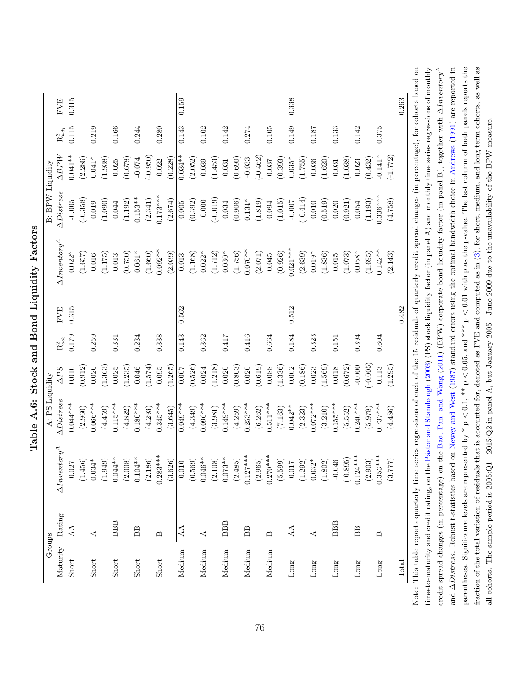| $\Delta Inventory^A$<br>$0.283***$<br>$0.127***$<br>$0.270***$<br>$0.104***$<br>$0.046**$<br>$0.044***$<br>$0.073**$<br>(1.949)<br>(2.008)<br>(2.186)<br>(3.626)<br>(2.108)<br>(2.485)<br>(2.965)<br>(5.599)<br>(1.456)<br>$0.034*$<br>(0.569)<br>$0.032*$<br>(1.802)<br>(1.292)<br>$-0.046$<br>0.010<br>$0.017\,$<br>0.027<br>Rating<br><b>BBB</b><br><b>BBB</b><br><b>BBB</b><br>AA<br>AA<br><b>BB</b><br>AA<br>BB<br>∢<br>⋖<br>$\mathbf{\Omega}$<br>⋖<br>മ<br>Maturity<br>Medium<br>Medium<br>Medium<br>Medium<br>Medium<br>Short<br>Short<br>Short<br>Short<br>Short<br>Long<br>$\mathop{\rm Long}\nolimits$<br>Long | (1.363)<br>(1.574)<br>(1.265)<br>(0.526)<br>(1.218)<br>(0.803)<br>(0.912)<br>(1.235)<br>$\Delta PS$<br>0.010<br>0.020<br>0.046<br>0.024<br>0.020<br>0.025<br>0.095<br>0.007<br>$\Delta Distrees$<br>$0.044***$<br>$0.066***$<br>$0.115***$<br>$0.180***$<br>$0.345***$<br>$0.096***$<br>$0.149***$<br>$0.049***$<br>(2.960)<br>(4.349)<br>(3.981)<br>(4.259)<br>(4.459)<br>(4.822)<br>(4.293)<br>(3.645) | <b>FVE</b><br>0.315<br>0.562<br>0.179<br>0.338<br>0.143<br>0.259<br>0.234<br>0.362<br>0.417<br>0.331<br>$\overline{\mathrm{R}}_{adj}^2$ | $\Delta Inventory^A$<br>$0.092**$<br>$0.061*$<br>(1.660)<br>(2.039)<br>$0.022*$<br>$0.030*$<br>(1.657)<br>(0.750)<br>(1.175)<br>(1.168)<br>(1.712)<br>$0.022*$<br>0.016<br>0.013<br>0.013 | $\Delta \textit{Distress}$<br>$0.173***$<br>$0.153**$<br>$(-0.358)$<br>(2.341)<br>(2.674)<br>(1.090)<br>(1.192)<br>(0.392)<br>$-0.005$<br>0.019<br>0.044<br>0.005 | $\Delta BPW$<br>$0.041***$<br>$0.034***$<br>$(-0.950)$<br>$0.041*$<br>(2.286)<br>(1.938)<br>(0.678)<br>$-0.074$<br>(0.228)<br>(2.052)<br>(1.453)<br>0.025<br>0.039<br>0.022 | 0.315<br>0.115<br>0.219<br>0.166<br>0.280<br>0.143<br>0.102<br>0.244<br>0.142<br>$\overline{\mathrm{R}_{adj}^2}$ |
|--------------------------------------------------------------------------------------------------------------------------------------------------------------------------------------------------------------------------------------------------------------------------------------------------------------------------------------------------------------------------------------------------------------------------------------------------------------------------------------------------------------------------------------------------------------------------------------------------------------------------|----------------------------------------------------------------------------------------------------------------------------------------------------------------------------------------------------------------------------------------------------------------------------------------------------------------------------------------------------------------------------------------------------------|-----------------------------------------------------------------------------------------------------------------------------------------|-------------------------------------------------------------------------------------------------------------------------------------------------------------------------------------------|-------------------------------------------------------------------------------------------------------------------------------------------------------------------|-----------------------------------------------------------------------------------------------------------------------------------------------------------------------------|------------------------------------------------------------------------------------------------------------------|
|                                                                                                                                                                                                                                                                                                                                                                                                                                                                                                                                                                                                                          |                                                                                                                                                                                                                                                                                                                                                                                                          |                                                                                                                                         |                                                                                                                                                                                           |                                                                                                                                                                   |                                                                                                                                                                             |                                                                                                                  |
|                                                                                                                                                                                                                                                                                                                                                                                                                                                                                                                                                                                                                          |                                                                                                                                                                                                                                                                                                                                                                                                          |                                                                                                                                         |                                                                                                                                                                                           |                                                                                                                                                                   |                                                                                                                                                                             |                                                                                                                  |
|                                                                                                                                                                                                                                                                                                                                                                                                                                                                                                                                                                                                                          |                                                                                                                                                                                                                                                                                                                                                                                                          |                                                                                                                                         |                                                                                                                                                                                           |                                                                                                                                                                   |                                                                                                                                                                             |                                                                                                                  |
|                                                                                                                                                                                                                                                                                                                                                                                                                                                                                                                                                                                                                          |                                                                                                                                                                                                                                                                                                                                                                                                          |                                                                                                                                         |                                                                                                                                                                                           |                                                                                                                                                                   |                                                                                                                                                                             |                                                                                                                  |
|                                                                                                                                                                                                                                                                                                                                                                                                                                                                                                                                                                                                                          |                                                                                                                                                                                                                                                                                                                                                                                                          |                                                                                                                                         |                                                                                                                                                                                           |                                                                                                                                                                   |                                                                                                                                                                             |                                                                                                                  |
|                                                                                                                                                                                                                                                                                                                                                                                                                                                                                                                                                                                                                          |                                                                                                                                                                                                                                                                                                                                                                                                          |                                                                                                                                         |                                                                                                                                                                                           |                                                                                                                                                                   |                                                                                                                                                                             |                                                                                                                  |
|                                                                                                                                                                                                                                                                                                                                                                                                                                                                                                                                                                                                                          |                                                                                                                                                                                                                                                                                                                                                                                                          |                                                                                                                                         |                                                                                                                                                                                           |                                                                                                                                                                   |                                                                                                                                                                             |                                                                                                                  |
|                                                                                                                                                                                                                                                                                                                                                                                                                                                                                                                                                                                                                          |                                                                                                                                                                                                                                                                                                                                                                                                          |                                                                                                                                         |                                                                                                                                                                                           |                                                                                                                                                                   |                                                                                                                                                                             |                                                                                                                  |
|                                                                                                                                                                                                                                                                                                                                                                                                                                                                                                                                                                                                                          |                                                                                                                                                                                                                                                                                                                                                                                                          |                                                                                                                                         |                                                                                                                                                                                           |                                                                                                                                                                   |                                                                                                                                                                             |                                                                                                                  |
|                                                                                                                                                                                                                                                                                                                                                                                                                                                                                                                                                                                                                          |                                                                                                                                                                                                                                                                                                                                                                                                          |                                                                                                                                         |                                                                                                                                                                                           |                                                                                                                                                                   |                                                                                                                                                                             |                                                                                                                  |
|                                                                                                                                                                                                                                                                                                                                                                                                                                                                                                                                                                                                                          |                                                                                                                                                                                                                                                                                                                                                                                                          |                                                                                                                                         |                                                                                                                                                                                           |                                                                                                                                                                   |                                                                                                                                                                             |                                                                                                                  |
|                                                                                                                                                                                                                                                                                                                                                                                                                                                                                                                                                                                                                          |                                                                                                                                                                                                                                                                                                                                                                                                          |                                                                                                                                         |                                                                                                                                                                                           |                                                                                                                                                                   |                                                                                                                                                                             |                                                                                                                  |
|                                                                                                                                                                                                                                                                                                                                                                                                                                                                                                                                                                                                                          |                                                                                                                                                                                                                                                                                                                                                                                                          |                                                                                                                                         |                                                                                                                                                                                           |                                                                                                                                                                   |                                                                                                                                                                             |                                                                                                                  |
|                                                                                                                                                                                                                                                                                                                                                                                                                                                                                                                                                                                                                          |                                                                                                                                                                                                                                                                                                                                                                                                          |                                                                                                                                         |                                                                                                                                                                                           | $-0.000$                                                                                                                                                          |                                                                                                                                                                             |                                                                                                                  |
|                                                                                                                                                                                                                                                                                                                                                                                                                                                                                                                                                                                                                          |                                                                                                                                                                                                                                                                                                                                                                                                          |                                                                                                                                         |                                                                                                                                                                                           | $(-0.019)$                                                                                                                                                        |                                                                                                                                                                             |                                                                                                                  |
|                                                                                                                                                                                                                                                                                                                                                                                                                                                                                                                                                                                                                          |                                                                                                                                                                                                                                                                                                                                                                                                          |                                                                                                                                         |                                                                                                                                                                                           | 0.034                                                                                                                                                             | 0.031                                                                                                                                                                       |                                                                                                                  |
|                                                                                                                                                                                                                                                                                                                                                                                                                                                                                                                                                                                                                          |                                                                                                                                                                                                                                                                                                                                                                                                          |                                                                                                                                         | (1.756)                                                                                                                                                                                   | (0.906)                                                                                                                                                           | (0.690)                                                                                                                                                                     |                                                                                                                  |
|                                                                                                                                                                                                                                                                                                                                                                                                                                                                                                                                                                                                                          | 0.020<br>$0.253***$                                                                                                                                                                                                                                                                                                                                                                                      | 0.416                                                                                                                                   | $0.070**$                                                                                                                                                                                 | $0.134*$                                                                                                                                                          | $-0.033$                                                                                                                                                                    | 0.274                                                                                                            |
|                                                                                                                                                                                                                                                                                                                                                                                                                                                                                                                                                                                                                          | (0.619)<br>(6.262)                                                                                                                                                                                                                                                                                                                                                                                       |                                                                                                                                         | (2.071)                                                                                                                                                                                   | (1.819)                                                                                                                                                           | $(-0.462)$                                                                                                                                                                  |                                                                                                                  |
|                                                                                                                                                                                                                                                                                                                                                                                                                                                                                                                                                                                                                          | 0.088<br>$0.511***$                                                                                                                                                                                                                                                                                                                                                                                      | 0.664                                                                                                                                   | 0.045                                                                                                                                                                                     | 0.094                                                                                                                                                             | 0.037                                                                                                                                                                       | 0.105                                                                                                            |
|                                                                                                                                                                                                                                                                                                                                                                                                                                                                                                                                                                                                                          | (1.336)<br>(7.163)                                                                                                                                                                                                                                                                                                                                                                                       |                                                                                                                                         | (0.926)                                                                                                                                                                                   | (1.015)                                                                                                                                                           | (0.393)                                                                                                                                                                     |                                                                                                                  |
|                                                                                                                                                                                                                                                                                                                                                                                                                                                                                                                                                                                                                          | 0.002<br>$0.042**$                                                                                                                                                                                                                                                                                                                                                                                       | 0.512<br>0.184                                                                                                                          | $0.021***$                                                                                                                                                                                | $-0.007$                                                                                                                                                          | $0.035*$                                                                                                                                                                    | 0.338<br>0.149                                                                                                   |
|                                                                                                                                                                                                                                                                                                                                                                                                                                                                                                                                                                                                                          | (0.186)<br>(2.323)                                                                                                                                                                                                                                                                                                                                                                                       |                                                                                                                                         | (2.639)                                                                                                                                                                                   | $(-0.414)$                                                                                                                                                        | (1.755)                                                                                                                                                                     |                                                                                                                  |
|                                                                                                                                                                                                                                                                                                                                                                                                                                                                                                                                                                                                                          | 0.023<br>$0.072***$                                                                                                                                                                                                                                                                                                                                                                                      | 0.323                                                                                                                                   | $0.019*$                                                                                                                                                                                  | 0.010                                                                                                                                                             | 0.036                                                                                                                                                                       | 0.187                                                                                                            |
|                                                                                                                                                                                                                                                                                                                                                                                                                                                                                                                                                                                                                          | (1.569)<br>(3.210)                                                                                                                                                                                                                                                                                                                                                                                       |                                                                                                                                         | (1.836)                                                                                                                                                                                   | (0.519)                                                                                                                                                           | (1.620)                                                                                                                                                                     |                                                                                                                  |
|                                                                                                                                                                                                                                                                                                                                                                                                                                                                                                                                                                                                                          | 0.018<br>$0.155***$                                                                                                                                                                                                                                                                                                                                                                                      | 0.151                                                                                                                                   | 0.015                                                                                                                                                                                     | 0.020                                                                                                                                                             | 0.031                                                                                                                                                                       | 0.133                                                                                                            |
| $(-0.895)$                                                                                                                                                                                                                                                                                                                                                                                                                                                                                                                                                                                                               | (0.672)<br>(5.552)                                                                                                                                                                                                                                                                                                                                                                                       |                                                                                                                                         | (1.073)                                                                                                                                                                                   | (0.921)                                                                                                                                                           | (1.038)                                                                                                                                                                     |                                                                                                                  |
| $0.124***$<br>BB<br>Long                                                                                                                                                                                                                                                                                                                                                                                                                                                                                                                                                                                                 | $-0.000$<br>$0.240***$                                                                                                                                                                                                                                                                                                                                                                                   | 0.394                                                                                                                                   | $0.058*$                                                                                                                                                                                  | 0.054                                                                                                                                                             | 0.023                                                                                                                                                                       | 0.142                                                                                                            |
| (2.903)                                                                                                                                                                                                                                                                                                                                                                                                                                                                                                                                                                                                                  | $(-0.005)$<br>(5.978)                                                                                                                                                                                                                                                                                                                                                                                    |                                                                                                                                         | (1.695)                                                                                                                                                                                   | (1.193)                                                                                                                                                           | (0.432)                                                                                                                                                                     |                                                                                                                  |
| $0.353***$<br>മ<br>Long                                                                                                                                                                                                                                                                                                                                                                                                                                                                                                                                                                                                  | 0.113<br>$0.737***$                                                                                                                                                                                                                                                                                                                                                                                      | 0.604                                                                                                                                   | $0.142***$                                                                                                                                                                                | $0.336***$                                                                                                                                                        | $-0.141*$                                                                                                                                                                   | 0.375                                                                                                            |
| (3.777)                                                                                                                                                                                                                                                                                                                                                                                                                                                                                                                                                                                                                  | (1.295)<br>(4.486)                                                                                                                                                                                                                                                                                                                                                                                       |                                                                                                                                         | (2.143)                                                                                                                                                                                   | (4.758)                                                                                                                                                           | $-1.772$                                                                                                                                                                    |                                                                                                                  |
| Total                                                                                                                                                                                                                                                                                                                                                                                                                                                                                                                                                                                                                    |                                                                                                                                                                                                                                                                                                                                                                                                          | 0.482                                                                                                                                   |                                                                                                                                                                                           |                                                                                                                                                                   |                                                                                                                                                                             |                                                                                                                  |
| Note: This table reports quarterly time series regressions of each of the 15 residuals of quarterly credit spread changes (in percentage), for cohorts based on                                                                                                                                                                                                                                                                                                                                                                                                                                                          |                                                                                                                                                                                                                                                                                                                                                                                                          |                                                                                                                                         |                                                                                                                                                                                           |                                                                                                                                                                   |                                                                                                                                                                             |                                                                                                                  |

and ∆Distress. Robust t-statistics based on [Newey](#page-70-0) and West [\(1987\)](#page-70-0) standard errors using the optimal bandwidth choice in [Andrews](#page-66-0) [\(1991\)](#page-66-0) are reported in parentheses. Significance levels are represented by  $*$  p  $< 0.1$ ,  $*$   $*$  p  $< 0.05$ , and  $*$   $*$  p  $< 0.01$  with p as the p-value. The last column of both panels reports the fraction of the total variation of residuals that is accounted for, denoted as FVE and computed as in [\(3\)](#page-21-0), for short, medium, and long term cohorts, as well as

parentheses. Significance levels are represented by  $* p < 0.1$ ,  $** p < 0.05$ , and  $*** p < 0.01$  with p as the p-value. The last column of both panels reports the fraction of the total variation of residuals that is accounted for, denoted as FVE and computed as in (3), for short, medium, and long term cohorts, as well as

all cohorts. The sample period is 2005:Q1 - 2015:Q2 in panel A, but January 2005 - June 2009 due to the unavailability of the BPW measure.

all cohorts. The sample period is 2005:Q1 - 2015:Q2 in panel A, but January 2005 - June 2009 due to the unavailability of the BPW measure.

Table A.6: Stock and Bond Liquidity Factors Table A.6: Stock and Bond Liquidity Factors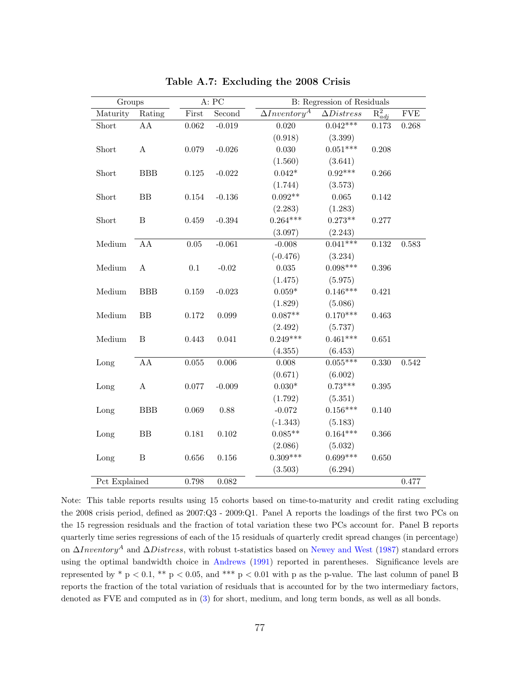| Groups        |              |             | A: PC     | B: Regression of Residuals |                   |                                 |             |
|---------------|--------------|-------------|-----------|----------------------------|-------------------|---------------------------------|-------------|
| Maturity      | Rating       | First       | Second    | $\Delta Inventory^A$       | $\Delta Distress$ | $\overline{\mathrm{R}_{adj}^2}$ | ${\rm FVE}$ |
| Short         | ${\rm AA}$   | 0.062       | $-0.019$  | 0.020                      | $0.042***$        | 0.173                           | 0.268       |
|               |              |             |           | (0.918)                    | (3.399)           |                                 |             |
| Short         | $\mathbf{A}$ | 0.079       | $-0.026$  | 0.030                      | $0.051***$        | 0.208                           |             |
|               |              |             |           | (1.560)                    | (3.641)           |                                 |             |
| Short         | <b>BBB</b>   | $0.125\,$   | $-0.022$  | $0.042*$                   | $0.92***$         | 0.266                           |             |
|               |              |             |           | (1.744)                    | (3.573)           |                                 |             |
| Short         | ${\rm BB}$   | $0.154\,$   | $-0.136$  | $0.092**$                  | 0.065             | 0.142                           |             |
|               |              |             |           | (2.283)                    | (1.283)           |                                 |             |
| Short         | $\, {\bf B}$ | 0.459       | $-0.394$  | $0.264***$                 | $0.273**$         | 0.277                           |             |
|               |              |             |           | (3.097)                    | (2.243)           |                                 |             |
| Medium        | ${\rm AA}$   | $0.05\,$    | $-0.061$  | $-0.008$                   | $0.041***$        | $0.132\,$                       | 0.583       |
|               |              |             |           | $(-0.476)$                 | (3.234)           |                                 |             |
| Medium        | $\mathbf A$  | $0.1\,$     | $-0.02$   | $\,0.035\,$                | $0.098***$        | $0.396\,$                       |             |
|               |              |             |           | (1.475)                    | (5.975)           |                                 |             |
| Medium        | BBB          | 0.159       | $-0.023$  | $0.059*$                   | $0.146***$        | 0.421                           |             |
|               |              |             |           | (1.829)                    | (5.086)           |                                 |             |
| Medium        | ${\rm BB}$   | $0.172\,$   | 0.099     | $0.087**$                  | $0.170***$        | 0.463                           |             |
|               |              |             |           | (2.492)                    | (5.737)           |                                 |             |
| Medium        | $\, {\bf B}$ | 0.443       | 0.041     | $0.249***$                 | $0.461***$        | 0.651                           |             |
|               |              |             |           | (4.355)                    | (6.453)           |                                 |             |
| Long          | AA           | $\,0.055\,$ | $0.006\,$ | 0.008                      | $0.055***$        | 0.330                           | $0.542\,$   |
|               |              |             |           | (0.671)                    | (6.002)           |                                 |             |
| Long          | $\mathbf A$  | 0.077       | $-0.009$  | $0.030^{\ast}$             | $0.73***$         | $0.395\,$                       |             |
|               |              |             |           | (1.792)                    | (5.351)           |                                 |             |
| Long          | <b>BBB</b>   | 0.069       | 0.88      | $-0.072$                   | $0.156***$        | 0.140                           |             |
|               |              |             |           | $(-1.343)$                 | (5.183)           |                                 |             |
| Long          | BB           | 0.181       | 0.102     | $0.085**$                  | $0.164***$        | 0.366                           |             |
|               |              |             |           | (2.086)                    | (5.032)           |                                 |             |
| Long          | $\, {\bf B}$ | $0.656\,$   | $0.156\,$ | $0.309***$                 | $0.699***$        | 0.650                           |             |
|               |              |             |           | (3.503)                    | (6.294)           |                                 |             |
| Pct Explained |              | 0.798       | 0.082     |                            |                   |                                 | 0.477       |

Table A.7: Excluding the 2008 Crisis

Note: This table reports results using 15 cohorts based on time-to-maturity and credit rating excluding the 2008 crisis period, defined as 2007:Q3 - 2009:Q1. Panel A reports the loadings of the first two PCs on the 15 regression residuals and the fraction of total variation these two PCs account for. Panel B reports quarterly time series regressions of each of the 15 residuals of quarterly credit spread changes (in percentage) on ∆Inventory<sup>A</sup> and ∆Distress, with robust t-statistics based on [Newey and West](#page-70-0) [\(1987\)](#page-70-0) standard errors using the optimal bandwidth choice in [Andrews](#page-66-0) [\(1991\)](#page-66-0) reported in parentheses. Significance levels are represented by  $*$  p < 0.1,  $**$  p < 0.05, and  $***$  p < 0.01 with p as the p-value. The last column of panel B reports the fraction of the total variation of residuals that is accounted for by the two intermediary factors, denoted as FVE and computed as in [\(3\)](#page-21-0) for short, medium, and long term bonds, as well as all bonds.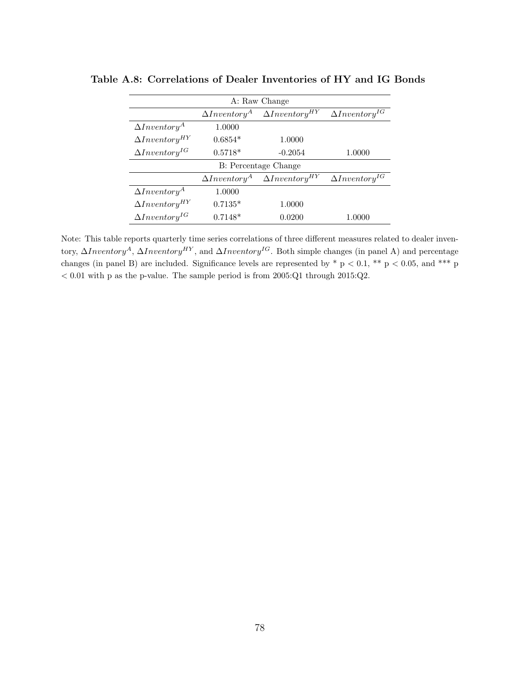|                         |                      | A: Raw Change           |                         |  |  |  |  |  |  |  |  |
|-------------------------|----------------------|-------------------------|-------------------------|--|--|--|--|--|--|--|--|
|                         | $\Delta Inventory^A$ | $\Delta Inventory^{HY}$ | $\Delta Inventory^{IG}$ |  |  |  |  |  |  |  |  |
| $\Delta Inventory^A$    | 1.0000               |                         |                         |  |  |  |  |  |  |  |  |
| $\Delta Inventory^{HY}$ | $0.6854*$            | 1.0000                  |                         |  |  |  |  |  |  |  |  |
| $\Delta Inventory^{IG}$ | $0.5718*$            | $-0.2054$               | 1.0000                  |  |  |  |  |  |  |  |  |
|                         | B: Percentage Change |                         |                         |  |  |  |  |  |  |  |  |
|                         | $\Delta Inventory^A$ | $\Delta Inventory^{HY}$ | $\Delta Inventory^{IG}$ |  |  |  |  |  |  |  |  |
| $\Delta Inventory^A$    | 1.0000               |                         |                         |  |  |  |  |  |  |  |  |
| $\Delta Inventory^{HY}$ | $0.7135*$            | 1.0000                  |                         |  |  |  |  |  |  |  |  |
| $\Delta Inventory^{IG}$ | $0.7148*$            | 0.0200                  | 1.0000                  |  |  |  |  |  |  |  |  |

Table A.8: Correlations of Dealer Inventories of HY and IG Bonds

Note: This table reports quarterly time series correlations of three different measures related to dealer inventory,  $\Delta Inventory^A$ ,  $\Delta Inventory^{HY}$ , and  $\Delta Inventory^{IG}$ . Both simple changes (in panel A) and percentage changes (in panel B) are included. Significance levels are represented by  $*$  p < 0.1,  $**$  p < 0.05, and \*\*\* p  $< 0.01$  with p as the p-value. The sample period is from 2005:Q1 through 2015:Q2.